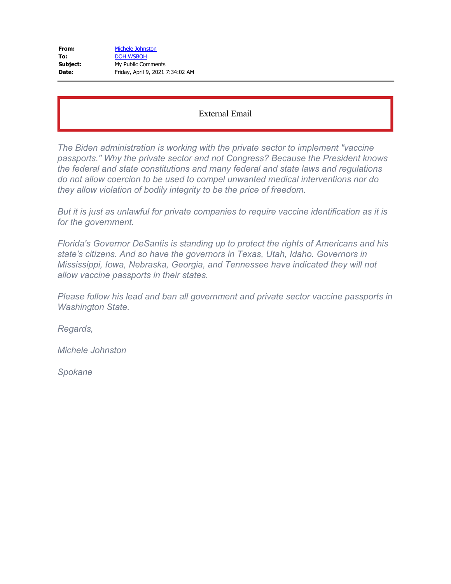| From:    | Michele Johnston                 |
|----------|----------------------------------|
| To:      | <b>DOH WSBOH</b>                 |
| Subject: | My Public Comments               |
| Date:    | Friday, April 9, 2021 7:34:02 AM |

*The Biden administration is working with the private sector to implement "vaccine passports." Why the private sector and not Congress? Because the President knows the federal and state constitutions and many federal and state laws and regulations do not allow coercion to be used to compel unwanted medical interventions nor do they allow violation of bodily integrity to be the price of freedom.*

*But it is just as unlawful for private companies to require vaccine identification as it is for the government.*

*Florida's Governor DeSantis is standing up to protect the rights of Americans and his state's citizens. And so have the governors in Texas, Utah, Idaho. Governors in Mississippi, Iowa, Nebraska, Georgia, and Tennessee have indicated they will not allow vaccine passports in their states.*

*Please follow his lead and ban all government and private sector vaccine passports in Washington State.*

*Regards,*

*Michele Johnston*

*Spokane*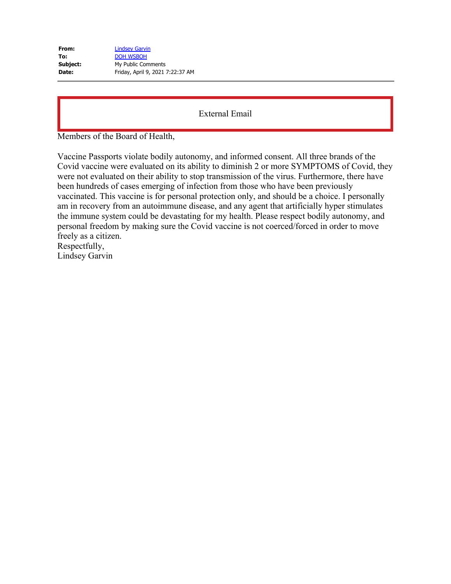| From:    | <b>Lindsey Garvin</b>            |
|----------|----------------------------------|
| To:      | <b>DOH WSBOH</b>                 |
| Subject: | My Public Comments               |
| Date:    | Friday, April 9, 2021 7:22:37 AM |

Members of the Board of Health,

Vaccine Passports violate bodily autonomy, and informed consent. All three brands of the Covid vaccine were evaluated on its ability to diminish 2 or more SYMPTOMS of Covid, they were not evaluated on their ability to stop transmission of the virus. Furthermore, there have been hundreds of cases emerging of infection from those who have been previously vaccinated. This vaccine is for personal protection only, and should be a choice. I personally am in recovery from an autoimmune disease, and any agent that artificially hyper stimulates the immune system could be devastating for my health. Please respect bodily autonomy, and personal freedom by making sure the Covid vaccine is not coerced/forced in order to move freely as a citizen. Respectfully,

Lindsey Garvin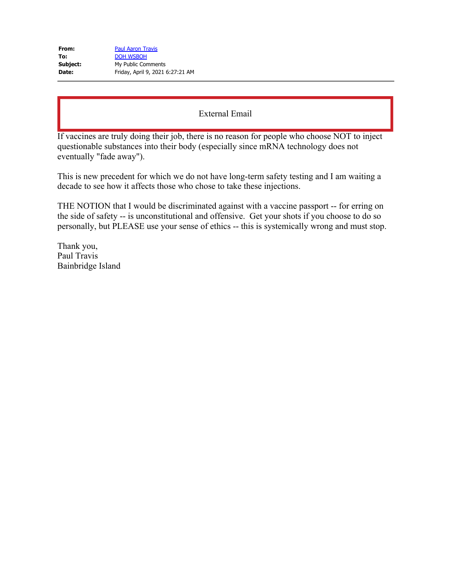| From:    | <b>Paul Aaron Travis</b>         |
|----------|----------------------------------|
| To:      | <b>DOH WSBOH</b>                 |
| Subject: | My Public Comments               |
| Date:    | Friday, April 9, 2021 6:27:21 AM |

If vaccines are truly doing their job, there is no reason for people who choose NOT to inject questionable substances into their body (especially since mRNA technology does not eventually "fade away").

This is new precedent for which we do not have long-term safety testing and I am waiting a decade to see how it affects those who chose to take these injections.

THE NOTION that I would be discriminated against with a vaccine passport -- for erring on the side of safety -- is unconstitutional and offensive. Get your shots if you choose to do so personally, but PLEASE use your sense of ethics -- this is systemically wrong and must stop.

Thank you, Paul Travis Bainbridge Island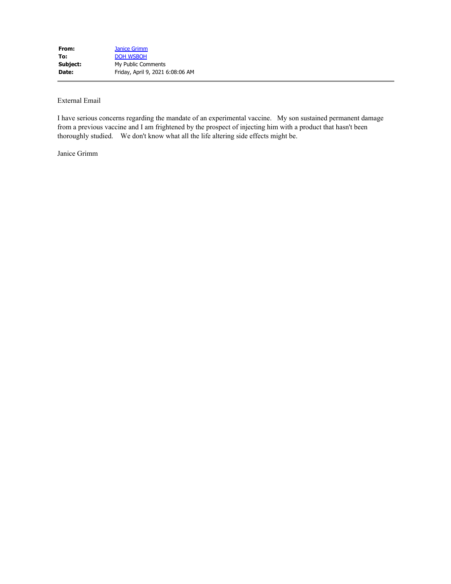I have serious concerns regarding the mandate of an experimental vaccine. My son sustained permanent damage from a previous vaccine and I am frightened by the prospect of injecting him with a product that hasn't been thoroughly studied. We don't know what all the life altering side effects might be.

Janice Grimm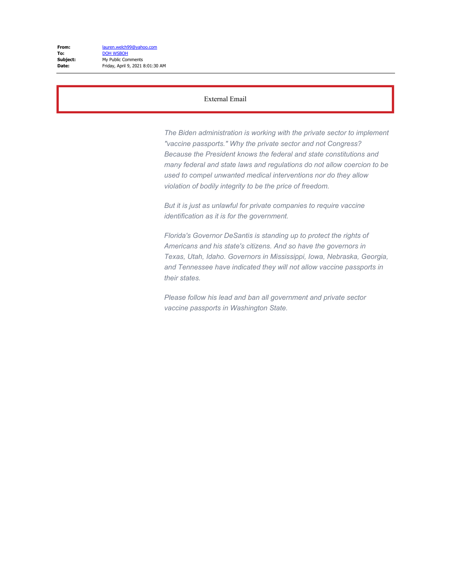*The Biden administration is working with the private sector to implement "vaccine passports." Why the private sector and not Congress? Because the President knows the federal and state constitutions and many federal and state laws and regulations do not allow coercion to be used to compel unwanted medical interventions nor do they allow violation of bodily integrity to be the price of freedom.*

*But it is just as unlawful for private companies to require vaccine identification as it is for the government.*

*Florida's Governor DeSantis is standing up to protect the rights of Americans and his state's citizens. And so have the governors in Texas, Utah, Idaho. Governors in Mississippi, Iowa, Nebraska, Georgia, and Tennessee have indicated they will not allow vaccine passports in their states.*

*Please follow his lead and ban all government and private sector vaccine passports in Washington State.*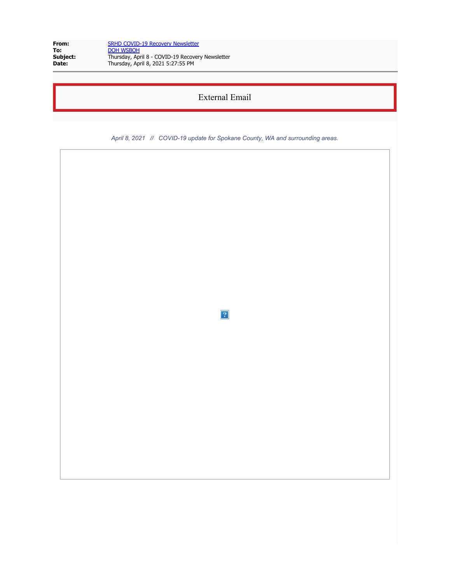| From:    | <b>SRHD COVID-19 Recovery Newsletter</b>         |
|----------|--------------------------------------------------|
| To:      | <b>DOH WSBOH</b>                                 |
| Subject: | Thursday, April 8 - COVID-19 Recovery Newsletter |
| Date:    | Thursday, April 8, 2021 5:27:55 PM               |

*April 8, 2021 // COVID-19 update for Spokane County, WA and surrounding areas.*

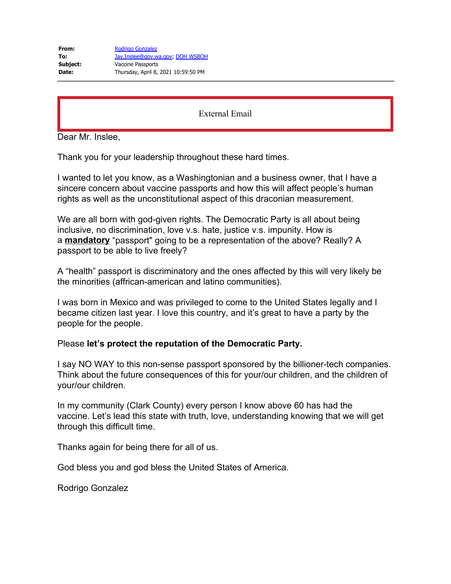Dear Mr. Inslee,

Thank you for your leadership throughout these hard times.

I wanted to let you know, as a Washingtonian and a business owner, that I have a sincere concern about vaccine passports and how this will affect people's human rights as well as the unconstitutional aspect of this draconian measurement.

We are all born with god-given rights. The Democratic Party is all about being inclusive, no discrimination, love v.s. hate, justice v.s. impunity. How is a **mandatory** "passport" going to be a representation of the above? Really? A passport to be able to live freely?

A "health" passport is discriminatory and the ones affected by this will very likely be the minorities (affrican-american and latino communities).

I was born in Mexico and was privileged to come to the United States legally and I became citizen last year. I love this country, and it's great to have a party by the people for the people.

## Please **let's protect the reputation of the Democratic Party.**

I say NO WAY to this non-sense passport sponsored by the billioner-tech companies. Think about the future consequences of this for your/our children, and the children of your/our children.

In my community (Clark County) every person I know above 60 has had the vaccine. Let's lead this state with truth, love, understanding knowing that we will get through this difficult time.

Thanks again for being there for all of us.

God bless you and god bless the United States of America.

Rodrigo Gonzalez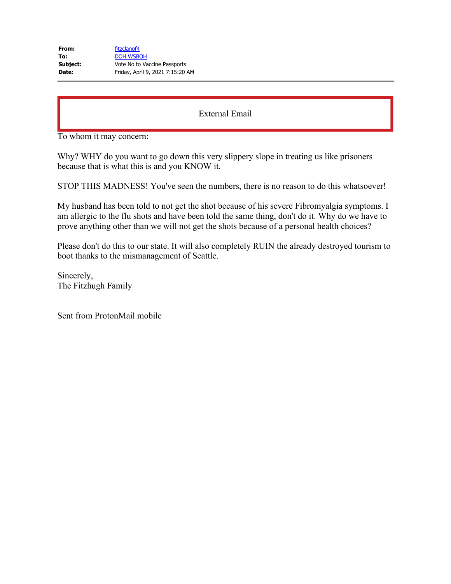To whom it may concern:

Why? WHY do you want to go down this very slippery slope in treating us like prisoners because that is what this is and you KNOW it.

STOP THIS MADNESS! You've seen the numbers, there is no reason to do this whatsoever!

My husband has been told to not get the shot because of his severe Fibromyalgia symptoms. I am allergic to the flu shots and have been told the same thing, don't do it. Why do we have to prove anything other than we will not get the shots because of a personal health choices?

Please don't do this to our state. It will also completely RUIN the already destroyed tourism to boot thanks to the mismanagement of Seattle.

Sincerely, The Fitzhugh Family

Sent from ProtonMail mobile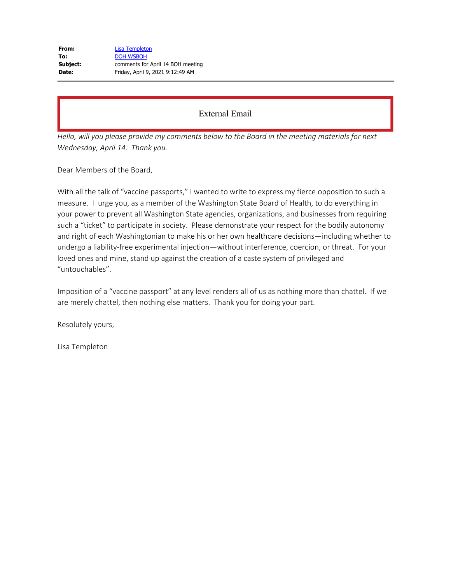| From:    | Lisa Templeton                    |
|----------|-----------------------------------|
| To:      | <b>DOH WSBOH</b>                  |
| Subject: | comments for April 14 BOH meeting |
| Date:    | Friday, April 9, 2021 9:12:49 AM  |

*Hello, will you please provide my comments below to the Board in the meeting materials for next Wednesday, April 14. Thank you.*

Dear Members of the Board,

With all the talk of "vaccine passports," I wanted to write to express my fierce opposition to such a measure. I urge you, as a member of the Washington State Board of Health, to do everything in your power to prevent all Washington State agencies, organizations, and businesses from requiring such a "ticket" to participate in society. Please demonstrate your respect for the bodily autonomy and right of each Washingtonian to make his or her own healthcare decisions—including whether to undergo a liability-free experimental injection—without interference, coercion, or threat. For your loved ones and mine, stand up against the creation of a caste system of privileged and "untouchables".

Imposition of a "vaccine passport" at any level renders all of us as nothing more than chattel. If we are merely chattel, then nothing else matters. Thank you for doing your part.

Resolutely yours,

Lisa Templeton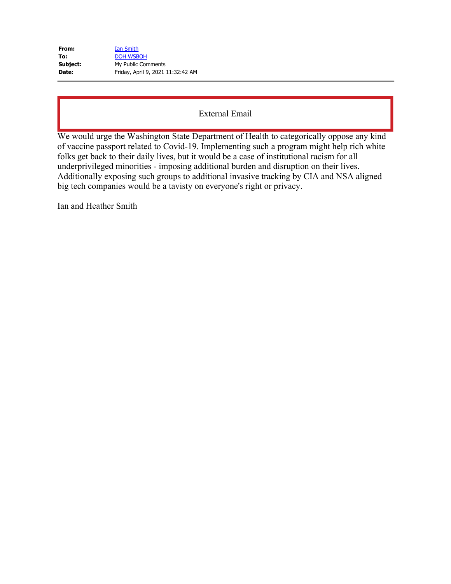| From:    | Ian Smith                         |
|----------|-----------------------------------|
| To:      | <b>DOH WSBOH</b>                  |
| Subject: | My Public Comments                |
| Date:    | Friday, April 9, 2021 11:32:42 AM |

We would urge the Washington State Department of Health to categorically oppose any kind of vaccine passport related to Covid-19. Implementing such a program might help rich white folks get back to their daily lives, but it would be a case of institutional racism for all underprivileged minorities - imposing additional burden and disruption on their lives. Additionally exposing such groups to additional invasive tracking by CIA and NSA aligned big tech companies would be a tavisty on everyone's right or privacy.

Ian and Heather Smith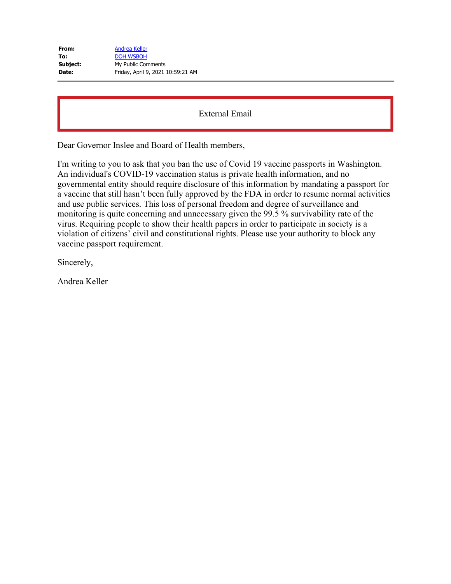| From:    | <b>Andrea Keller</b>              |
|----------|-----------------------------------|
| To:      | <b>DOH WSBOH</b>                  |
| Subject: | My Public Comments                |
| Date:    | Friday, April 9, 2021 10:59:21 AM |

Dear Governor Inslee and Board of Health members,

I'm writing to you to ask that you ban the use of Covid 19 vaccine passports in Washington. An individual's COVID-19 vaccination status is private health information, and no governmental entity should require disclosure of this information by mandating a passport for a vaccine that still hasn't been fully approved by the FDA in order to resume normal activities and use public services. This loss of personal freedom and degree of surveillance and monitoring is quite concerning and unnecessary given the 99.5 % survivability rate of the virus. Requiring people to show their health papers in order to participate in society is a violation of citizens' civil and constitutional rights. Please use your authority to block any vaccine passport requirement.

Sincerely,

Andrea Keller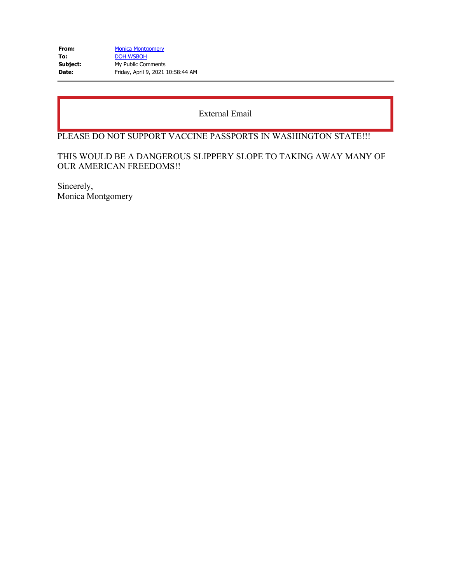| From:    | <b>Monica Montgomery</b>          |
|----------|-----------------------------------|
| To:      | <b>DOH WSBOH</b>                  |
| Subject: | My Public Comments                |
| Date:    | Friday, April 9, 2021 10:58:44 AM |

# PLEASE DO NOT SUPPORT VACCINE PASSPORTS IN WASHINGTON STATE!!!

# THIS WOULD BE A DANGEROUS SLIPPERY SLOPE TO TAKING AWAY MANY OF OUR AMERICAN FREEDOMS!!

Sincerely, Monica Montgomery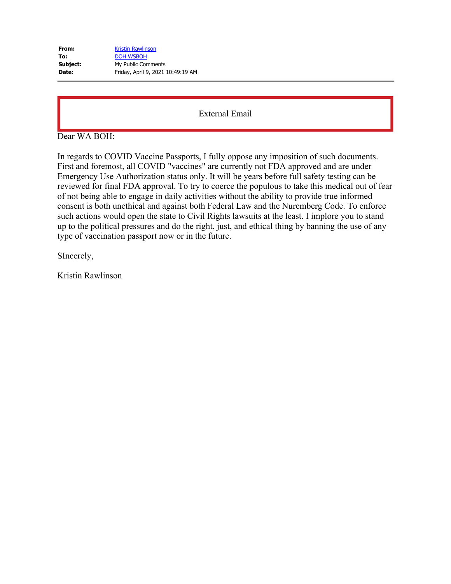| From:    | <b>Kristin Rawlinson</b>          |
|----------|-----------------------------------|
| To:      | <b>DOH WSBOH</b>                  |
| Subject: | My Public Comments                |
| Date:    | Friday, April 9, 2021 10:49:19 AM |

Dear WA BOH:

In regards to COVID Vaccine Passports, I fully oppose any imposition of such documents. First and foremost, all COVID "vaccines" are currently not FDA approved and are under Emergency Use Authorization status only. It will be years before full safety testing can be reviewed for final FDA approval. To try to coerce the populous to take this medical out of fear of not being able to engage in daily activities without the ability to provide true informed consent is both unethical and against both Federal Law and the Nuremberg Code. To enforce such actions would open the state to Civil Rights lawsuits at the least. I implore you to stand up to the political pressures and do the right, just, and ethical thing by banning the use of any type of vaccination passport now or in the future.

SIncerely,

Kristin Rawlinson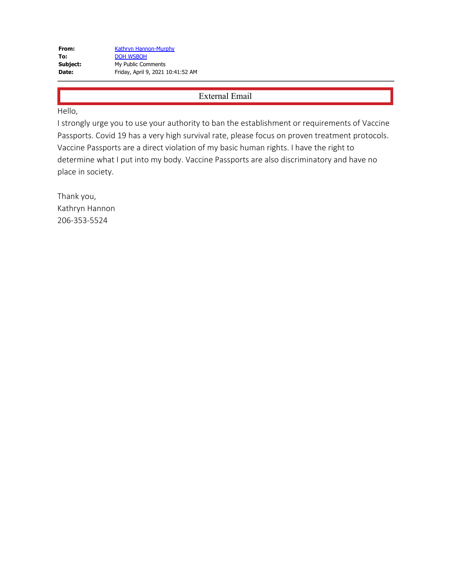Hello,

I strongly urge you to use your authority to ban the establishment or requirements of Vaccine Passports. Covid 19 has a very high survival rate, please focus on proven treatment protocols. Vaccine Passports are a direct violation of my basic human rights. I have the right to determine what I put into my body. Vaccine Passports are also discriminatory and have no place in society.

Thank you, Kathryn Hannon 206-353-5524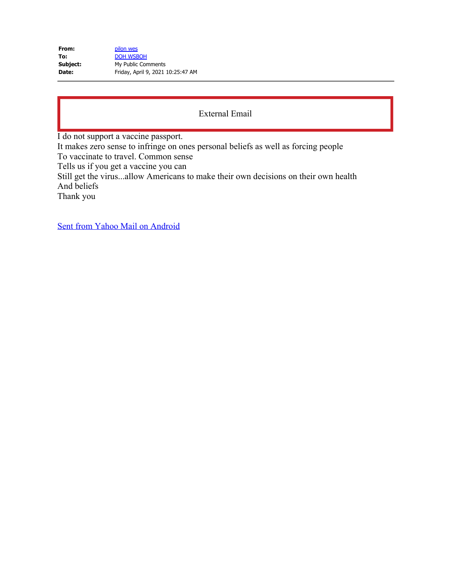| From:    | pilon wes                         |
|----------|-----------------------------------|
| To:      | <b>DOH WSBOH</b>                  |
| Subject: | My Public Comments                |
| Date:    | Friday, April 9, 2021 10:25:47 AM |

I do not support a vaccine passport.

It makes zero sense to infringe on ones personal beliefs as well as forcing people

To vaccinate to travel. Common sense

Tells us if you get a vaccine you can

Still get the virus...allow Americans to make their own decisions on their own health And beliefs

Thank you

[Sent from Yahoo Mail on Android](https://gcc02.safelinks.protection.outlook.com/?url=https%3A%2F%2Fgo.onelink.me%2F107872968%3Fpid%3DInProduct%26c%3DGlobal_Internal_YGrowth_AndroidEmailSig__AndroidUsers%26af_wl%3Dym%26af_sub1%3DInternal%26af_sub2%3DGlobal_YGrowth%26af_sub3%3DEmailSignature&data=04%7C01%7Cwsboh%40sboh.wa.gov%7Cc3eba5fba1a941a7dcb708d8fb7c81ea%7C11d0e217264e400a8ba057dcc127d72d%7C0%7C0%7C637535859471626342%7CUnknown%7CTWFpbGZsb3d8eyJWIjoiMC4wLjAwMDAiLCJQIjoiV2luMzIiLCJBTiI6Ik1haWwiLCJXVCI6Mn0%3D%7C1000&sdata=u3Ofup0LnyD9kP7rmjUvBr5cTKtu%2BPIU18StC0VJi54%3D&reserved=0)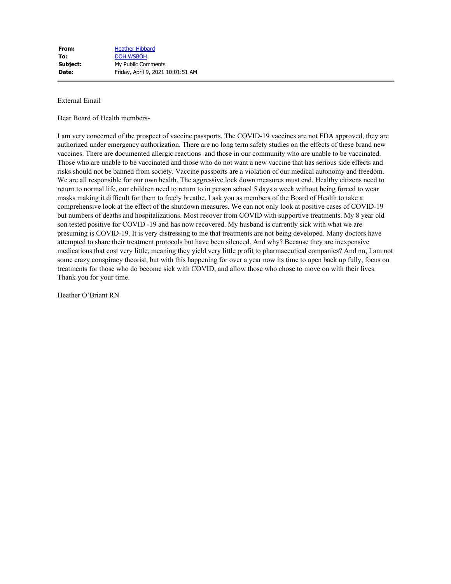Dear Board of Health members-

I am very concerned of the prospect of vaccine passports. The COVID-19 vaccines are not FDA approved, they are authorized under emergency authorization. There are no long term safety studies on the effects of these brand new vaccines. There are documented allergic reactions and those in our community who are unable to be vaccinated. Those who are unable to be vaccinated and those who do not want a new vaccine that has serious side effects and risks should not be banned from society. Vaccine passports are a violation of our medical autonomy and freedom. We are all responsible for our own health. The aggressive lock down measures must end. Healthy citizens need to return to normal life, our children need to return to in person school 5 days a week without being forced to wear masks making it difficult for them to freely breathe. I ask you as members of the Board of Health to take a comprehensive look at the effect of the shutdown measures. We can not only look at positive cases of COVID-19 but numbers of deaths and hospitalizations. Most recover from COVID with supportive treatments. My 8 year old son tested positive for COVID -19 and has now recovered. My husband is currently sick with what we are presuming is COVID-19. It is very distressing to me that treatments are not being developed. Many doctors have attempted to share their treatment protocols but have been silenced. And why? Because they are inexpensive medications that cost very little, meaning they yield very little profit to pharmaceutical companies? And no, I am not some crazy conspiracy theorist, but with this happening for over a year now its time to open back up fully, focus on treatments for those who do become sick with COVID, and allow those who chose to move on with their lives. Thank you for your time.

Heather O'Briant RN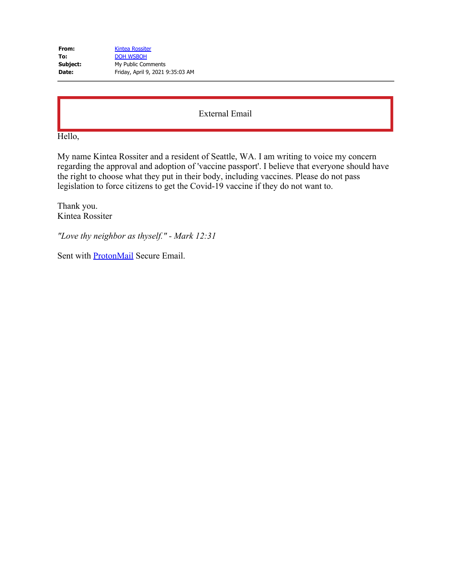| From:    | <b>Kintea Rossiter</b>           |
|----------|----------------------------------|
| To:      | <b>DOH WSBOH</b>                 |
| Subject: | My Public Comments               |
| Date:    | Friday, April 9, 2021 9:35:03 AM |

Hello,

My name Kintea Rossiter and a resident of Seattle, WA. I am writing to voice my concern regarding the approval and adoption of 'vaccine passport'. I believe that everyone should have the right to choose what they put in their body, including vaccines. Please do not pass legislation to force citizens to get the Covid-19 vaccine if they do not want to.

Thank you. Kintea Rossiter

*"Love thy neighbor as thyself." - Mark 12:31*

Sent with [ProtonMail](https://gcc02.safelinks.protection.outlook.com/?url=https%3A%2F%2Fprotonmail.com%2F&data=04%7C01%7Cwsboh%40sboh.wa.gov%7C72a5b02236934a27cbeb08d8fb756bd7%7C11d0e217264e400a8ba057dcc127d72d%7C0%7C0%7C637535829029468205%7CUnknown%7CTWFpbGZsb3d8eyJWIjoiMC4wLjAwMDAiLCJQIjoiV2luMzIiLCJBTiI6Ik1haWwiLCJXVCI6Mn0%3D%7C2000&sdata=nrSeneZerxlDhmo93tk1LMAkV1jRGavLldnGGG9z6sw%3D&reserved=0) Secure Email.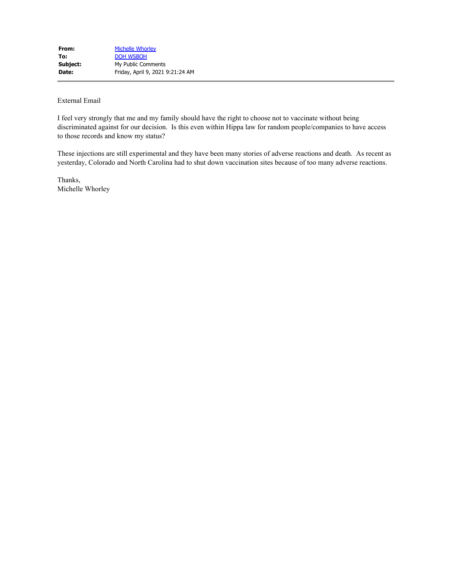I feel very strongly that me and my family should have the right to choose not to vaccinate without being discriminated against for our decision. Is this even within Hippa law for random people/companies to have access to those records and know my status?

These injections are still experimental and they have been many stories of adverse reactions and death. As recent as yesterday, Colorado and North Carolina had to shut down vaccination sites because of too many adverse reactions.

Thanks, Michelle Whorley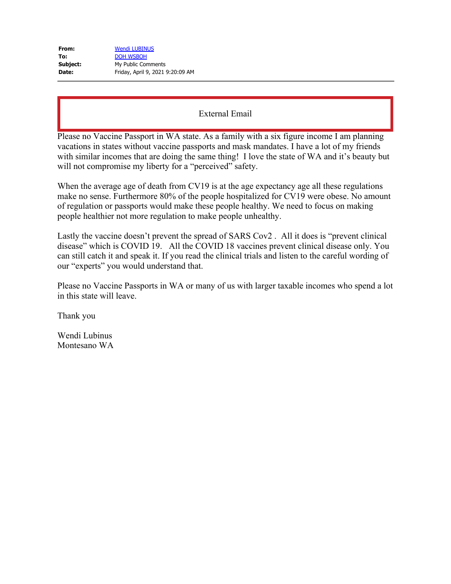| From:    | <b>Wendi LUBINUS</b>             |
|----------|----------------------------------|
| To:      | <b>DOH WSBOH</b>                 |
| Subject: | My Public Comments               |
| Date:    | Friday, April 9, 2021 9:20:09 AM |

Please no Vaccine Passport in WA state. As a family with a six figure income I am planning vacations in states without vaccine passports and mask mandates. I have a lot of my friends with similar incomes that are doing the same thing! I love the state of WA and it's beauty but will not compromise my liberty for a "perceived" safety.

When the average age of death from CV19 is at the age expectancy age all these regulations make no sense. Furthermore 80% of the people hospitalized for CV19 were obese. No amount of regulation or passports would make these people healthy. We need to focus on making people healthier not more regulation to make people unhealthy.

Lastly the vaccine doesn't prevent the spread of SARS Cov2 . All it does is "prevent clinical disease" which is COVID 19. All the COVID 18 vaccines prevent clinical disease only. You can still catch it and speak it. If you read the clinical trials and listen to the careful wording of our "experts" you would understand that.

Please no Vaccine Passports in WA or many of us with larger taxable incomes who spend a lot in this state will leave.

Thank you

Wendi Lubinus Montesano WA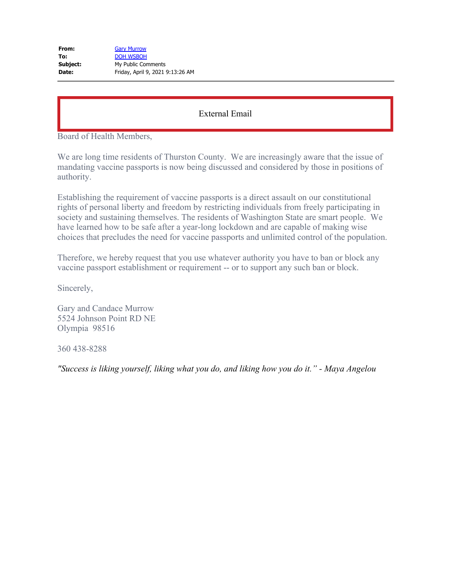| From:    | <b>Gary Murrow</b>               |
|----------|----------------------------------|
| To:      | <b>DOH WSBOH</b>                 |
| Subject: | My Public Comments               |
| Date:    | Friday, April 9, 2021 9:13:26 AM |

Board of Health Members,

We are long time residents of Thurston County. We are increasingly aware that the issue of mandating vaccine passports is now being discussed and considered by those in positions of authority.

Establishing the requirement of vaccine passports is a direct assault on our constitutional rights of personal liberty and freedom by restricting individuals from freely participating in society and sustaining themselves. The residents of Washington State are smart people. We have learned how to be safe after a year-long lockdown and are capable of making wise choices that precludes the need for vaccine passports and unlimited control of the population.

Therefore, we hereby request that you use whatever authority you have to ban or block any vaccine passport establishment or requirement -- or to support any such ban or block.

Sincerely,

Gary and Candace Murrow 5524 Johnson Point RD NE Olympia 98516

360 438-8288

*"Success is liking yourself, liking what you do, and liking how you do it." - Maya Angelou*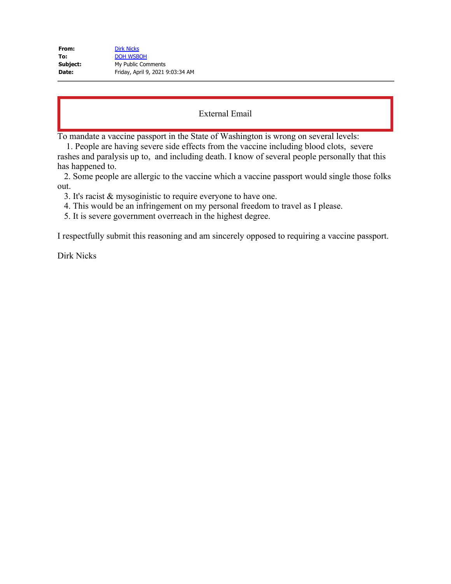| From:    | <b>Dirk Nicks</b>                |
|----------|----------------------------------|
| To:      | <b>DOH WSBOH</b>                 |
| Subject: | My Public Comments               |
| Date:    | Friday, April 9, 2021 9:03:34 AM |

To mandate a vaccine passport in the State of Washington is wrong on several levels:

 1. People are having severe side effects from the vaccine including blood clots, severe rashes and paralysis up to, and including death. I know of several people personally that this has happened to.

2. Some people are allergic to the vaccine which a vaccine passport would single those folks out.

3. It's racist & mysoginistic to require everyone to have one.

4. This would be an infringement on my personal freedom to travel as I please.

5. It is severe government overreach in the highest degree.

I respectfully submit this reasoning and am sincerely opposed to requiring a vaccine passport.

Dirk Nicks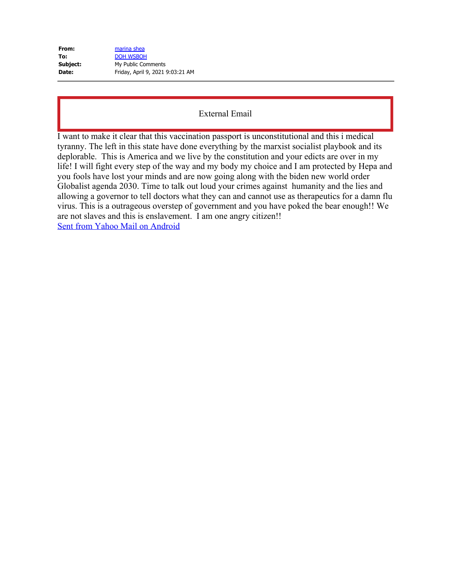| From:        | marina shea                      |
|--------------|----------------------------------|
| To:          | <b>DOH WSBOH</b>                 |
| Subject:     | My Public Comments               |
| <b>Date:</b> | Friday, April 9, 2021 9:03:21 AM |

I want to make it clear that this vaccination passport is unconstitutional and this i medical tyranny. The left in this state have done everything by the marxist socialist playbook and its deplorable. This is America and we live by the constitution and your edicts are over in my life! I will fight every step of the way and my body my choice and I am protected by Hepa and you fools have lost your minds and are now going along with the biden new world order Globalist agenda 2030. Time to talk out loud your crimes against humanity and the lies and allowing a governor to tell doctors what they can and cannot use as therapeutics for a damn flu virus. This is a outrageous overstep of government and you have poked the bear enough!! We are not slaves and this is enslavement. I am one angry citizen!! [Sent from Yahoo Mail on Android](https://gcc02.safelinks.protection.outlook.com/?url=https%3A%2F%2Fgo.onelink.me%2F107872968%3Fpid%3DInProduct%26c%3DGlobal_Internal_YGrowth_AndroidEmailSig__AndroidUsers%26af_wl%3Dym%26af_sub1%3DInternal%26af_sub2%3DGlobal_YGrowth%26af_sub3%3DEmailSignature&data=04%7C01%7Cwsboh%40sboh.wa.gov%7Cd7aef1ce94e7439b215308d8fb70fc69%7C11d0e217264e400a8ba057dcc127d72d%7C0%7C0%7C637535810006199559%7CUnknown%7CTWFpbGZsb3d8eyJWIjoiMC4wLjAwMDAiLCJQIjoiV2luMzIiLCJBTiI6Ik1haWwiLCJXVCI6Mn0%3D%7C3000&sdata=OXrjy0rD7sBzSyuAj5vNHhOVFl2thCEMNzc1rX1RqcM%3D&reserved=0)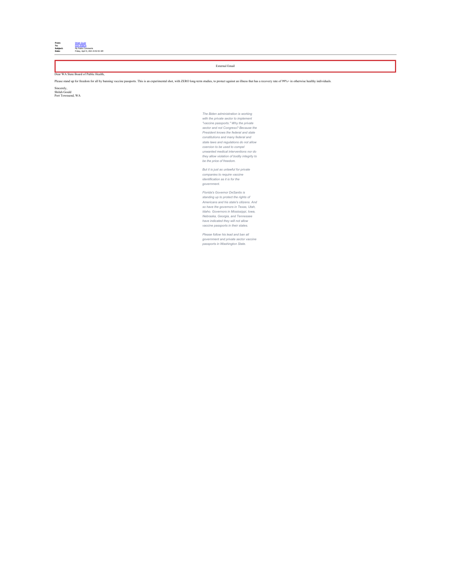

#### Dear WA State Board of Public Health,

Please stand up for freedom for all by banning vaccine passports. This is an experimental shot, with ZERO long-term studies, to protect against an illness that has a recovery rate of 99%+ in otherwise healthy individuals.

Sincerely, Shilah Gould Port Townsend, WA

*The Biden administration is working with the private sector to implement "vaccine passports." Why the private sector and not Congress? Because the President knows the federal and state* constitutions and many federal and<br>state laws and regulations do not allow<br>coercion to be used to compel<br>unwarted medical interventions nor do<br>they allow violation of bodily integrity to<br>be the price of freedom.

*But it is just as unlawful for private companies to require vaccine identification as it is for the government.*

*Florida's Governor DeSantis is* standing up to protect the rights of<br>Americans and his state's citizens. And<br>so have the governors in Texas, Utah,<br>Idaho. Governors in Mississippi, Iowa,<br>Nebraska, Georgia, and Tennessee<br>have indicated they will not allow<br>

*Please follow his lead and ban all government and private sector vaccine passports in Washington State.*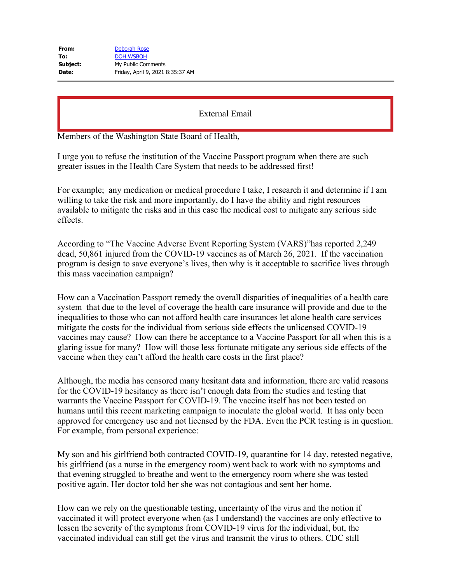Members of the Washington State Board of Health,

I urge you to refuse the institution of the Vaccine Passport program when there are such greater issues in the Health Care System that needs to be addressed first!

For example; any medication or medical procedure I take, I research it and determine if I am willing to take the risk and more importantly, do I have the ability and right resources available to mitigate the risks and in this case the medical cost to mitigate any serious side effects.

According to "The Vaccine Adverse Event Reporting System (VARS)"has reported 2,249 dead, 50,861 injured from the COVID-19 vaccines as of March 26, 2021. If the vaccination program is design to save everyone's lives, then why is it acceptable to sacrifice lives through this mass vaccination campaign?

How can a Vaccination Passport remedy the overall disparities of inequalities of a health care system that due to the level of coverage the health care insurance will provide and due to the inequalities to those who can not afford health care insurances let alone health care services mitigate the costs for the individual from serious side effects the unlicensed COVID-19 vaccines may cause? How can there be acceptance to a Vaccine Passport for all when this is a glaring issue for many? How will those less fortunate mitigate any serious side effects of the vaccine when they can't afford the health care costs in the first place?

Although, the media has censored many hesitant data and information, there are valid reasons for the COVID-19 hesitancy as there isn't enough data from the studies and testing that warrants the Vaccine Passport for COVID-19. The vaccine itself has not been tested on humans until this recent marketing campaign to inoculate the global world. It has only been approved for emergency use and not licensed by the FDA. Even the PCR testing is in question. For example, from personal experience:

My son and his girlfriend both contracted COVID-19, quarantine for 14 day, retested negative, his girlfriend (as a nurse in the emergency room) went back to work with no symptoms and that evening struggled to breathe and went to the emergency room where she was tested positive again. Her doctor told her she was not contagious and sent her home.

How can we rely on the questionable testing, uncertainty of the virus and the notion if vaccinated it will protect everyone when (as I understand) the vaccines are only effective to lessen the severity of the symptoms from COVID-19 virus for the individual, but, the vaccinated individual can still get the virus and transmit the virus to others. CDC still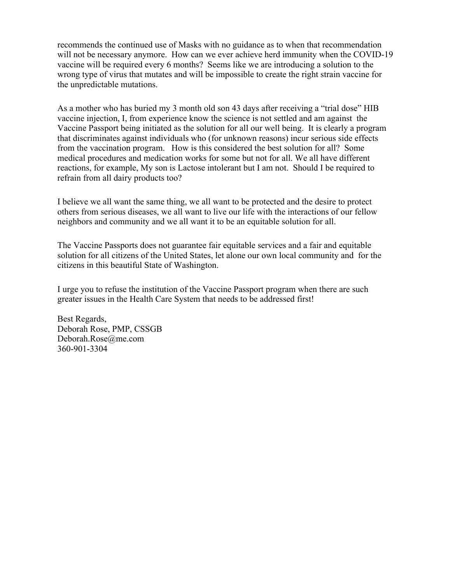recommends the continued use of Masks with no guidance as to when that recommendation will not be necessary anymore. How can we ever achieve herd immunity when the COVID-19 vaccine will be required every 6 months? Seems like we are introducing a solution to the wrong type of virus that mutates and will be impossible to create the right strain vaccine for the unpredictable mutations.

As a mother who has buried my 3 month old son 43 days after receiving a "trial dose" HIB vaccine injection, I, from experience know the science is not settled and am against the Vaccine Passport being initiated as the solution for all our well being. It is clearly a program that discriminates against individuals who (for unknown reasons) incur serious side effects from the vaccination program. How is this considered the best solution for all? Some medical procedures and medication works for some but not for all. We all have different reactions, for example, My son is Lactose intolerant but I am not. Should I be required to refrain from all dairy products too?

I believe we all want the same thing, we all want to be protected and the desire to protect others from serious diseases, we all want to live our life with the interactions of our fellow neighbors and community and we all want it to be an equitable solution for all.

The Vaccine Passports does not guarantee fair equitable services and a fair and equitable solution for all citizens of the United States, let alone our own local community and for the citizens in this beautiful State of Washington.

I urge you to refuse the institution of the Vaccine Passport program when there are such greater issues in the Health Care System that needs to be addressed first!

Best Regards, Deborah Rose, PMP, CSSGB Deborah.Rose@me.com 360-901-3304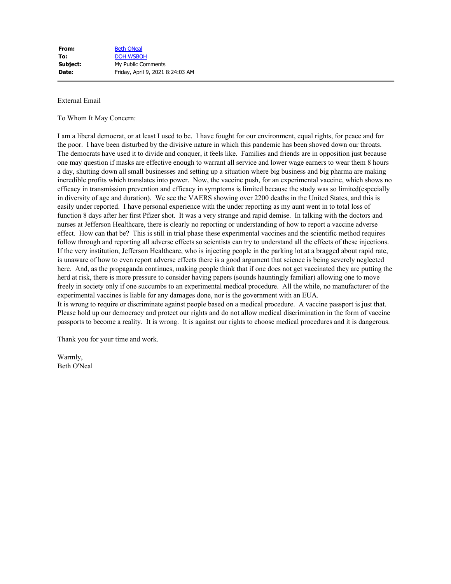#### To Whom It May Concern:

I am a liberal democrat, or at least I used to be. I have fought for our environment, equal rights, for peace and for the poor. I have been disturbed by the divisive nature in which this pandemic has been shoved down our throats. The democrats have used it to divide and conquer, it feels like. Families and friends are in opposition just because one may question if masks are effective enough to warrant all service and lower wage earners to wear them 8 hours a day, shutting down all small businesses and setting up a situation where big business and big pharma are making incredible profits which translates into power. Now, the vaccine push, for an experimental vaccine, which shows no efficacy in transmission prevention and efficacy in symptoms is limited because the study was so limited(especially in diversity of age and duration). We see the VAERS showing over 2200 deaths in the United States, and this is easily under reported. I have personal experience with the under reporting as my aunt went in to total loss of function 8 days after her first Pfizer shot. It was a very strange and rapid demise. In talking with the doctors and nurses at Jefferson Healthcare, there is clearly no reporting or understanding of how to report a vaccine adverse effect. How can that be? This is still in trial phase these experimental vaccines and the scientific method requires follow through and reporting all adverse effects so scientists can try to understand all the effects of these injections. If the very institution, Jefferson Healthcare, who is injecting people in the parking lot at a bragged about rapid rate, is unaware of how to even report adverse effects there is a good argument that science is being severely neglected here. And, as the propaganda continues, making people think that if one does not get vaccinated they are putting the herd at risk, there is more pressure to consider having papers (sounds hauntingly familiar) allowing one to move freely in society only if one succumbs to an experimental medical procedure. All the while, no manufacturer of the experimental vaccines is liable for any damages done, nor is the government with an EUA. It is wrong to require or discriminate against people based on a medical procedure. A vaccine passport is just that.

Please hold up our democracy and protect our rights and do not allow medical discrimination in the form of vaccine passports to become a reality. It is wrong. It is against our rights to choose medical procedures and it is dangerous.

Thank you for your time and work.

Warmly, Beth O'Neal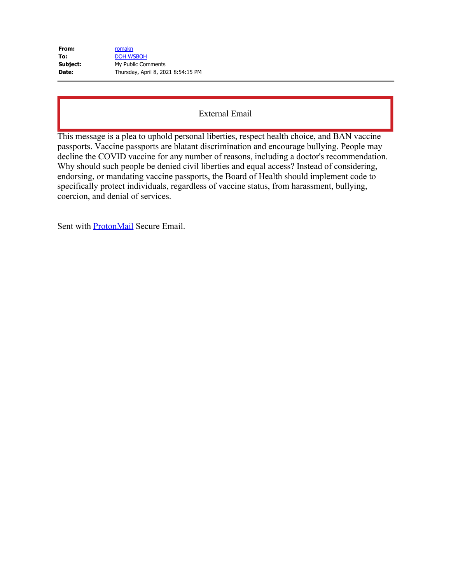| From:    | romakn                             |
|----------|------------------------------------|
| To:      | <b>DOH WSBOH</b>                   |
| Subject: | My Public Comments                 |
| Date:    | Thursday, April 8, 2021 8:54:15 PM |

This message is a plea to uphold personal liberties, respect health choice, and BAN vaccine passports. Vaccine passports are blatant discrimination and encourage bullying. People may decline the COVID vaccine for any number of reasons, including a doctor's recommendation. Why should such people be denied civil liberties and equal access? Instead of considering, endorsing, or mandating vaccine passports, the Board of Health should implement code to specifically protect individuals, regardless of vaccine status, from harassment, bullying, coercion, and denial of services.

Sent with **ProtonMail** Secure Email.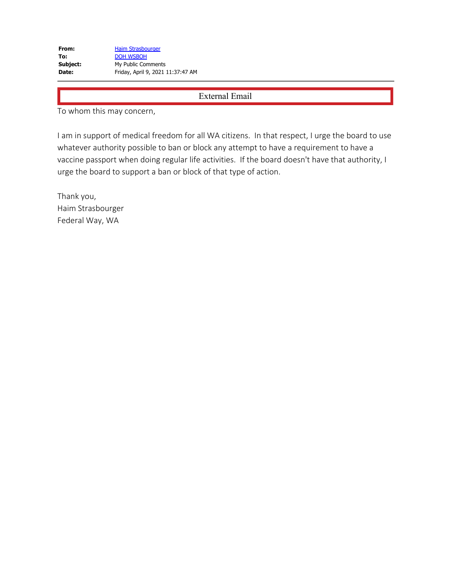To whom this may concern,

I am in support of medical freedom for all WA citizens. In that respect, I urge the board to use whatever authority possible to ban or block any attempt to have a requirement to have a vaccine passport when doing regular life activities. If the board doesn't have that authority, I urge the board to support a ban or block of that type of action.

Thank you, Haim Strasbourger Federal Way, WA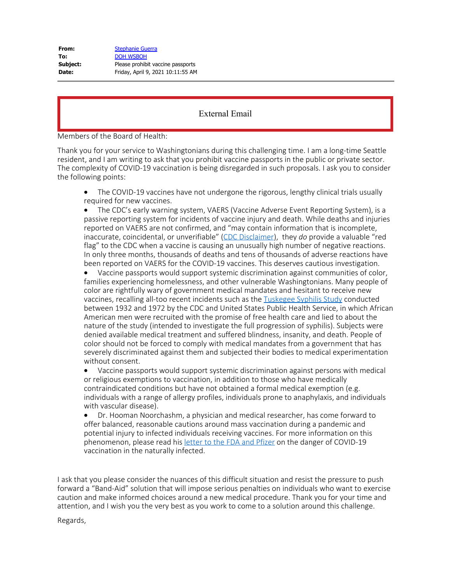| <b>Stephanie Guerra</b>           |
|-----------------------------------|
| <b>DOH WSBOH</b>                  |
| Please prohibit vaccine passports |
| Friday, April 9, 2021 10:11:55 AM |
|                                   |

Members of the Board of Health:

Thank you for your service to Washingtonians during this challenging time. I am a long-time Seattle resident, and I am writing to ask that you prohibit vaccine passports in the public or private sector. The complexity of COVID-19 vaccination is being disregarded in such proposals. I ask you to consider the following points:

• The COVID-19 vaccines have not undergone the rigorous, lengthy clinical trials usually required for new vaccines.

The CDC's early warning system, VAERS (Vaccine Adverse Event Reporting System), is a passive reporting system for incidents of vaccine injury and death. While deaths and injuries reported on VAERS are not confirmed, and "may contain information that is incomplete, inaccurate, coincidental, or unverifiable" [\(CDC Disclaimer](https://gcc02.safelinks.protection.outlook.com/?url=https%3A%2F%2Fwonder.cdc.gov%2Fwonder%2Fhelp%2Fvaers.html&data=04%7C01%7Cwsboh%40sboh.wa.gov%7C8af081d8694e4fec6fb708d8fb7a724a%7C11d0e217264e400a8ba057dcc127d72d%7C0%7C0%7C637535851153762473%7CUnknown%7CTWFpbGZsb3d8eyJWIjoiMC4wLjAwMDAiLCJQIjoiV2luMzIiLCJBTiI6Ik1haWwiLCJXVCI6Mn0%3D%7C3000&sdata=HuTz1u5AbCAm8gY0at405%2FjJcERkO0gIIbsGQWLUq0k%3D&reserved=0)), they *do* provide a valuable "red flag" to the CDC when a vaccine is causing an unusually high number of negative reactions. In only three months, thousands of deaths and tens of thousands of adverse reactions have been reported on VAERS for the COVID-19 vaccines. This deserves cautious investigation.

· Vaccine passports would support systemic discrimination against communities of color, families experiencing homelessness, and other vulnerable Washingtonians. Many people of color are rightfully wary of government medical mandates and hesitant to receive new vaccines, recalling all-too recent incidents such as the [Tuskegee Syphilis Study](https://gcc02.safelinks.protection.outlook.com/?url=https%3A%2F%2Fwww.history.com%2Fnews%2Fthe-infamous-40-year-tuskegee-study&data=04%7C01%7Cwsboh%40sboh.wa.gov%7C8af081d8694e4fec6fb708d8fb7a724a%7C11d0e217264e400a8ba057dcc127d72d%7C0%7C0%7C637535851153762473%7CUnknown%7CTWFpbGZsb3d8eyJWIjoiMC4wLjAwMDAiLCJQIjoiV2luMzIiLCJBTiI6Ik1haWwiLCJXVCI6Mn0%3D%7C3000&sdata=wY0s1QtakyioKqx1dw0QuvlCwjnvC9Q714wI8Xcl6XQ%3D&reserved=0) conducted between 1932 and 1972 by the CDC and United States Public Health Service, in which African American men were recruited with the promise of free health care and lied to about the nature of the study (intended to investigate the full progression of syphilis). Subjects were denied available medical treatment and suffered blindness, insanity, and death. People of color should not be forced to comply with medical mandates from a government that has severely discriminated against them and subjected their bodies to medical experimentation without consent.

· Vaccine passports would support systemic discrimination against persons with medical or religious exemptions to vaccination, in addition to those who have medically contraindicated conditions but have not obtained a formal medical exemption (e.g. individuals with a range of allergy profiles, individuals prone to anaphylaxis, and individuals with vascular disease).

· Dr. Hooman Noorchashm, a physician and medical researcher, has come forward to offer balanced, reasonable cautions around mass vaccination during a pandemic and potential injury to infected individuals receiving vaccines. For more information on this phenomenon, please read his [letter to the FDA and Pfizer](https://gcc02.safelinks.protection.outlook.com/?url=https%3A%2F%2Fnoorchashm.medium.com%2Fa-letter-of-warning-to-fda-and-pfizer-on-the-immunological-danger-of-covid-19-vaccination-in-the-7d17d037982d&data=04%7C01%7Cwsboh%40sboh.wa.gov%7C8af081d8694e4fec6fb708d8fb7a724a%7C11d0e217264e400a8ba057dcc127d72d%7C0%7C0%7C637535851153772432%7CUnknown%7CTWFpbGZsb3d8eyJWIjoiMC4wLjAwMDAiLCJQIjoiV2luMzIiLCJBTiI6Ik1haWwiLCJXVCI6Mn0%3D%7C3000&sdata=LyKxuMGjMddo8WKVrrqXPWvaIgKk7mvZppU0%2FkagoEw%3D&reserved=0) on the danger of COVID-19 vaccination in the naturally infected.

I ask that you please consider the nuances of this difficult situation and resist the pressure to push forward a "Band-Aid" solution that will impose serious penalties on individuals who want to exercise caution and make informed choices around a new medical procedure. Thank you for your time and attention, and I wish you the very best as you work to come to a solution around this challenge.

Regards,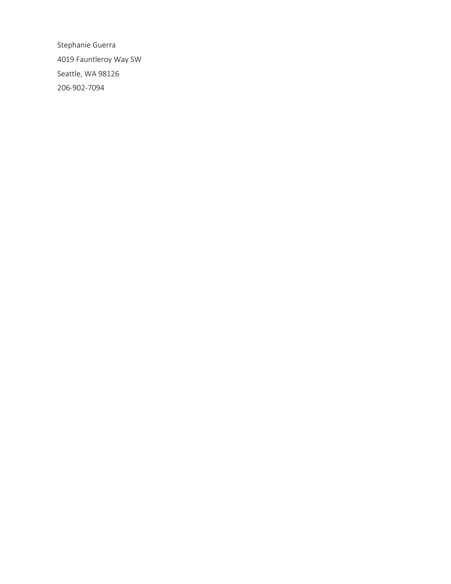Stephanie Guerra 4019 Fauntleroy Way SW Seattle, WA 98126 206-902-7094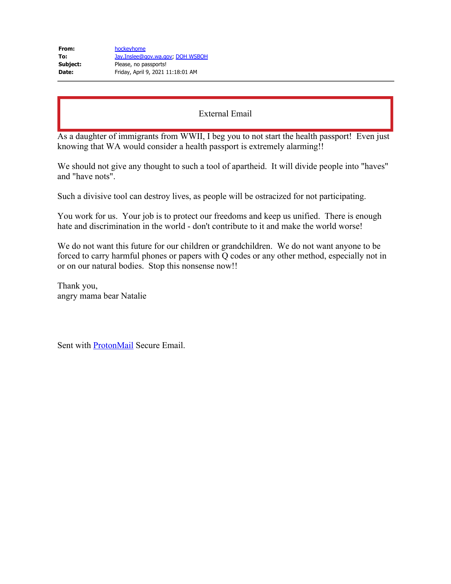| Jay.Inslee@gov.wa.gov, DOH WSBOH  |
|-----------------------------------|
|                                   |
| Friday, April 9, 2021 11:18:01 AM |
|                                   |

As a daughter of immigrants from WWII, I beg you to not start the health passport! Even just knowing that WA would consider a health passport is extremely alarming!!

We should not give any thought to such a tool of apartheid. It will divide people into "haves" and "have nots".

Such a divisive tool can destroy lives, as people will be ostracized for not participating.

You work for us. Your job is to protect our freedoms and keep us unified. There is enough hate and discrimination in the world - don't contribute to it and make the world worse!

We do not want this future for our children or grandchildren. We do not want anyone to be forced to carry harmful phones or papers with Q codes or any other method, especially not in or on our natural bodies. Stop this nonsense now!!

Thank you, angry mama bear Natalie

Sent with [ProtonMail](https://gcc02.safelinks.protection.outlook.com/?url=https%3A%2F%2Fprotonmail.com%2F&data=04%7C01%7Cwsboh%40sboh.wa.gov%7C4acd8958d02240b6e99f08d8fb83cd7b%7C11d0e217264e400a8ba057dcc127d72d%7C0%7C0%7C637535890809623050%7CUnknown%7CTWFpbGZsb3d8eyJWIjoiMC4wLjAwMDAiLCJQIjoiV2luMzIiLCJBTiI6Ik1haWwiLCJXVCI6Mn0%3D%7C2000&sdata=Aw5QNugCVMUw2rzYMrPNnySl7UyCxMBUXaS0S1wZvOc%3D&reserved=0) Secure Email.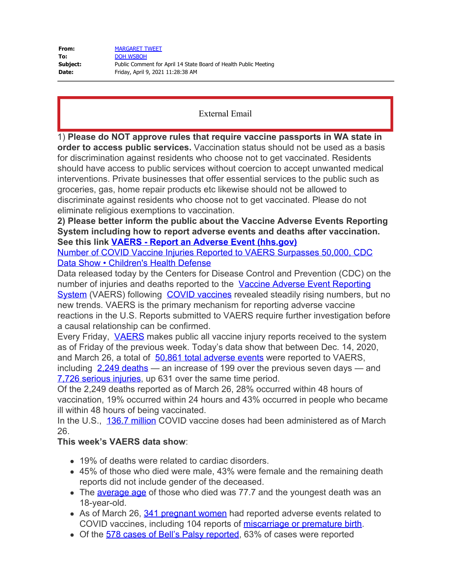| From:    | <b>MARGARET TWEET</b>                                            |
|----------|------------------------------------------------------------------|
| To:      | DOH WSBOH                                                        |
| Subject: | Public Comment for April 14 State Board of Health Public Meeting |
| Date:    | Friday, April 9, 2021 11:28:38 AM                                |

1) **Please do NOT approve rules that require vaccine passports in WA state in order to access public services.** Vaccination status should not be used as a basis for discrimination against residents who choose not to get vaccinated. Residents should have access to public services without coercion to accept unwanted medical interventions. Private businesses that offer essential services to the public such as groceries, gas, home repair products etc likewise should not be allowed to discriminate against residents who choose not to get vaccinated. Please do not eliminate religious exemptions to vaccination.

**2) Please better inform the public about the Vaccine Adverse Events Reporting System including how to report adverse events and deaths after vaccination. See this link [VAERS - Report an Adverse Event \(hhs.gov\)](https://gcc02.safelinks.protection.outlook.com/?url=https%3A%2F%2Fvaers.hhs.gov%2Freportevent.html&data=04%7C01%7Cwsboh%40sboh.wa.gov%7C9cfecc33b4d9426f9f1808d8fb84f06e%7C11d0e217264e400a8ba057dcc127d72d%7C0%7C0%7C637535897175300119%7CUnknown%7CTWFpbGZsb3d8eyJWIjoiMC4wLjAwMDAiLCJQIjoiV2luMzIiLCJBTiI6Ik1haWwiLCJXVCI6Mn0%3D%7C3000&sdata=KzPxUtznWgRMbgng3b5PvBUCEU%2FA4%2FaeGPghjd9Rnug%3D&reserved=0)**

[Number of COVID Vaccine Injuries Reported to VAERS Surpasses 50,000, CDC](https://gcc02.safelinks.protection.outlook.com/?url=https%3A%2F%2Fchildrenshealthdefense.org%2Fdefender%2Fcovid-vaccine-injuries-vaers-cdc%2F&data=04%7C01%7Cwsboh%40sboh.wa.gov%7C9cfecc33b4d9426f9f1808d8fb84f06e%7C11d0e217264e400a8ba057dcc127d72d%7C0%7C0%7C637535897175300119%7CUnknown%7CTWFpbGZsb3d8eyJWIjoiMC4wLjAwMDAiLCJQIjoiV2luMzIiLCJBTiI6Ik1haWwiLCJXVCI6Mn0%3D%7C3000&sdata=nhioWy9nsfrGKiBzeqZGanfRd44GkdkDiXRTxtZQzGQ%3D&reserved=0) [Data Show • Children's Health Defense](https://gcc02.safelinks.protection.outlook.com/?url=https%3A%2F%2Fchildrenshealthdefense.org%2Fdefender%2Fcovid-vaccine-injuries-vaers-cdc%2F&data=04%7C01%7Cwsboh%40sboh.wa.gov%7C9cfecc33b4d9426f9f1808d8fb84f06e%7C11d0e217264e400a8ba057dcc127d72d%7C0%7C0%7C637535897175300119%7CUnknown%7CTWFpbGZsb3d8eyJWIjoiMC4wLjAwMDAiLCJQIjoiV2luMzIiLCJBTiI6Ik1haWwiLCJXVCI6Mn0%3D%7C3000&sdata=nhioWy9nsfrGKiBzeqZGanfRd44GkdkDiXRTxtZQzGQ%3D&reserved=0)

Data released today by the Centers for Disease Control and Prevention (CDC) on the number of injuries and deaths reported to the [Vaccine Adverse Event Reporting](https://gcc02.safelinks.protection.outlook.com/?url=https%3A%2F%2Fvaers.hhs.gov%2Freportevent.html&data=04%7C01%7Cwsboh%40sboh.wa.gov%7C9cfecc33b4d9426f9f1808d8fb84f06e%7C11d0e217264e400a8ba057dcc127d72d%7C0%7C0%7C637535897175310082%7CUnknown%7CTWFpbGZsb3d8eyJWIjoiMC4wLjAwMDAiLCJQIjoiV2luMzIiLCJBTiI6Ik1haWwiLCJXVCI6Mn0%3D%7C3000&sdata=go0Ukp%2B0AQZdtF4PXXo4KuQVOKhapPOKwk%2BaykEg7E8%3D&reserved=0) [System](https://gcc02.safelinks.protection.outlook.com/?url=https%3A%2F%2Fvaers.hhs.gov%2Freportevent.html&data=04%7C01%7Cwsboh%40sboh.wa.gov%7C9cfecc33b4d9426f9f1808d8fb84f06e%7C11d0e217264e400a8ba057dcc127d72d%7C0%7C0%7C637535897175310082%7CUnknown%7CTWFpbGZsb3d8eyJWIjoiMC4wLjAwMDAiLCJQIjoiV2luMzIiLCJBTiI6Ik1haWwiLCJXVCI6Mn0%3D%7C3000&sdata=go0Ukp%2B0AQZdtF4PXXo4KuQVOKhapPOKwk%2BaykEg7E8%3D&reserved=0) (VAERS) following [COVID vaccines](https://gcc02.safelinks.protection.outlook.com/?url=https%3A%2F%2Fchildrenshealthdefense.org%2Fdefender%2Fcovid-19-vaccine-news%2F&data=04%7C01%7Cwsboh%40sboh.wa.gov%7C9cfecc33b4d9426f9f1808d8fb84f06e%7C11d0e217264e400a8ba057dcc127d72d%7C0%7C0%7C637535897175310082%7CUnknown%7CTWFpbGZsb3d8eyJWIjoiMC4wLjAwMDAiLCJQIjoiV2luMzIiLCJBTiI6Ik1haWwiLCJXVCI6Mn0%3D%7C3000&sdata=FvAflycx%2BuLaKsHA31wLf%2Fp6cdaxMT6nalMh5iU16VI%3D&reserved=0) revealed steadily rising numbers, but no new trends. VAERS is the primary mechanism for reporting adverse vaccine reactions in the U.S. Reports submitted to VAERS require further investigation before a causal relationship can be confirmed.

Every Friday, [VAERS](https://gcc02.safelinks.protection.outlook.com/?url=https%3A%2F%2Fchildrenshealthdefense.org%2Fdefender%2Frfk-jr-david-kessler-covid-vaccine-vaers%2F&data=04%7C01%7Cwsboh%40sboh.wa.gov%7C9cfecc33b4d9426f9f1808d8fb84f06e%7C11d0e217264e400a8ba057dcc127d72d%7C0%7C0%7C637535897175310082%7CUnknown%7CTWFpbGZsb3d8eyJWIjoiMC4wLjAwMDAiLCJQIjoiV2luMzIiLCJBTiI6Ik1haWwiLCJXVCI6Mn0%3D%7C3000&sdata=7JmLsQFq2%2FtR7fC1q1arKEODMreejhek5qxMIPCrTW8%3D&reserved=0) makes public all vaccine injury reports received to the system as of Friday of the previous week. Today's data show that between Dec. 14, 2020, and March 26, a total of [50,861 total adverse events](https://gcc02.safelinks.protection.outlook.com/?url=https%3A%2F%2Fwww.medalerts.org%2Fvaersdb%2Ffindfield.php%3FTABLE%3DON%26GROUP1%3DCAT%26EVENTS%3DON%26VAX%3DCOVID19&data=04%7C01%7Cwsboh%40sboh.wa.gov%7C9cfecc33b4d9426f9f1808d8fb84f06e%7C11d0e217264e400a8ba057dcc127d72d%7C0%7C0%7C637535897175320036%7CUnknown%7CTWFpbGZsb3d8eyJWIjoiMC4wLjAwMDAiLCJQIjoiV2luMzIiLCJBTiI6Ik1haWwiLCJXVCI6Mn0%3D%7C3000&sdata=4hA1xyDtLQzybLTYZ3K7WC%2B58%2B8w3CXzZQjuSVpNyHw%3D&reserved=0) were reported to VAERS, including  $2,249$  deaths — an increase of 199 over the previous seven days — and [7,726 serious injuries](https://gcc02.safelinks.protection.outlook.com/?url=https%3A%2F%2Fwww.medalerts.org%2Fvaersdb%2Ffindfield.php%3FTABLE%3DON%26GROUP1%3DAGE%26EVENTS%3DON%26VAX%3DCOVID19%26SERIOUS%3DON&data=04%7C01%7Cwsboh%40sboh.wa.gov%7C9cfecc33b4d9426f9f1808d8fb84f06e%7C11d0e217264e400a8ba057dcc127d72d%7C0%7C0%7C637535897175320036%7CUnknown%7CTWFpbGZsb3d8eyJWIjoiMC4wLjAwMDAiLCJQIjoiV2luMzIiLCJBTiI6Ik1haWwiLCJXVCI6Mn0%3D%7C3000&sdata=ddgG4CxAQod6AR9FbmWPRGfRU0TmMJGJ5ill3Qen6qU%3D&reserved=0), up 631 over the same time period.

Of the 2,249 deaths reported as of March 26, 28% occurred within 48 hours of vaccination, 19% occurred within 24 hours and 43% occurred in people who became ill within 48 hours of being vaccinated.

In the U.S., [136.7 million](https://gcc02.safelinks.protection.outlook.com/?url=https:%2F%2Fourworldindata.org%2Fgrapher%2Fcumulative-covid-vaccinations%3Ftab%3Dchart%26stackMode%3Dabsolute%26country%3D~USA%26region%3DWorld&data=04%7C01%7Cwsboh%40sboh.wa.gov%7C9cfecc33b4d9426f9f1808d8fb84f06e%7C11d0e217264e400a8ba057dcc127d72d%7C0%7C0%7C637535897175329993%7CUnknown%7CTWFpbGZsb3d8eyJWIjoiMC4wLjAwMDAiLCJQIjoiV2luMzIiLCJBTiI6Ik1haWwiLCJXVCI6Mn0%3D%7C3000&sdata=o1ZoX5cz1m%2Fc9zrdeLOALez%2F6kUBm7%2BZEPX2FSV%2Fjeg%3D&reserved=0) COVID vaccine doses had been administered as of March 26.

# **This week's VAERS data show**:

- 19% of deaths were related to cardiac disorders.
- 45% of those who died were male, 43% were female and the remaining death reports did not include gender of the deceased.
- The [average age](https://gcc02.safelinks.protection.outlook.com/?url=https%3A%2F%2Fwww.medalerts.org%2Fvaersdb%2Ffindfield.php%3FTABLE%3DON%26GROUP1%3DAGE%26EVENTS%3DON%26VAX%3DCOVID19%26DIED%3DYes&data=04%7C01%7Cwsboh%40sboh.wa.gov%7C9cfecc33b4d9426f9f1808d8fb84f06e%7C11d0e217264e400a8ba057dcc127d72d%7C0%7C0%7C637535897175329993%7CUnknown%7CTWFpbGZsb3d8eyJWIjoiMC4wLjAwMDAiLCJQIjoiV2luMzIiLCJBTiI6Ik1haWwiLCJXVCI6Mn0%3D%7C3000&sdata=%2FolSDzRbDcOgwq5jYRM%2FH8Cl9prpZ9tY0UA1TPncbok%3D&reserved=0) of those who died was 77.7 and the youngest death was an 18-year-old.
- As of March 26, [341 pregnant women](https://gcc02.safelinks.protection.outlook.com/?url=https%3A%2F%2Fwww.medalerts.org%2Fvaersdb%2Ffindfield.php%3FTABLE%3DON%26GROUP1%3DDIS%26EVENTS%3DON%26SYMPTOMS%5B%5D%3DAbnormal%2Blabour%2B%252810000153%2529%26SYMPTOMS%5B%5D%3DAbnormal%2Blabour%2Baffecting%2Bfoetus%2B%252810000154%2529%26SYMPTOMS%5B%5D%3DAborted%2Bpregnancy%2B%252810000209%2529%26SYMPTOMS%5B%5D%3DAbortion%2B%252810000210%2529%26SYMPTOMS%5B%5D%3DAbortion%2Bcomplete%2B%252810061614%2529%26SYMPTOMS%5B%5D%3DAbortion%2Bearly%2B%252810052846%2529%26SYMPTOMS%5B%5D%3DAbortion%2Bspontaneous%2B%252810000234%2529%26SYMPTOMS%5B%5D%3DAbortion%2Bspontaneous%2Bcomplete%2B%252810061616%2529%26SYMPTOMS%5B%5D%3DAbortion%2Bspontaneous%2Bincomplete%2B%252810061617%2529%26SYMPTOMS%5B%5D%3DExposure%2Bduring%2Bpregnancy%2B%252810073513%2529%26SYMPTOMS%5B%5D%3DFoetal-maternal%2Bhaemorrhage%2B%252810016871%2529%26SYMPTOMS%5B%5D%3DFoetal%2Bcardiac%2Bdisorder%2B%252810052088%2529%26SYMPTOMS%5B%5D%3DFoetal%2Bdamage%2B%252810016852%2529%26SYMPTOMS%5B%5D%3DFoetal%2Bdeath%2B%252810055690%2529%26SYMPTOMS%5B%5D%3DFoetal%2Bdisorder%2B%252810061157%2529%26SYMPTOMS%5B%5D%3DFoetal%2Bdistress%2Bsyndrome%2B%252810016855%2529%26SYMPTOMS%5B%5D%3DFoetal%2Bexposure%2Bduring%2Bpregnancy%2B%252810071404%2529%26SYMPTOMS%5B%5D%3DFoetal%2Bgrowth%2Babnormality%2B%252810077582%2529%26SYMPTOMS%5B%5D%3DFoetal%2Bheart%2Brate%2Babnormal%2B%252810051139%2529%26SYMPTOMS%5B%5D%3DFoetal%2Bheart%2Brate%2Bdeceleration%2B%252810058322%2529%26SYMPTOMS%5B%5D%3DFoetal%2Bheart%2Brate%2Bdeceleration%2Babnormality%2B%252810074636%2529%26SYMPTOMS%5B%5D%3DFoetal%2Bheart%2Brate%2Bdecreased%2B%252810051136%2529%26SYMPTOMS%5B%5D%3DFoetal%2Bheart%2Brate%2Bdisorder%2B%252810061158%2529%26SYMPTOMS%5B%5D%3DFoetal%2Bheart%2Brate%2Bincreased%2B%252810051138%2529%26SYMPTOMS%5B%5D%3DFoetal%2Bmovement%2Bdisorder%2B%252810077576%2529%26SYMPTOMS%5B%5D%3DFoetal%2Bmovements%2Bdecreased%2B%252810016866%2529%26SYMPTOMS%5B%5D%3DHaemorrhage%2B%252810055798%2529%26SYMPTOMS%5B%5D%3DHaemorrhage%2Bin%2Bpregnancy%2B%252810018981%2529%26SYMPTOMS%5B%5D%3DPlacental%2Bcalcif) had reported adverse events related to COVID vaccines, including 104 reports of [miscarriage or premature birth.](https://gcc02.safelinks.protection.outlook.com/?url=https%3A%2F%2Fwww.medalerts.org%2Fvaersdb%2Ffindfield.php%3FTABLE%3DON%26GROUP1%3DAGE%26EVENTS%3DON%26SYMPTOMS%5B%5D%3DAborted%2Bpregnancy%2B%252810000209%2529%26SYMPTOMS%5B%5D%3DAbortion%2B%252810000210%2529%26SYMPTOMS%5B%5D%3DAbortion%2Bspontaneous%2B%252810000234%2529%26SYMPTOMS%5B%5D%3DAbortion%2Bspontaneous%2Bcomplete%2B%252810061616%2529%26SYMPTOMS%5B%5D%3DAbortion%2Bspontaneous%2Bincomplete%2B%252810061617%2529%26SYMPTOMS%5B%5D%3DAbortion%2Bthreatened%2B%252810000242%2529%26SYMPTOMS%5B%5D%3DFoetal-maternal%2Bhaemorrhage%2B%252810016871%2529%26SYMPTOMS%5B%5D%3DFoetal%2Bcardiac%2Bdisorder%2B%252810052088%2529%26SYMPTOMS%5B%5D%3DFoetal%2Bdamage%2B%252810016852%2529%26SYMPTOMS%5B%5D%3DFoetal%2Bdeath%2B%252810055690%2529%26SYMPTOMS%5B%5D%3DFoetal%2Bdisorder%2B%252810061157%2529%26SYMPTOMS%5B%5D%3DFoetal%2Bdistress%2Bsyndrome%2B%252810016855%2529%26SYMPTOMS%5B%5D%3DFoetal%2Bheart%2Brate%2Babnormal%2B%252810051139%2529%26SYMPTOMS%5B%5D%3DFoetal%2Bheart%2Brate%2Bdeceleration%2B%252810058322%2529%26SYMPTOMS%5B%5D%3DFoetal%2Bheart%2Brate%2Bdeceleration%2Babnormality%2B%252810074636%2529%26SYMPTOMS%5B%5D%3DFoetal%2Bheart%2Brate%2Bdecreased%2B%252810051136%2529%26SYMPTOMS%5B%5D%3DFoetal%2Bheart%2Brate%2Bdisorder%2B%252810061158%2529%26SYMPTOMS%5B%5D%3DFoetal%2Bheart%2Brate%2Bincreased%2B%252810051138%2529%26SYMPTOMS%5B%5D%3DFoetal%2Bhypokinesia%2B%252810068461%2529%26SYMPTOMS%5B%5D%3DFoetal%2Bmalformation%2B%252810060919%2529%26SYMPTOMS%5B%5D%3DFoetal%2Bmalpresentation%2B%252810058013%2529%26SYMPTOMS%5B%5D%3DFoetal%2Bmonitoring%2Babnormal%2B%252810071507%2529%26SYMPTOMS%5B%5D%3DFoetal%2Bmovement%2Bdisorder%2B%252810077576%2529%26SYMPTOMS%5B%5D%3DFoetal%2Bmovements%2Bdecreased%2B%252810016866%2529%26SYMPTOMS%5B%5D%3DFoetal%2Bnon-stress%2Btest%2Babnormal%2B%252810071516%2529%26SYMPTOMS%5B%5D%3DPlacental%2Bdisorder%2B%252810035132%2529%26SYMPTOMS%5B%5D%3DPregnancy%2Binduced%2Bhypertension%2B%252810036563%2529%26SYMPTOMS%5B%5D%3DPremature%2Bbaby%2B%252810036590%2529%26SYMPTOMS%5B%5D%3DPremature%2Bbaby%2Bd)
- Of the [578 cases of Bell's Palsy reported,](https://gcc02.safelinks.protection.outlook.com/?url=https%3A%2F%2Fwww.medalerts.org%2Fvaersdb%2Ffindfield.php%3FTABLE%3DON%26GROUP1%3DMAN%26EVENTS%3DON%26SYMPTOMS%5B%5D%3DBell%2527s%2Bpalsy%2B%252810004223%2529%26SYMPTOMS%5B%5D%3DFacial%2Bdiscomfort%2B%252810083537%2529%26SYMPTOMS%5B%5D%3DFacial%2Bdysmorphism%2B%252810016045%2529%26SYMPTOMS%5B%5D%3DFacial%2Bnerve%2Bdisorder%2B%252810061457%2529%26SYMPTOMS%5B%5D%3DFacial%2Bneuralgia%2B%252810061594%2529%26SYMPTOMS%5B%5D%3DFacial%2Bpalsy%2B%252810016060%2529%26SYMPTOMS%5B%5D%3DFacial%2Bparalysis%2B%252810016062%2529%26SYMPTOMS%5B%5D%3DFacial%2Bparesis%2B%252810051267%2529%26SYMPTOMS%5B%5D%3DFacial%2Bspasm%2B%252810063006%2529%26VAX%3DCOVID19&data=04%7C01%7Cwsboh%40sboh.wa.gov%7C9cfecc33b4d9426f9f1808d8fb84f06e%7C11d0e217264e400a8ba057dcc127d72d%7C0%7C0%7C637535897175349909%7CUnknown%7CTWFpbGZsb3d8eyJWIjoiMC4wLjAwMDAiLCJQIjoiV2luMzIiLCJBTiI6Ik1haWwiLCJXVCI6Mn0%3D%7C3000&sdata=VlgsFMvUGRDWmIIvtHmIHMcI2A%2Ft8%2BRd96EruoVesLA%3D&reserved=0) 63% of cases were reported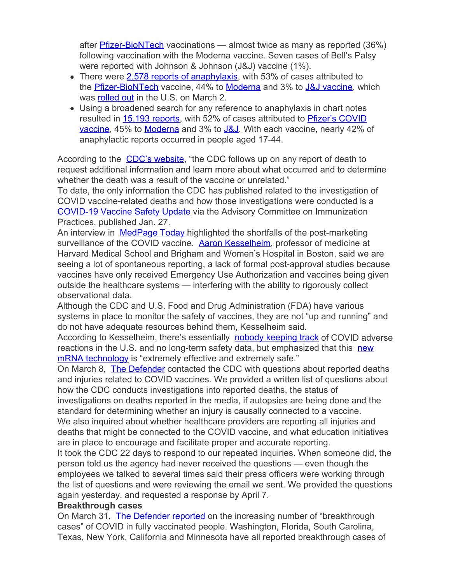after [Pfizer-BioNTech](https://gcc02.safelinks.protection.outlook.com/?url=https%3A%2F%2Fchildrenshealthdefense.org%2Fdefender%2Ffda-misled-public-pfizer-vaccine-efficacy%2F&data=04%7C01%7Cwsboh%40sboh.wa.gov%7C9cfecc33b4d9426f9f1808d8fb84f06e%7C11d0e217264e400a8ba057dcc127d72d%7C0%7C0%7C637535897175349909%7CUnknown%7CTWFpbGZsb3d8eyJWIjoiMC4wLjAwMDAiLCJQIjoiV2luMzIiLCJBTiI6Ik1haWwiLCJXVCI6Mn0%3D%7C3000&sdata=dA5D5xB3a1RL1HKsf%2FARAohKP4denUIzJMHw%2FXjjMxo%3D&reserved=0) vaccinations — almost twice as many as reported (36%) following vaccination with the Moderna vaccine. Seven cases of Bell's Palsy were reported with Johnson & Johnson (J&J) vaccine (1%).

- There were [2,578 reports of anaphylaxis,](https://gcc02.safelinks.protection.outlook.com/?url=https%3A%2F%2Fwww.medalerts.org%2Fvaersdb%2Ffindfield.php%3FTABLE%3DON%26GROUP1%3DMAN%26EVENTS%3DON%26SYMPTOMS%5B%5D%3DAnaphylactic%2Breaction%2B%252810002198%2529%26SYMPTOMS%5B%5D%3DAnaphylactic%2Bshock%2B%252810002199%2529%26SYMPTOMS%5B%5D%3DAnaphylactoid%2Breaction%2B%252810002216%2529%26SYMPTOMS%5B%5D%3DAnaphylactoid%2Bshock%2B%252810063119%2529%26SYMPTOMS%5B%5D%3DSwollen%2Btongue%2B%252810042727%2529%26SYMPTOMS%5B%5D%3DUrticaria%2B%252810046735%2529%26VAX%3DCOVID19&data=04%7C01%7Cwsboh%40sboh.wa.gov%7C9cfecc33b4d9426f9f1808d8fb84f06e%7C11d0e217264e400a8ba057dcc127d72d%7C0%7C0%7C637535897175349909%7CUnknown%7CTWFpbGZsb3d8eyJWIjoiMC4wLjAwMDAiLCJQIjoiV2luMzIiLCJBTiI6Ik1haWwiLCJXVCI6Mn0%3D%7C3000&sdata=Jzk4zx3R80LQtUG%2BaAGqVp6SlGd%2Bwyn9Sa7xlQ6vb5I%3D&reserved=0) with 53% of cases attributed to the **[Pfizer-BioNTech](https://gcc02.safelinks.protection.outlook.com/?url=https%3A%2F%2Fchildrenshealthdefense.org%2Fdefender%2Ffda-misled-public-pfizer-vaccine-efficacy%2F&data=04%7C01%7Cwsboh%40sboh.wa.gov%7C9cfecc33b4d9426f9f1808d8fb84f06e%7C11d0e217264e400a8ba057dcc127d72d%7C0%7C0%7C637535897175359862%7CUnknown%7CTWFpbGZsb3d8eyJWIjoiMC4wLjAwMDAiLCJQIjoiV2luMzIiLCJBTiI6Ik1haWwiLCJXVCI6Mn0%3D%7C3000&sdata=aMUeY2UChKvXUasEAQJz0r%2BCFlnKa17Hnpd9QSXzuMY%3D&reserved=0)** vaccine, 44% to **[Moderna](https://gcc02.safelinks.protection.outlook.com/?url=https%3A%2F%2Fchildrenshealthdefense.org%2Fdefender%2Fmoderna-pfizer-vaccines-blood-clots-inflammation-brain-heart%2F&data=04%7C01%7Cwsboh%40sboh.wa.gov%7C9cfecc33b4d9426f9f1808d8fb84f06e%7C11d0e217264e400a8ba057dcc127d72d%7C0%7C0%7C637535897175359862%7CUnknown%7CTWFpbGZsb3d8eyJWIjoiMC4wLjAwMDAiLCJQIjoiV2luMzIiLCJBTiI6Ik1haWwiLCJXVCI6Mn0%3D%7C3000&sdata=6mjHSQERtUMQEWJMwLxhjakja8s2aPbiUdObLLP9RXY%3D&reserved=0)** and 3% to [J&J vaccine,](https://gcc02.safelinks.protection.outlook.com/?url=https%3A%2F%2Fchildrenshealthdefense.org%2Fdefender%2Fmedia-ignores-jj-pharma-giants-checkered-past%2F&data=04%7C01%7Cwsboh%40sboh.wa.gov%7C9cfecc33b4d9426f9f1808d8fb84f06e%7C11d0e217264e400a8ba057dcc127d72d%7C0%7C0%7C637535897175359862%7CUnknown%7CTWFpbGZsb3d8eyJWIjoiMC4wLjAwMDAiLCJQIjoiV2luMzIiLCJBTiI6Ik1haWwiLCJXVCI6Mn0%3D%7C3000&sdata=b3E8oCGLinDl0dKC0q%2FvGQj5mjxQ8JXy%2FlbxE7Iq9rg%3D&reserved=0) which was **[rolled out](https://gcc02.safelinks.protection.outlook.com/?url=https%3A%2F%2Fwww.ajc.com%2Fnews%2Fnation-world%2Fohio-woman-86-is-nations-first-recipient-of-new-jj-covid-vaccine%2FHZPTFQVOUZGCPDRVGSXBN37AVA%2F&data=04%7C01%7Cwsboh%40sboh.wa.gov%7C9cfecc33b4d9426f9f1808d8fb84f06e%7C11d0e217264e400a8ba057dcc127d72d%7C0%7C0%7C637535897175369818%7CUnknown%7CTWFpbGZsb3d8eyJWIjoiMC4wLjAwMDAiLCJQIjoiV2luMzIiLCJBTiI6Ik1haWwiLCJXVCI6Mn0%3D%7C3000&sdata=9GksG4YhpuVVa0CNNRK98w1os66Pled9jiVGQ0XWR%2B0%3D&reserved=0)** in the U.S. on March 2.
- Using a broadened search for any reference to anaphylaxis in chart notes resulted in [15,193 reports](https://gcc02.safelinks.protection.outlook.com/?url=https%3A%2F%2Fmedalerts.org%2Fvaersdb%2Ffindfield.php%3FTABLE%3DON%26GROUP1%3DAGE%26EVENTS%3DON%26SYMPTOMSSMQ%3D21%26VAX%3DCOVID19&data=04%7C01%7Cwsboh%40sboh.wa.gov%7C9cfecc33b4d9426f9f1808d8fb84f06e%7C11d0e217264e400a8ba057dcc127d72d%7C0%7C0%7C637535897175369818%7CUnknown%7CTWFpbGZsb3d8eyJWIjoiMC4wLjAwMDAiLCJQIjoiV2luMzIiLCJBTiI6Ik1haWwiLCJXVCI6Mn0%3D%7C3000&sdata=NOhCxrPNZ%2BPfT2xWL5boawzEiYlDjLgPiReTiKqwlrY%3D&reserved=0), with 52% of cases attributed to [Pfizer's COVID](https://gcc02.safelinks.protection.outlook.com/?url=https%3A%2F%2Fmedalerts.org%2Fvaersdb%2Ffindfield.php%3FTABLE%3DON%26GROUP1%3DAGE%26EVENTS%3DON%26SYMPTOMSSMQ%3D21%26VAX%3DCOVID19%26VAXMAN%3DPFIZER%2FBIONTECH&data=04%7C01%7Cwsboh%40sboh.wa.gov%7C9cfecc33b4d9426f9f1808d8fb84f06e%7C11d0e217264e400a8ba057dcc127d72d%7C0%7C0%7C637535897175379775%7CUnknown%7CTWFpbGZsb3d8eyJWIjoiMC4wLjAwMDAiLCJQIjoiV2luMzIiLCJBTiI6Ik1haWwiLCJXVCI6Mn0%3D%7C3000&sdata=FedXKjBKo0265Z2oG09Nf5h2G3%2BhiE3us1nl%2F6%2BfZfQ%3D&reserved=0) [vaccine,](https://gcc02.safelinks.protection.outlook.com/?url=https%3A%2F%2Fmedalerts.org%2Fvaersdb%2Ffindfield.php%3FTABLE%3DON%26GROUP1%3DAGE%26EVENTS%3DON%26SYMPTOMSSMQ%3D21%26VAX%3DCOVID19%26VAXMAN%3DPFIZER%2FBIONTECH&data=04%7C01%7Cwsboh%40sboh.wa.gov%7C9cfecc33b4d9426f9f1808d8fb84f06e%7C11d0e217264e400a8ba057dcc127d72d%7C0%7C0%7C637535897175379775%7CUnknown%7CTWFpbGZsb3d8eyJWIjoiMC4wLjAwMDAiLCJQIjoiV2luMzIiLCJBTiI6Ik1haWwiLCJXVCI6Mn0%3D%7C3000&sdata=FedXKjBKo0265Z2oG09Nf5h2G3%2BhiE3us1nl%2F6%2BfZfQ%3D&reserved=0) 45% to [Moderna](https://gcc02.safelinks.protection.outlook.com/?url=https%3A%2F%2Fmedalerts.org%2Fvaersdb%2Ffindfield.php%3FTABLE%3DON%26GROUP1%3DAGE%26EVENTS%3DON%26SYMPTOMSSMQ%3D21%26VAX%3DCOVID19%26VAXMAN%3DMODERNA&data=04%7C01%7Cwsboh%40sboh.wa.gov%7C9cfecc33b4d9426f9f1808d8fb84f06e%7C11d0e217264e400a8ba057dcc127d72d%7C0%7C0%7C637535897175379775%7CUnknown%7CTWFpbGZsb3d8eyJWIjoiMC4wLjAwMDAiLCJQIjoiV2luMzIiLCJBTiI6Ik1haWwiLCJXVCI6Mn0%3D%7C3000&sdata=8byd7TtEWeebltrG8GkUbU34PKI12BPCNXG2wbQcDfo%3D&reserved=0) and 3% to [J&J](https://gcc02.safelinks.protection.outlook.com/?url=https%3A%2F%2Fmedalerts.org%2Fvaersdb%2Ffindfield.php%3FTABLE%3DON%26GROUP1%3DAGE%26EVENTS%3DON%26SYMPTOMSSMQ%3D21%26VAX%3DCOVID19%26VAXMAN%3DJANSSEN&data=04%7C01%7Cwsboh%40sboh.wa.gov%7C9cfecc33b4d9426f9f1808d8fb84f06e%7C11d0e217264e400a8ba057dcc127d72d%7C0%7C0%7C637535897175379775%7CUnknown%7CTWFpbGZsb3d8eyJWIjoiMC4wLjAwMDAiLCJQIjoiV2luMzIiLCJBTiI6Ik1haWwiLCJXVCI6Mn0%3D%7C3000&sdata=ZH0ME5sm0cNRNNREEZcpi%2BXrsfe5IIh1Ha93TW19G7o%3D&reserved=0). With each vaccine, nearly 42% of anaphylactic reports occurred in people aged 17-44.

According to the **[CDC's website](https://gcc02.safelinks.protection.outlook.com/?url=https%3A%2F%2Fwww.cdc.gov%2Fcoronavirus%2F2019-ncov%2Fvaccines%2Fsafety%2Fadverse-events.html&data=04%7C01%7Cwsboh%40sboh.wa.gov%7C9cfecc33b4d9426f9f1808d8fb84f06e%7C11d0e217264e400a8ba057dcc127d72d%7C0%7C0%7C637535897175389734%7CUnknown%7CTWFpbGZsb3d8eyJWIjoiMC4wLjAwMDAiLCJQIjoiV2luMzIiLCJBTiI6Ik1haWwiLCJXVCI6Mn0%3D%7C3000&sdata=RkQg5fUQi8uq%2FztQkNlcoheTiTXe9xCUGyOC4RusXNI%3D&reserved=0)**, "the CDC follows up on any report of death to request additional information and learn more about what occurred and to determine whether the death was a result of the vaccine or unrelated."

To date, the only information the CDC has published related to the investigation of COVID vaccine-related deaths and how those investigations were conducted is a [COVID-19 Vaccine Safety Update](https://gcc02.safelinks.protection.outlook.com/?url=https%3A%2F%2Fwww.cdc.gov%2Fvaccines%2Facip%2Fmeetings%2Fdownloads%2Fslides-2021-01%2F06-COVID-Shimabukuro.pdf&data=04%7C01%7Cwsboh%40sboh.wa.gov%7C9cfecc33b4d9426f9f1808d8fb84f06e%7C11d0e217264e400a8ba057dcc127d72d%7C0%7C0%7C637535897175389734%7CUnknown%7CTWFpbGZsb3d8eyJWIjoiMC4wLjAwMDAiLCJQIjoiV2luMzIiLCJBTiI6Ik1haWwiLCJXVCI6Mn0%3D%7C3000&sdata=VYJDgLGc4F95WmnGiA1UnbCj%2F1ufC%2Fvi23%2FFaGw3UHg%3D&reserved=0) via the Advisory Committee on Immunization Practices, published Jan. 27.

An interview in [MedPage Today](https://gcc02.safelinks.protection.outlook.com/?url=https%3A%2F%2Fwww.medpagetoday.com%2Fpodcasts%2Ftrackthevax%2F91761&data=04%7C01%7Cwsboh%40sboh.wa.gov%7C9cfecc33b4d9426f9f1808d8fb84f06e%7C11d0e217264e400a8ba057dcc127d72d%7C0%7C0%7C637535897175389734%7CUnknown%7CTWFpbGZsb3d8eyJWIjoiMC4wLjAwMDAiLCJQIjoiV2luMzIiLCJBTiI6Ik1haWwiLCJXVCI6Mn0%3D%7C3000&sdata=NtXPa8%2ByY98ntqIGanYTkayc0WvwMc8OyHNUdsCuCic%3D&reserved=0) highlighted the shortfalls of the post-marketing surveillance of the COVID vaccine. [Aaron Kesselheim](https://gcc02.safelinks.protection.outlook.com/?url=https%3A%2F%2Fbioethics.hms.harvard.edu%2Ffaculty-staff%2Faaron-seth-kesselheim&data=04%7C01%7Cwsboh%40sboh.wa.gov%7C9cfecc33b4d9426f9f1808d8fb84f06e%7C11d0e217264e400a8ba057dcc127d72d%7C0%7C0%7C637535897175399684%7CUnknown%7CTWFpbGZsb3d8eyJWIjoiMC4wLjAwMDAiLCJQIjoiV2luMzIiLCJBTiI6Ik1haWwiLCJXVCI6Mn0%3D%7C3000&sdata=UbCP0kpRh8Db%2BKX9DtEVdbBKHFu%2FU8iLy2nMmoC26C0%3D&reserved=0), professor of medicine at Harvard Medical School and Brigham and Women's Hospital in Boston, said we are seeing a lot of spontaneous reporting, a lack of formal post-approval studies because vaccines have only received Emergency Use Authorization and vaccines being given outside the healthcare systems — interfering with the ability to rigorously collect observational data.

Although the CDC and U.S. Food and Drug Administration (FDA) have various systems in place to monitor the safety of vaccines, they are not "up and running" and do not have adequate resources behind them, Kesselheim said.

According to Kesselheim, there's essentially [nobody keeping track](https://gcc02.safelinks.protection.outlook.com/?url=https%3A%2F%2Fwww.medpagetoday.com%2Fpodcasts%2Ftrackthevax%2F91761&data=04%7C01%7Cwsboh%40sboh.wa.gov%7C9cfecc33b4d9426f9f1808d8fb84f06e%7C11d0e217264e400a8ba057dcc127d72d%7C0%7C0%7C637535897175399684%7CUnknown%7CTWFpbGZsb3d8eyJWIjoiMC4wLjAwMDAiLCJQIjoiV2luMzIiLCJBTiI6Ik1haWwiLCJXVCI6Mn0%3D%7C3000&sdata=Rk5Gx6dOc%2BiPPrryblS9lRA1xInQhWvTw%2BwOeWM3wdg%3D&reserved=0) of COVID adverse reactions in the U.S. and no long-term safety data, but emphasized that this [new](https://gcc02.safelinks.protection.outlook.com/?url=https%3A%2F%2Fchildrenshealthdefense.org%2Fnews%2Fcomponents-of-mrna-technology-could-lead-to-significant-adverse-events-in-one-or-more-of-our-clinical-trials-says-moderna%2F&data=04%7C01%7Cwsboh%40sboh.wa.gov%7C9cfecc33b4d9426f9f1808d8fb84f06e%7C11d0e217264e400a8ba057dcc127d72d%7C0%7C0%7C637535897175409644%7CUnknown%7CTWFpbGZsb3d8eyJWIjoiMC4wLjAwMDAiLCJQIjoiV2luMzIiLCJBTiI6Ik1haWwiLCJXVCI6Mn0%3D%7C3000&sdata=lYm7lOHpbd9w%2F%2BdK8Y3WaY4UGrm76277oMp5IPkbqIs%3D&reserved=0) [mRNA technology](https://gcc02.safelinks.protection.outlook.com/?url=https%3A%2F%2Fchildrenshealthdefense.org%2Fnews%2Fcomponents-of-mrna-technology-could-lead-to-significant-adverse-events-in-one-or-more-of-our-clinical-trials-says-moderna%2F&data=04%7C01%7Cwsboh%40sboh.wa.gov%7C9cfecc33b4d9426f9f1808d8fb84f06e%7C11d0e217264e400a8ba057dcc127d72d%7C0%7C0%7C637535897175409644%7CUnknown%7CTWFpbGZsb3d8eyJWIjoiMC4wLjAwMDAiLCJQIjoiV2luMzIiLCJBTiI6Ik1haWwiLCJXVCI6Mn0%3D%7C3000&sdata=lYm7lOHpbd9w%2F%2BdK8Y3WaY4UGrm76277oMp5IPkbqIs%3D&reserved=0) is "extremely effective and extremely safe."

On March 8, [The Defender](https://gcc02.safelinks.protection.outlook.com/?url=https%3A%2F%2Fchildrenshealthdefense.org%2Fdefender%2F&data=04%7C01%7Cwsboh%40sboh.wa.gov%7C9cfecc33b4d9426f9f1808d8fb84f06e%7C11d0e217264e400a8ba057dcc127d72d%7C0%7C0%7C637535897175409644%7CUnknown%7CTWFpbGZsb3d8eyJWIjoiMC4wLjAwMDAiLCJQIjoiV2luMzIiLCJBTiI6Ik1haWwiLCJXVCI6Mn0%3D%7C3000&sdata=DWzLzRR7ZDOTMaNAjUVI0RqVQtb082T1XLpAd%2BUWgew%3D&reserved=0) contacted the CDC with questions about reported deaths and injuries related to COVID vaccines. We provided a written list of questions about how the CDC conducts investigations into reported deaths, the status of

investigations on deaths reported in the media, if autopsies are being done and the standard for determining whether an injury is causally connected to a vaccine. We also inquired about whether healthcare providers are reporting all injuries and deaths that might be connected to the COVID vaccine, and what education initiatives are in place to encourage and facilitate proper and accurate reporting.

It took the CDC 22 days to respond to our repeated inquiries. When someone did, the person told us the agency had never received the questions — even though the employees we talked to several times said their press officers were working through the list of questions and were reviewing the email we sent. We provided the questions again yesterday, and requested a response by April 7.

# **Breakthrough cases**

On March 31, [The Defender reported](https://gcc02.safelinks.protection.outlook.com/?url=https%3A%2F%2Fchildrenshealthdefense.org%2Fdefender%2Fstates-report-covid-cases-fully-vaccinated%2F&data=04%7C01%7Cwsboh%40sboh.wa.gov%7C9cfecc33b4d9426f9f1808d8fb84f06e%7C11d0e217264e400a8ba057dcc127d72d%7C0%7C0%7C637535897175409644%7CUnknown%7CTWFpbGZsb3d8eyJWIjoiMC4wLjAwMDAiLCJQIjoiV2luMzIiLCJBTiI6Ik1haWwiLCJXVCI6Mn0%3D%7C3000&sdata=ih%2BspT3li%2FDhnl2VQvRSWb5QzO1V1jNkJUWqdiKi07w%3D&reserved=0) on the increasing number of "breakthrough cases" of COVID in fully vaccinated people. Washington, Florida, South Carolina, Texas, New York, California and Minnesota have all reported breakthrough cases of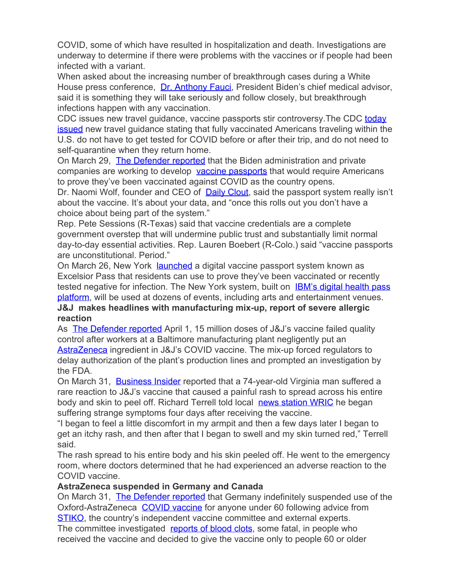COVID, some of which have resulted in hospitalization and death. Investigations are underway to determine if there were problems with the vaccines or if people had been infected with a variant.

When asked about the increasing number of breakthrough cases during a White House press conference, [Dr. Anthony Fauci](https://gcc02.safelinks.protection.outlook.com/?url=https%3A%2F%2Fchildrenshealthdefense.org%2Fdefender%2Ftruth-rfk-jr-david-martin-fauci-moderna-vaccine%2F&data=04%7C01%7Cwsboh%40sboh.wa.gov%7C9cfecc33b4d9426f9f1808d8fb84f06e%7C11d0e217264e400a8ba057dcc127d72d%7C0%7C0%7C637535897175419599%7CUnknown%7CTWFpbGZsb3d8eyJWIjoiMC4wLjAwMDAiLCJQIjoiV2luMzIiLCJBTiI6Ik1haWwiLCJXVCI6Mn0%3D%7C3000&sdata=u39FTwFrJ1Qoq5alTOXA%2FKrV5SNZaGo%2BglK57uDRxgE%3D&reserved=0), President Biden's chief medical advisor, said it is something they will take seriously and follow closely, but breakthrough infections happen with any vaccination.

CDC issues new travel guidance, vaccine passports stir controversy.The CDC [today](https://gcc02.safelinks.protection.outlook.com/?url=https%3A%2F%2Fwww.mcclatchydc.com%2Fnews%2Fcoronavirus%2Farticle250389326.html&data=04%7C01%7Cwsboh%40sboh.wa.gov%7C9cfecc33b4d9426f9f1808d8fb84f06e%7C11d0e217264e400a8ba057dcc127d72d%7C0%7C0%7C637535897175419599%7CUnknown%7CTWFpbGZsb3d8eyJWIjoiMC4wLjAwMDAiLCJQIjoiV2luMzIiLCJBTiI6Ik1haWwiLCJXVCI6Mn0%3D%7C3000&sdata=Z0dFV6R%2Fw%2B8NOWBsv8dMilcW5T1tMn2zxfVVgUlb%2FuQ%3D&reserved=0) **[issued](https://gcc02.safelinks.protection.outlook.com/?url=https%3A%2F%2Fwww.mcclatchydc.com%2Fnews%2Fcoronavirus%2Farticle250389326.html&data=04%7C01%7Cwsboh%40sboh.wa.gov%7C9cfecc33b4d9426f9f1808d8fb84f06e%7C11d0e217264e400a8ba057dcc127d72d%7C0%7C0%7C637535897175419599%7CUnknown%7CTWFpbGZsb3d8eyJWIjoiMC4wLjAwMDAiLCJQIjoiV2luMzIiLCJBTiI6Ik1haWwiLCJXVCI6Mn0%3D%7C3000&sdata=Z0dFV6R%2Fw%2B8NOWBsv8dMilcW5T1tMn2zxfVVgUlb%2FuQ%3D&reserved=0)** new travel guidance stating that fully vaccinated Americans traveling within the U.S. do not have to get tested for COVID before or after their trip, and do not need to self-quarantine when they return home.

On March 29, [The Defender reported](https://gcc02.safelinks.protection.outlook.com/?url=https%3A%2F%2Fchildrenshealthdefense.org%2Fdefender%2Fcoming-soon-vaccine-passports%2F&data=04%7C01%7Cwsboh%40sboh.wa.gov%7C9cfecc33b4d9426f9f1808d8fb84f06e%7C11d0e217264e400a8ba057dcc127d72d%7C0%7C0%7C637535897175419599%7CUnknown%7CTWFpbGZsb3d8eyJWIjoiMC4wLjAwMDAiLCJQIjoiV2luMzIiLCJBTiI6Ik1haWwiLCJXVCI6Mn0%3D%7C3000&sdata=ne6RhGuNawNScbAell2lMCbRRH4esjsxfAp89UejdBQ%3D&reserved=0) that the Biden administration and private companies are working to develop [vaccine passports](https://gcc02.safelinks.protection.outlook.com/?url=https%3A%2F%2Fchildrenshealthdefense.org%2Fdefender%2Fglobal-vaccine-passports-scary-whats-next-2%2F&data=04%7C01%7Cwsboh%40sboh.wa.gov%7C9cfecc33b4d9426f9f1808d8fb84f06e%7C11d0e217264e400a8ba057dcc127d72d%7C0%7C0%7C637535897175429558%7CUnknown%7CTWFpbGZsb3d8eyJWIjoiMC4wLjAwMDAiLCJQIjoiV2luMzIiLCJBTiI6Ik1haWwiLCJXVCI6Mn0%3D%7C3000&sdata=uVYbGZalGVPRhT9zQkQlMYN8ZZocaSnjFtscddSY2JQ%3D&reserved=0) that would require Americans to prove they've been vaccinated against COVID as the country opens.

Dr. Naomi Wolf, founder and CEO of **[Daily Clout](https://gcc02.safelinks.protection.outlook.com/?url=https%3A%2F%2Fdailyclout.io%2F&data=04%7C01%7Cwsboh%40sboh.wa.gov%7C9cfecc33b4d9426f9f1808d8fb84f06e%7C11d0e217264e400a8ba057dcc127d72d%7C0%7C0%7C637535897175429558%7CUnknown%7CTWFpbGZsb3d8eyJWIjoiMC4wLjAwMDAiLCJQIjoiV2luMzIiLCJBTiI6Ik1haWwiLCJXVCI6Mn0%3D%7C3000&sdata=7WKFAeBLGdXzEvhYF4mR5Q0Yf0VOdSZ6rgTP%2BmeTizw%3D&reserved=0)**, said the passport system really isn't about the vaccine. It's about your data, and "once this rolls out you don't have a choice about being part of the system."

Rep. Pete Sessions (R-Texas) said that vaccine credentials are a complete government overstep that will undermine public trust and substantially limit normal day-to-day essential activities. Rep. Lauren Boebert (R-Colo.) said "vaccine passports are unconstitutional. Period."

On March 26, New York [launched](https://gcc02.safelinks.protection.outlook.com/?url=https%3A%2F%2Fchildrenshealthdefense.org%2Fdefender%2Fcoming-soon-vaccine-passports%2F&data=04%7C01%7Cwsboh%40sboh.wa.gov%7C9cfecc33b4d9426f9f1808d8fb84f06e%7C11d0e217264e400a8ba057dcc127d72d%7C0%7C0%7C637535897175429558%7CUnknown%7CTWFpbGZsb3d8eyJWIjoiMC4wLjAwMDAiLCJQIjoiV2luMzIiLCJBTiI6Ik1haWwiLCJXVCI6Mn0%3D%7C3000&sdata=6%2BlE9PlVZ4zV5S1cFXqU8qJUT%2B9faQAlUVgTMwyqQoQ%3D&reserved=0) a digital vaccine passport system known as Excelsior Pass that residents can use to prove they've been vaccinated or recently tested negative for infection. The New York system, built on **[IBM's digital health pass](https://gcc02.safelinks.protection.outlook.com/?url=https%3A%2F%2Fwww.ibm.com%2Fproducts%2Fdigital-health-pass&data=04%7C01%7Cwsboh%40sboh.wa.gov%7C9cfecc33b4d9426f9f1808d8fb84f06e%7C11d0e217264e400a8ba057dcc127d72d%7C0%7C0%7C637535897175439511%7CUnknown%7CTWFpbGZsb3d8eyJWIjoiMC4wLjAwMDAiLCJQIjoiV2luMzIiLCJBTiI6Ik1haWwiLCJXVCI6Mn0%3D%7C3000&sdata=1Tb8Boz%2FukV74MMeirKcxLMUsN6B8aV%2FXQh8%2B61BTtY%3D&reserved=0)** [platform](https://gcc02.safelinks.protection.outlook.com/?url=https%3A%2F%2Fwww.ibm.com%2Fproducts%2Fdigital-health-pass&data=04%7C01%7Cwsboh%40sboh.wa.gov%7C9cfecc33b4d9426f9f1808d8fb84f06e%7C11d0e217264e400a8ba057dcc127d72d%7C0%7C0%7C637535897175439511%7CUnknown%7CTWFpbGZsb3d8eyJWIjoiMC4wLjAwMDAiLCJQIjoiV2luMzIiLCJBTiI6Ik1haWwiLCJXVCI6Mn0%3D%7C3000&sdata=1Tb8Boz%2FukV74MMeirKcxLMUsN6B8aV%2FXQh8%2B61BTtY%3D&reserved=0), will be used at dozens of events, including arts and entertainment venues.

# **J&J makes headlines with manufacturing mix-up, report of severe allergic reaction**

As **[The Defender reported](https://gcc02.safelinks.protection.outlook.com/?url=https%3A%2F%2Fchildrenshealthdefense.org%2Fdefender%2Fjohnson-johnson-astrazeneca-covid-vaccine-ingredient-mix-up%2F&data=04%7C01%7Cwsboh%40sboh.wa.gov%7C9cfecc33b4d9426f9f1808d8fb84f06e%7C11d0e217264e400a8ba057dcc127d72d%7C0%7C0%7C637535897175439511%7CUnknown%7CTWFpbGZsb3d8eyJWIjoiMC4wLjAwMDAiLCJQIjoiV2luMzIiLCJBTiI6Ik1haWwiLCJXVCI6Mn0%3D%7C3000&sdata=vL8ISQEOwwG%2B3dV1xOPozWFwh0%2B0o33glQK693tamIM%3D&reserved=0)** April 1, 15 million doses of J&J's vaccine failed quality control after workers at a Baltimore manufacturing plant negligently put an [AstraZeneca](https://gcc02.safelinks.protection.outlook.com/?url=https%3A%2F%2Fchildrenshealthdefense.org%2Fdefender%2Fgermany-indefinitely-suspends-astrazeneca-vaccine%2F&data=04%7C01%7Cwsboh%40sboh.wa.gov%7C9cfecc33b4d9426f9f1808d8fb84f06e%7C11d0e217264e400a8ba057dcc127d72d%7C0%7C0%7C637535897175439511%7CUnknown%7CTWFpbGZsb3d8eyJWIjoiMC4wLjAwMDAiLCJQIjoiV2luMzIiLCJBTiI6Ik1haWwiLCJXVCI6Mn0%3D%7C3000&sdata=5wjsa8KJVe0%2FSJ9qII53Sovo2awlxj4a4V0h3jkVXKw%3D&reserved=0) ingredient in J&J's COVID vaccine. The mix-up forced regulators to delay authorization of the plant's production lines and prompted an investigation by the FDA.

On March 31, [Business Insider](https://gcc02.safelinks.protection.outlook.com/?url=https%3A%2F%2Fwww.businessinsider.com%2Fjohnson-and-johnson-coronavirus-vaccine-man-develops-severe-rash-after-2021-3&data=04%7C01%7Cwsboh%40sboh.wa.gov%7C9cfecc33b4d9426f9f1808d8fb84f06e%7C11d0e217264e400a8ba057dcc127d72d%7C0%7C0%7C637535897175449466%7CUnknown%7CTWFpbGZsb3d8eyJWIjoiMC4wLjAwMDAiLCJQIjoiV2luMzIiLCJBTiI6Ik1haWwiLCJXVCI6Mn0%3D%7C3000&sdata=%2B5fg1IjxVhFvyUxEgOLKC%2BPr3S7ySAPwV5U%2FpEUb748%3D&reserved=0) reported that a 74-year-old Virginia man suffered a rare reaction to J&J's vaccine that caused a painful rash to spread across his entire body and skin to peel off. Richard Terrell told local [news station WRIC](https://gcc02.safelinks.protection.outlook.com/?url=https%3A%2F%2Fwww.wric.com%2Fnews%2Flocal-news%2Fgoochland-county-man-suffers-rare-severe-reaction-to-covid-19-vaccine%2F&data=04%7C01%7Cwsboh%40sboh.wa.gov%7C9cfecc33b4d9426f9f1808d8fb84f06e%7C11d0e217264e400a8ba057dcc127d72d%7C0%7C0%7C637535897175449466%7CUnknown%7CTWFpbGZsb3d8eyJWIjoiMC4wLjAwMDAiLCJQIjoiV2luMzIiLCJBTiI6Ik1haWwiLCJXVCI6Mn0%3D%7C3000&sdata=r6yNplm%2BOe%2BMgz3FcK4pxUi5ncxsH2LOeAo%2Fbs65W9s%3D&reserved=0) he began suffering strange symptoms four days after receiving the vaccine.

"I began to feel a little discomfort in my armpit and then a few days later I began to get an itchy rash, and then after that I began to swell and my skin turned red," Terrell said.

The rash spread to his entire body and his skin peeled off. He went to the emergency room, where doctors determined that he had experienced an adverse reaction to the COVID vaccine.

# **AstraZeneca suspended in Germany and Canada**

On March 31, [The Defender reported](https://gcc02.safelinks.protection.outlook.com/?url=https%3A%2F%2Fchildrenshealthdefense.org%2Fdefender%2Fgermany-indefinitely-suspends-astrazeneca-vaccine%2F&data=04%7C01%7Cwsboh%40sboh.wa.gov%7C9cfecc33b4d9426f9f1808d8fb84f06e%7C11d0e217264e400a8ba057dcc127d72d%7C0%7C0%7C637535897175459424%7CUnknown%7CTWFpbGZsb3d8eyJWIjoiMC4wLjAwMDAiLCJQIjoiV2luMzIiLCJBTiI6Ik1haWwiLCJXVCI6Mn0%3D%7C3000&sdata=muUbepQ27A509zip2KnysdzyABiQnEfxB6Ru8ZMoQbk%3D&reserved=0) that Germany indefinitely suspended use of the Oxford-AstraZeneca [COVID vaccine](https://gcc02.safelinks.protection.outlook.com/?url=https%3A%2F%2Fchildrenshealthdefense.org%2Fdefender%2Fcovid-19-vaccine-news%2F&data=04%7C01%7Cwsboh%40sboh.wa.gov%7C9cfecc33b4d9426f9f1808d8fb84f06e%7C11d0e217264e400a8ba057dcc127d72d%7C0%7C0%7C637535897175459424%7CUnknown%7CTWFpbGZsb3d8eyJWIjoiMC4wLjAwMDAiLCJQIjoiV2luMzIiLCJBTiI6Ik1haWwiLCJXVCI6Mn0%3D%7C3000&sdata=XdO8u70gxf7fXzW5mO3E0mfYgcW29fM4p1tBkD48cjw%3D&reserved=0) for anyone under 60 following advice from [STIKO](https://gcc02.safelinks.protection.outlook.com/?url=https%3A%2F%2Fwww.rki.de%2FEN%2FContent%2Finfections%2FVaccination%2FVaccination_node.html&data=04%7C01%7Cwsboh%40sboh.wa.gov%7C9cfecc33b4d9426f9f1808d8fb84f06e%7C11d0e217264e400a8ba057dcc127d72d%7C0%7C0%7C637535897175459424%7CUnknown%7CTWFpbGZsb3d8eyJWIjoiMC4wLjAwMDAiLCJQIjoiV2luMzIiLCJBTiI6Ik1haWwiLCJXVCI6Mn0%3D%7C3000&sdata=uyE%2B35is%2BqamUjQqrpOGVuvMrOUeP%2FKtaAxXgwijJ%2Fw%3D&reserved=0), the country's independent vaccine committee and external experts. The committee investigated [reports of blood clots](https://gcc02.safelinks.protection.outlook.com/?url=https%3A%2F%2Fchildrenshealthdefense.org%2Fdefender%2Flink-astrazeneca-vaccine-blood-clots%2F&data=04%7C01%7Cwsboh%40sboh.wa.gov%7C9cfecc33b4d9426f9f1808d8fb84f06e%7C11d0e217264e400a8ba057dcc127d72d%7C0%7C0%7C637535897175469381%7CUnknown%7CTWFpbGZsb3d8eyJWIjoiMC4wLjAwMDAiLCJQIjoiV2luMzIiLCJBTiI6Ik1haWwiLCJXVCI6Mn0%3D%7C3000&sdata=v17agZBIXzOe79H6ZDMnA5NjeoenJCzxxuxGF8EL5GM%3D&reserved=0), some fatal, in people who received the vaccine and decided to give the vaccine only to people 60 or older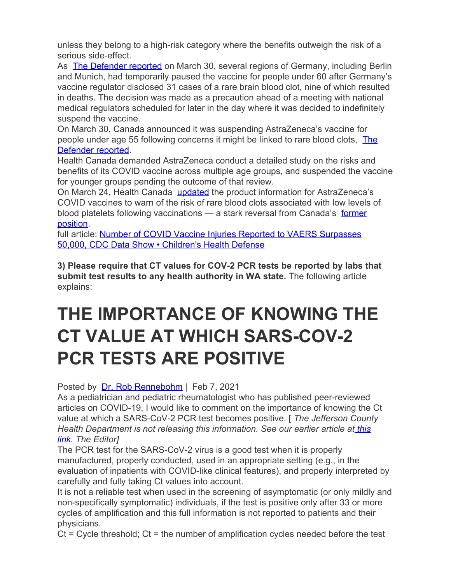unless they belong to a high-risk category where the benefits outweigh the risk of a serious side-effect.

As **[The Defender reported](https://gcc02.safelinks.protection.outlook.com/?url=https%3A%2F%2Fchildrenshealthdefense.org%2Fdefender%2Fgermany-astrazeneca-blood-clots-deaths%2F&data=04%7C01%7Cwsboh%40sboh.wa.gov%7C9cfecc33b4d9426f9f1808d8fb84f06e%7C11d0e217264e400a8ba057dcc127d72d%7C0%7C0%7C637535897175469381%7CUnknown%7CTWFpbGZsb3d8eyJWIjoiMC4wLjAwMDAiLCJQIjoiV2luMzIiLCJBTiI6Ik1haWwiLCJXVCI6Mn0%3D%7C3000&sdata=E%2BYP0tF1%2B6yIYVKL%2BjES%2BlndPdzGgZfD6ZLC03VlF3Q%3D&reserved=0) on March 30, several regions of Germany, including Berlin** and Munich, had temporarily paused the vaccine for people under 60 after Germany's vaccine regulator disclosed 31 cases of a rare brain blood clot, nine of which resulted in deaths. The decision was made as a precaution ahead of a meeting with national medical regulators scheduled for later in the day where it was decided to indefinitely suspend the vaccine.

On March 30, Canada announced it was suspending AstraZeneca's vaccine for people under age 55 following concerns it might be linked to rare blood clots, [The](https://gcc02.safelinks.protection.outlook.com/?url=https%3A%2F%2Fchildrenshealthdefense.org%2Fdefender%2Fcanada-astrazeneca-vaccine-blood-clot-concerns%2F&data=04%7C01%7Cwsboh%40sboh.wa.gov%7C9cfecc33b4d9426f9f1808d8fb84f06e%7C11d0e217264e400a8ba057dcc127d72d%7C0%7C0%7C637535897175469381%7CUnknown%7CTWFpbGZsb3d8eyJWIjoiMC4wLjAwMDAiLCJQIjoiV2luMzIiLCJBTiI6Ik1haWwiLCJXVCI6Mn0%3D%7C3000&sdata=dfxZ83lYE67BYDS89F%2BYOp7XeZ%2BEx%2BhYv7iv7iVZZ4w%3D&reserved=0) [Defender reported](https://gcc02.safelinks.protection.outlook.com/?url=https%3A%2F%2Fchildrenshealthdefense.org%2Fdefender%2Fcanada-astrazeneca-vaccine-blood-clot-concerns%2F&data=04%7C01%7Cwsboh%40sboh.wa.gov%7C9cfecc33b4d9426f9f1808d8fb84f06e%7C11d0e217264e400a8ba057dcc127d72d%7C0%7C0%7C637535897175469381%7CUnknown%7CTWFpbGZsb3d8eyJWIjoiMC4wLjAwMDAiLCJQIjoiV2luMzIiLCJBTiI6Ik1haWwiLCJXVCI6Mn0%3D%7C3000&sdata=dfxZ83lYE67BYDS89F%2BYOp7XeZ%2BEx%2BhYv7iv7iVZZ4w%3D&reserved=0).

Health Canada demanded AstraZeneca conduct a detailed study on the risks and benefits of its COVID vaccine across multiple age groups, and suspended the vaccine for younger groups pending the outcome of that review.

On March 24, Health Canada [updated](https://gcc02.safelinks.protection.outlook.com/?url=https%3A%2F%2Fchildrenshealthdefense.org%2Fdefender%2Fcanada-astrazeneca-vaccine-blood-clot-concerns%2F&data=04%7C01%7Cwsboh%40sboh.wa.gov%7C9cfecc33b4d9426f9f1808d8fb84f06e%7C11d0e217264e400a8ba057dcc127d72d%7C0%7C0%7C637535897175479336%7CUnknown%7CTWFpbGZsb3d8eyJWIjoiMC4wLjAwMDAiLCJQIjoiV2luMzIiLCJBTiI6Ik1haWwiLCJXVCI6Mn0%3D%7C3000&sdata=BrhaKE4%2F8crT%2FbvsILK6OyuoGx%2BGWIRBR0Stq%2FDJNfc%3D&reserved=0) the product information for AstraZeneca's COVID vaccines to warn of the risk of rare blood clots associated with low levels of blood platelets following vaccinations — a stark reversal from Canada's [former](https://gcc02.safelinks.protection.outlook.com/?url=https%3A%2F%2Fwww.cbc.ca%2Fnews%2Fpolitics%2Ftrudeau-astrazeneca-safe-1.5950176&data=04%7C01%7Cwsboh%40sboh.wa.gov%7C9cfecc33b4d9426f9f1808d8fb84f06e%7C11d0e217264e400a8ba057dcc127d72d%7C0%7C0%7C637535897175479336%7CUnknown%7CTWFpbGZsb3d8eyJWIjoiMC4wLjAwMDAiLCJQIjoiV2luMzIiLCJBTiI6Ik1haWwiLCJXVCI6Mn0%3D%7C3000&sdata=XRKgGLCe8n6H21SjqVtME2PNf3dAQBdM69K4BeFtwZ4%3D&reserved=0) [position](https://gcc02.safelinks.protection.outlook.com/?url=https%3A%2F%2Fwww.cbc.ca%2Fnews%2Fpolitics%2Ftrudeau-astrazeneca-safe-1.5950176&data=04%7C01%7Cwsboh%40sboh.wa.gov%7C9cfecc33b4d9426f9f1808d8fb84f06e%7C11d0e217264e400a8ba057dcc127d72d%7C0%7C0%7C637535897175479336%7CUnknown%7CTWFpbGZsb3d8eyJWIjoiMC4wLjAwMDAiLCJQIjoiV2luMzIiLCJBTiI6Ik1haWwiLCJXVCI6Mn0%3D%7C3000&sdata=XRKgGLCe8n6H21SjqVtME2PNf3dAQBdM69K4BeFtwZ4%3D&reserved=0).

full article: [Number of COVID Vaccine Injuries Reported to VAERS Surpasses](https://gcc02.safelinks.protection.outlook.com/?url=https%3A%2F%2Fchildrenshealthdefense.org%2Fdefender%2Fcovid-vaccine-injuries-vaers-cdc%2F&data=04%7C01%7Cwsboh%40sboh.wa.gov%7C9cfecc33b4d9426f9f1808d8fb84f06e%7C11d0e217264e400a8ba057dcc127d72d%7C0%7C0%7C637535897175479336%7CUnknown%7CTWFpbGZsb3d8eyJWIjoiMC4wLjAwMDAiLCJQIjoiV2luMzIiLCJBTiI6Ik1haWwiLCJXVCI6Mn0%3D%7C3000&sdata=12yTJRP53mcgwRKr7GCpbTaYyL4eE5JCyuRjre26xXI%3D&reserved=0) [50,000, CDC Data Show • Children's Health Defense](https://gcc02.safelinks.protection.outlook.com/?url=https%3A%2F%2Fchildrenshealthdefense.org%2Fdefender%2Fcovid-vaccine-injuries-vaers-cdc%2F&data=04%7C01%7Cwsboh%40sboh.wa.gov%7C9cfecc33b4d9426f9f1808d8fb84f06e%7C11d0e217264e400a8ba057dcc127d72d%7C0%7C0%7C637535897175479336%7CUnknown%7CTWFpbGZsb3d8eyJWIjoiMC4wLjAwMDAiLCJQIjoiV2luMzIiLCJBTiI6Ik1haWwiLCJXVCI6Mn0%3D%7C3000&sdata=12yTJRP53mcgwRKr7GCpbTaYyL4eE5JCyuRjre26xXI%3D&reserved=0)

**3) Please require that CT values for COV-2 PCR tests be reported by labs that submit test results to any health authority in WA state.** The following article explains:

# **THE IMPORTANCE OF KNOWING THE CT VALUE AT WHICH SARS-COV-2 PCR TESTS ARE POSITIVE**

Posted by [Dr. Rob Rennebohm](https://gcc02.safelinks.protection.outlook.com/?url=https%3A%2F%2Fwww.porttownsendfreepress.com%2Fauthor%2Fdr-rob-rennebohm%2F&data=04%7C01%7Cwsboh%40sboh.wa.gov%7C9cfecc33b4d9426f9f1808d8fb84f06e%7C11d0e217264e400a8ba057dcc127d72d%7C0%7C0%7C637535897175489292%7CUnknown%7CTWFpbGZsb3d8eyJWIjoiMC4wLjAwMDAiLCJQIjoiV2luMzIiLCJBTiI6Ik1haWwiLCJXVCI6Mn0%3D%7C3000&sdata=3cU%2FieS05V7FyqnuysVQ1vniL2ICrubBCnvhLRm2moI%3D&reserved=0) | Feb 7, 2021

As a pediatrician and pediatric rheumatologist who has published peer-reviewed articles on COVID-19, I would like to comment on the importance of knowing the Ct value at which a SARS-CoV-2 PCR test becomes positive. [ *The Jefferson County Health Department is not releasing this information. See our earlier article at [this](https://gcc02.safelinks.protection.outlook.com/?url=https%3A%2F%2Fwww.porttownsendfreepress.com%2F2021%2F02%2F06%2Fstonewalling-and-deflection-on-critical-covid-test-data-we-have-the-right-to-answers%2F&data=04%7C01%7Cwsboh%40sboh.wa.gov%7C9cfecc33b4d9426f9f1808d8fb84f06e%7C11d0e217264e400a8ba057dcc127d72d%7C0%7C0%7C637535897175489292%7CUnknown%7CTWFpbGZsb3d8eyJWIjoiMC4wLjAwMDAiLCJQIjoiV2luMzIiLCJBTiI6Ik1haWwiLCJXVCI6Mn0%3D%7C3000&sdata=4TDUx1v5XdD%2FeuIaL2zDpVjygZb8t7JGX6PrPi%2FTG7Q%3D&reserved=0) [link.](https://gcc02.safelinks.protection.outlook.com/?url=https%3A%2F%2Fwww.porttownsendfreepress.com%2F2021%2F02%2F06%2Fstonewalling-and-deflection-on-critical-covid-test-data-we-have-the-right-to-answers%2F&data=04%7C01%7Cwsboh%40sboh.wa.gov%7C9cfecc33b4d9426f9f1808d8fb84f06e%7C11d0e217264e400a8ba057dcc127d72d%7C0%7C0%7C637535897175489292%7CUnknown%7CTWFpbGZsb3d8eyJWIjoiMC4wLjAwMDAiLCJQIjoiV2luMzIiLCJBTiI6Ik1haWwiLCJXVCI6Mn0%3D%7C3000&sdata=4TDUx1v5XdD%2FeuIaL2zDpVjygZb8t7JGX6PrPi%2FTG7Q%3D&reserved=0) The Editor]*

The PCR test for the SARS-CoV-2 virus is a good test when it is properly manufactured, properly conducted, used in an appropriate setting (e.g., in the evaluation of inpatients with COVID-like clinical features), and properly interpreted by carefully and fully taking Ct values into account.

It is not a reliable test when used in the screening of asymptomatic (or only mildly and non-specifically symptomatic) individuals, if the test is positive only after 33 or more cycles of amplification and this full information is not reported to patients and their physicians.

 $Ct$  = Cycle threshold;  $Ct$  = the number of amplification cycles needed before the test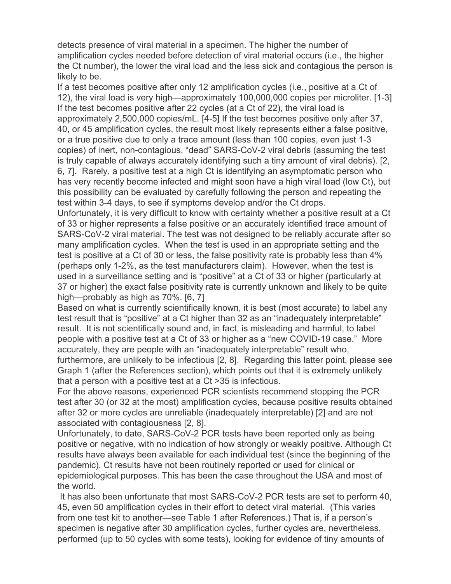detects presence of viral material in a specimen. The higher the number of amplification cycles needed before detection of viral material occurs (i.e., the higher the Ct number), the lower the viral load and the less sick and contagious the person is likely to be.

If a test becomes positive after only 12 amplification cycles (i.e., positive at a Ct of 12), the viral load is very high—approximately 100,000,000 copies per microliter. [1-3] If the test becomes positive after 22 cycles (at a Ct of 22), the viral load is approximately 2,500,000 copies/mL. [4-5] If the test becomes positive only after 37, 40, or 45 amplification cycles, the result most likely represents either a false positive, or a true positive due to only a trace amount (less than 100 copies, even just 1-3 copies) of inert, non-contagious, "dead" SARS-CoV-2 viral debris (assuming the test is truly capable of always accurately identifying such a tiny amount of viral debris). [2, 6, 7]. Rarely, a positive test at a high Ct is identifying an asymptomatic person who has very recently become infected and might soon have a high viral load (low Ct), but this possibility can be evaluated by carefully following the person and repeating the test within 3-4 days, to see if symptoms develop and/or the Ct drops.

Unfortunately, it is very difficult to know with certainty whether a positive result at a Ct of 33 or higher represents a false positive or an accurately identified trace amount of SARS-CoV-2 viral material. The test was not designed to be reliably accurate after so many amplification cycles. When the test is used in an appropriate setting and the test is positive at a Ct of 30 or less, the false positivity rate is probably less than 4% (perhaps only 1-2%, as the test manufacturers claim). However, when the test is used in a surveillance setting and is "positive" at a Ct of 33 or higher (particularly at 37 or higher) the exact false positivity rate is currently unknown and likely to be quite high—probably as high as 70%. [6, 7]

Based on what is currently scientifically known, it is best (most accurate) to label any test result that is "positive" at a Ct higher than 32 as an "inadequately interpretable" result. It is not scientifically sound and, in fact, is misleading and harmful, to label people with a positive test at a Ct of 33 or higher as a "new COVID-19 case." More accurately, they are people with an "inadequately interpretable" result who,

furthermore, are unlikely to be infectious [2, 8]. Regarding this latter point, please see Graph 1 (after the References section), which points out that it is extremely unlikely that a person with a positive test at a Ct >35 is infectious.

For the above reasons, experienced PCR scientists recommend stopping the PCR test after 30 (or 32 at the most) amplification cycles, because positive results obtained after 32 or more cycles are unreliable (inadequately interpretable) [2] and are not associated with contagiousness [2, 8].

Unfortunately, to date, SARS-CoV-2 PCR tests have been reported only as being positive or negative, with no indication of how strongly or weakly positive. Although Ct results have always been available for each individual test (since the beginning of the pandemic), Ct results have not been routinely reported or used for clinical or epidemiological purposes. This has been the case throughout the USA and most of the world.

It has also been unfortunate that most SARS-CoV-2 PCR tests are set to perform 40, 45, even 50 amplification cycles in their effort to detect viral material. (This varies from one test kit to another—see Table 1 after References.) That is, if a person's specimen is negative after 30 amplification cycles, further cycles are, nevertheless, performed (up to 50 cycles with some tests), looking for evidence of tiny amounts of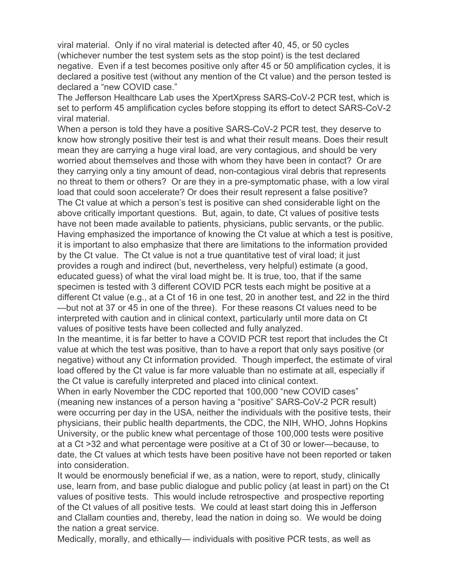viral material. Only if no viral material is detected after 40, 45, or 50 cycles (whichever number the test system sets as the stop point) is the test declared negative. Even if a test becomes positive only after 45 or 50 amplification cycles, it is declared a positive test (without any mention of the Ct value) and the person tested is declared a "new COVID case."

The Jefferson Healthcare Lab uses the XpertXpress SARS-CoV-2 PCR test, which is set to perform 45 amplification cycles before stopping its effort to detect SARS-CoV-2 viral material.

When a person is told they have a positive SARS-CoV-2 PCR test, they deserve to know how strongly positive their test is and what their result means. Does their result mean they are carrying a huge viral load, are very contagious, and should be very worried about themselves and those with whom they have been in contact? Or are they carrying only a tiny amount of dead, non-contagious viral debris that represents no threat to them or others? Or are they in a pre-symptomatic phase, with a low viral load that could soon accelerate? Or does their result represent a false positive? The Ct value at which a person's test is positive can shed considerable light on the above critically important questions. But, again, to date, Ct values of positive tests have not been made available to patients, physicians, public servants, or the public. Having emphasized the importance of knowing the Ct value at which a test is positive, it is important to also emphasize that there are limitations to the information provided by the Ct value. The Ct value is not a true quantitative test of viral load; it just provides a rough and indirect (but, nevertheless, very helpful) estimate (a good, educated guess) of what the viral load might be. It is true, too, that if the same specimen is tested with 3 different COVID PCR tests each might be positive at a different Ct value (e.g., at a Ct of 16 in one test, 20 in another test, and 22 in the third —but not at 37 or 45 in one of the three). For these reasons Ct values need to be interpreted with caution and in clinical context, particularly until more data on Ct values of positive tests have been collected and fully analyzed.

In the meantime, it is far better to have a COVID PCR test report that includes the Ct value at which the test was positive, than to have a report that only says positive (or negative) without any Ct information provided. Though imperfect, the estimate of viral load offered by the Ct value is far more valuable than no estimate at all, especially if the Ct value is carefully interpreted and placed into clinical context.

When in early November the CDC reported that 100,000 "new COVID cases" (meaning new instances of a person having a "positive" SARS-CoV-2 PCR result) were occurring per day in the USA, neither the individuals with the positive tests, their physicians, their public health departments, the CDC, the NIH, WHO, Johns Hopkins University, or the public knew what percentage of those 100,000 tests were positive at a Ct >32 and what percentage were positive at a Ct of 30 or lower—because, to date, the Ct values at which tests have been positive have not been reported or taken into consideration.

It would be enormously beneficial if we, as a nation, were to report, study, clinically use, learn from, and base public dialogue and public policy (at least in part) on the Ct values of positive tests. This would include retrospective and prospective reporting of the Ct values of all positive tests. We could at least start doing this in Jefferson and Clallam counties and, thereby, lead the nation in doing so. We would be doing the nation a great service.

Medically, morally, and ethically— individuals with positive PCR tests, as well as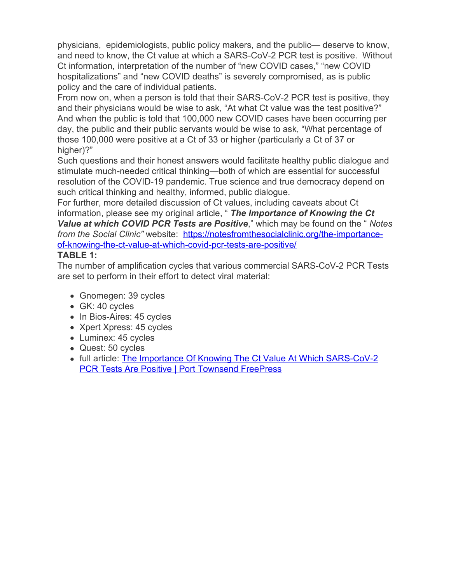physicians, epidemiologists, public policy makers, and the public— deserve to know, and need to know, the Ct value at which a SARS-CoV-2 PCR test is positive. Without Ct information, interpretation of the number of "new COVID cases," "new COVID hospitalizations" and "new COVID deaths" is severely compromised, as is public policy and the care of individual patients.

From now on, when a person is told that their SARS-CoV-2 PCR test is positive, they and their physicians would be wise to ask, "At what Ct value was the test positive?" And when the public is told that 100,000 new COVID cases have been occurring per day, the public and their public servants would be wise to ask, "What percentage of those 100,000 were positive at a Ct of 33 or higher (particularly a Ct of 37 or higher)?"

Such questions and their honest answers would facilitate healthy public dialogue and stimulate much-needed critical thinking—both of which are essential for successful resolution of the COVID-19 pandemic. True science and true democracy depend on such critical thinking and healthy, informed, public dialogue.

For further, more detailed discussion of Ct values, including caveats about Ct information, please see my original article, " *The Importance of Knowing the Ct Value at which COVID PCR Tests are Positive*," which may be found on the " *Notes from the Social Clinic*" website: [https://notesfromthesocialclinic.org/the-importance](https://gcc02.safelinks.protection.outlook.com/?url=https%3A%2F%2Fnotesfromthesocialclinic.org%2Fthe-importance-of-knowing-the-ct-value-at-which-covid-pcr-tests-are-positive%2F&data=04%7C01%7Cwsboh%40sboh.wa.gov%7C9cfecc33b4d9426f9f1808d8fb84f06e%7C11d0e217264e400a8ba057dcc127d72d%7C0%7C0%7C637535897175489292%7CUnknown%7CTWFpbGZsb3d8eyJWIjoiMC4wLjAwMDAiLCJQIjoiV2luMzIiLCJBTiI6Ik1haWwiLCJXVCI6Mn0%3D%7C3000&sdata=%2BJrvbYhjx9trfl0FnXk3SKgLFYKNLNRXs%2Fu%2Bw3m6Kw8%3D&reserved=0)[of-knowing-the-ct-value-at-which-covid-pcr-tests-are-positive/](https://gcc02.safelinks.protection.outlook.com/?url=https%3A%2F%2Fnotesfromthesocialclinic.org%2Fthe-importance-of-knowing-the-ct-value-at-which-covid-pcr-tests-are-positive%2F&data=04%7C01%7Cwsboh%40sboh.wa.gov%7C9cfecc33b4d9426f9f1808d8fb84f06e%7C11d0e217264e400a8ba057dcc127d72d%7C0%7C0%7C637535897175489292%7CUnknown%7CTWFpbGZsb3d8eyJWIjoiMC4wLjAwMDAiLCJQIjoiV2luMzIiLCJBTiI6Ik1haWwiLCJXVCI6Mn0%3D%7C3000&sdata=%2BJrvbYhjx9trfl0FnXk3SKgLFYKNLNRXs%2Fu%2Bw3m6Kw8%3D&reserved=0)

# **TABLE 1:**

The number of amplification cycles that various commercial SARS-CoV-2 PCR Tests are set to perform in their effort to detect viral material:

- Gnomegen: 39 cycles
- GK: 40 cycles
- In Bios-Aires: 45 cycles
- Xpert Xpress: 45 cycles
- Luminex: 45 cycles
- Quest: 50 cycles
- full article: [The Importance Of Knowing The Ct Value At Which SARS-CoV-2](https://gcc02.safelinks.protection.outlook.com/?url=https%3A%2F%2Fwww.porttownsendfreepress.com%2F2021%2F02%2F07%2Fthe-importance-of-knowing-the-ct-value-at-which-sars-cov-2-pcr-tests-are-positive%2F&data=04%7C01%7Cwsboh%40sboh.wa.gov%7C9cfecc33b4d9426f9f1808d8fb84f06e%7C11d0e217264e400a8ba057dcc127d72d%7C0%7C0%7C637535897175499250%7CUnknown%7CTWFpbGZsb3d8eyJWIjoiMC4wLjAwMDAiLCJQIjoiV2luMzIiLCJBTiI6Ik1haWwiLCJXVCI6Mn0%3D%7C3000&sdata=MqovfrCikbuFaC%2B%2BtqCK8gMB2pnAJVKYr62KsIZjNVM%3D&reserved=0) **[PCR Tests Are Positive | Port Townsend FreePress](https://gcc02.safelinks.protection.outlook.com/?url=https%3A%2F%2Fwww.porttownsendfreepress.com%2F2021%2F02%2F07%2Fthe-importance-of-knowing-the-ct-value-at-which-sars-cov-2-pcr-tests-are-positive%2F&data=04%7C01%7Cwsboh%40sboh.wa.gov%7C9cfecc33b4d9426f9f1808d8fb84f06e%7C11d0e217264e400a8ba057dcc127d72d%7C0%7C0%7C637535897175499250%7CUnknown%7CTWFpbGZsb3d8eyJWIjoiMC4wLjAwMDAiLCJQIjoiV2luMzIiLCJBTiI6Ik1haWwiLCJXVCI6Mn0%3D%7C3000&sdata=MqovfrCikbuFaC%2B%2BtqCK8gMB2pnAJVKYr62KsIZjNVM%3D&reserved=0)**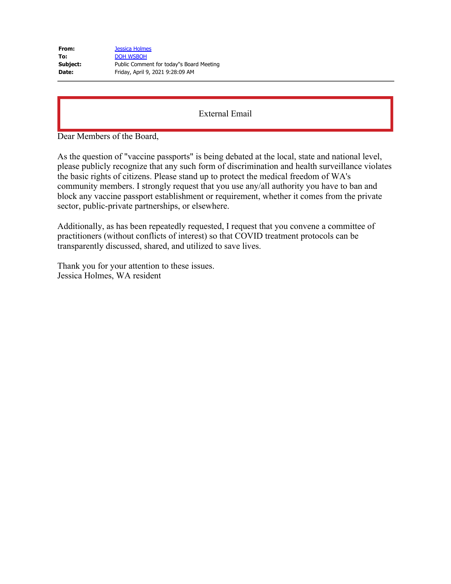| From:    | <b>Jessica Holmes</b>                    |
|----------|------------------------------------------|
| To:      | <b>DOH WSBOH</b>                         |
| Subject: | Public Comment for today"s Board Meeting |
| Date:    | Friday, April 9, 2021 9:28:09 AM         |

Dear Members of the Board,

As the question of "vaccine passports" is being debated at the local, state and national level, please publicly recognize that any such form of discrimination and health surveillance violates the basic rights of citizens. Please stand up to protect the medical freedom of WA's community members. I strongly request that you use any/all authority you have to ban and block any vaccine passport establishment or requirement, whether it comes from the private sector, public-private partnerships, or elsewhere.

Additionally, as has been repeatedly requested, I request that you convene a committee of practitioners (without conflicts of interest) so that COVID treatment protocols can be transparently discussed, shared, and utilized to save lives.

Thank you for your attention to these issues. Jessica Holmes, WA resident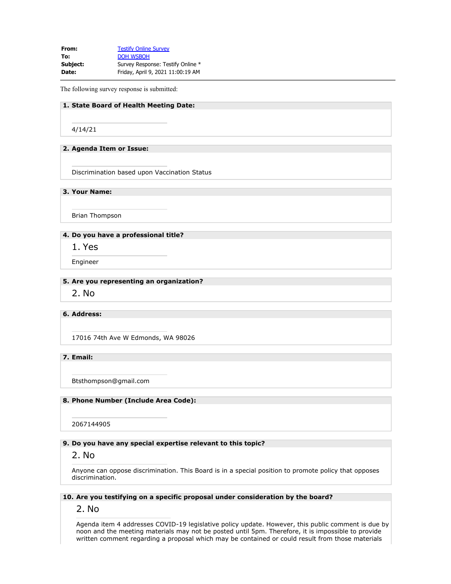**From:** [Testify Online Survey](mailto:SurveySupport@doh.wa.gov) To: **[DOH WSBOH](mailto:WSBOH@SBOH.WA.GOV) Subject:** Survey Response: Testify Online \* **Date:** Friday, April 9, 2021 11:00:19 AM

The following survey response is submitted:

### **1. State Board of Health Meeting Date:**

4/14/21

#### **2. Agenda Item or Issue:**

Discrimination based upon Vaccination Status

**3. Your Name:**

Brian Thompson

### **4. Do you have a professional title?**

1. Yes

Engineer

#### **5. Are you representing an organization?**

2. No

### **6. Address:**

17016 74th Ave W Edmonds, WA 98026

**7. Email:**

Btsthompson@gmail.com

#### **8. Phone Number (Include Area Code):**

2067144905

#### **9. Do you have any special expertise relevant to this topic?**

### 2. No

Anyone can oppose discrimination. This Board is in a special position to promote policy that opposes discrimination.

### **10. Are you testifying on a specific proposal under consideration by the board?**

2. No

Agenda item 4 addresses COVID-19 legislative policy update. However, this public comment is due by noon and the meeting materials may not be posted until 5pm. Therefore, it is impossible to provide written comment regarding a proposal which may be contained or could result from those materials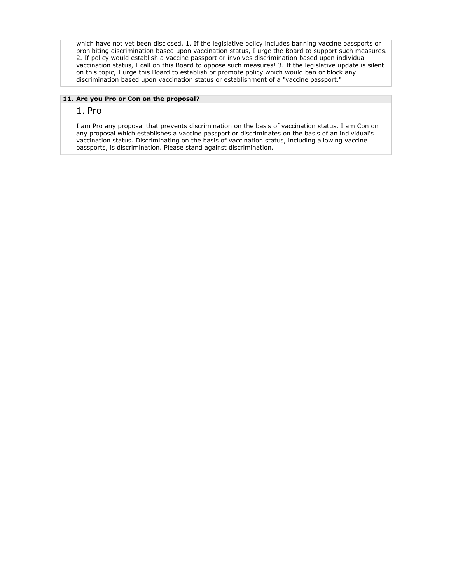which have not yet been disclosed. 1. If the legislative policy includes banning vaccine passports or prohibiting discrimination based upon vaccination status, I urge the Board to support such measures. 2. If policy would establish a vaccine passport or involves discrimination based upon individual vaccination status, I call on this Board to oppose such measures! 3. If the legislative update is silent on this topic, I urge this Board to establish or promote policy which would ban or block any discrimination based upon vaccination status or establishment of a "vaccine passport."

#### **11. Are you Pro or Con on the proposal?**

## 1. Pro

I am Pro any proposal that prevents discrimination on the basis of vaccination status. I am Con on any proposal which establishes a vaccine passport or discriminates on the basis of an individual's vaccination status. Discriminating on the basis of vaccination status, including allowing vaccine passports, is discrimination. Please stand against discrimination.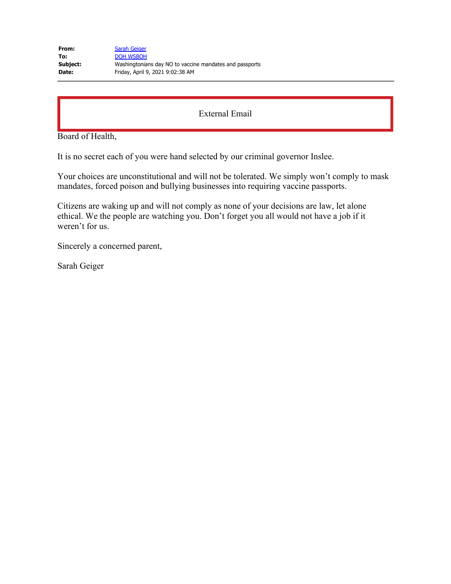| From:    | <b>Sarah Geiger</b>                                     |
|----------|---------------------------------------------------------|
| To:      | DOH WSBOH                                               |
| Subject: | Washingtonians day NO to vaccine mandates and passports |
| Date:    | Friday, April 9, 2021 9:02:38 AM                        |

Board of Health,

It is no secret each of you were hand selected by our criminal governor Inslee.

Your choices are unconstitutional and will not be tolerated. We simply won't comply to mask mandates, forced poison and bullying businesses into requiring vaccine passports.

Citizens are waking up and will not comply as none of your decisions are law, let alone ethical. We the people are watching you. Don't forget you all would not have a job if it weren't for us.

Sincerely a concerned parent,

Sarah Geiger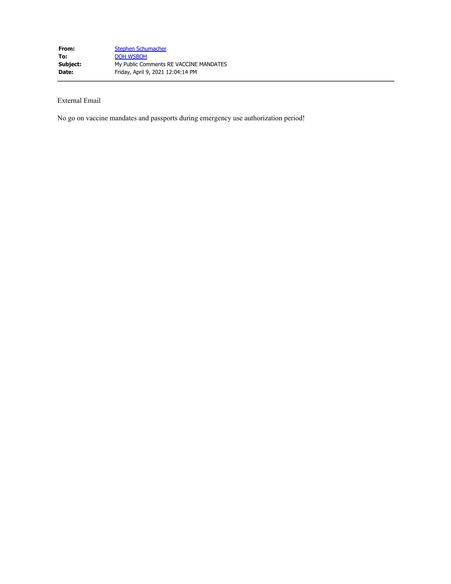No go on vaccine mandates and passports during emergency use authorization period!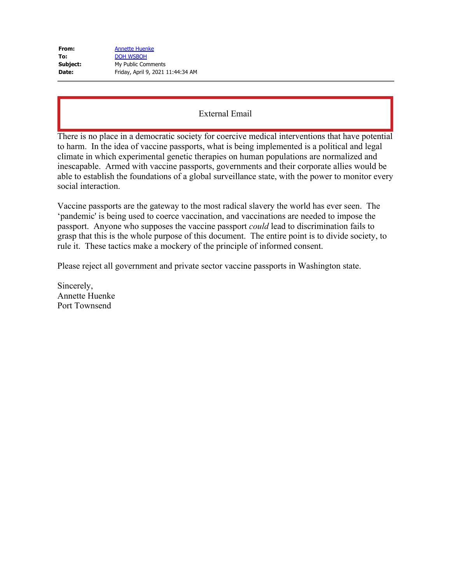| From:    | <b>Annette Huenke</b>             |
|----------|-----------------------------------|
| To:      | <b>DOH WSBOH</b>                  |
| Subject: | My Public Comments                |
| Date:    | Friday, April 9, 2021 11:44:34 AM |

There is no place in a democratic society for coercive medical interventions that have potential to harm. In the idea of vaccine passports, what is being implemented is a political and legal climate in which experimental genetic therapies on human populations are normalized and inescapable. Armed with vaccine passports, governments and their corporate allies would be able to establish the foundations of a global surveillance state, with the power to monitor every social interaction.

Vaccine passports are the gateway to the most radical slavery the world has ever seen. The 'pandemic' is being used to coerce vaccination, and vaccinations are needed to impose the passport. Anyone who supposes the vaccine passport *could* lead to discrimination fails to grasp that this is the whole purpose of this document. The entire point is to divide society, to rule it. These tactics make a mockery of the principle of informed consent.

Please reject all government and private sector vaccine passports in Washington state.

Sincerely, Annette Huenke Port Townsend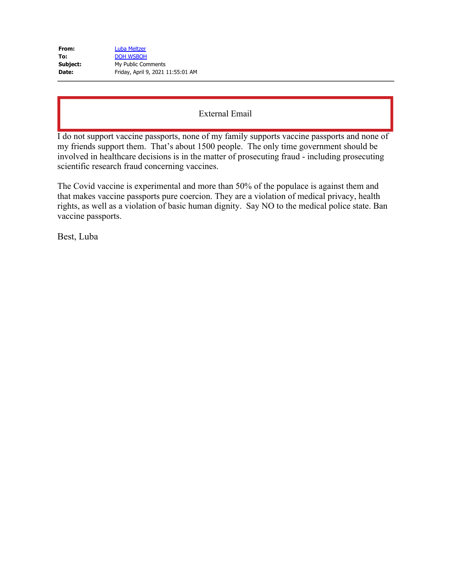| From:    | Luba Meltzer                      |
|----------|-----------------------------------|
| To:      | <b>DOH WSBOH</b>                  |
| Subject: | My Public Comments                |
| Date:    | Friday, April 9, 2021 11:55:01 AM |

I do not support vaccine passports, none of my family supports vaccine passports and none of my friends support them. That's about 1500 people. The only time government should be involved in healthcare decisions is in the matter of prosecuting fraud - including prosecuting scientific research fraud concerning vaccines.

The Covid vaccine is experimental and more than 50% of the populace is against them and that makes vaccine passports pure coercion. They are a violation of medical privacy, health rights, as well as a violation of basic human dignity. Say NO to the medical police state. Ban vaccine passports.

Best, Luba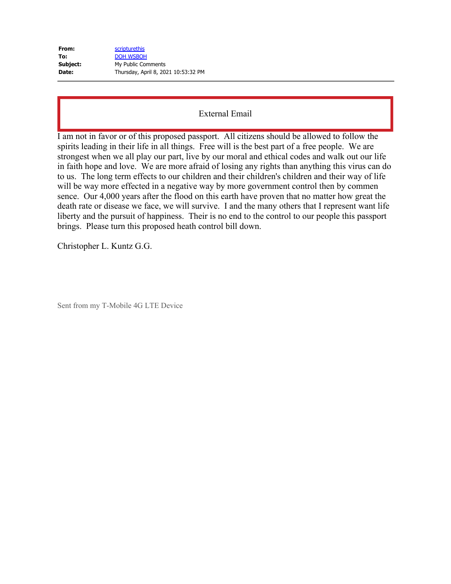| From:    | scripturethis                       |
|----------|-------------------------------------|
| To:      | <b>DOH WSBOH</b>                    |
| Subject: | My Public Comments                  |
| Date:    | Thursday, April 8, 2021 10:53:32 PM |

I am not in favor or of this proposed passport. All citizens should be allowed to follow the spirits leading in their life in all things. Free will is the best part of a free people. We are strongest when we all play our part, live by our moral and ethical codes and walk out our life in faith hope and love. We are more afraid of losing any rights than anything this virus can do to us. The long term effects to our children and their children's children and their way of life will be way more effected in a negative way by more government control then by commen sence. Our 4,000 years after the flood on this earth have proven that no matter how great the death rate or disease we face, we will survive. I and the many others that I represent want life liberty and the pursuit of happiness. Their is no end to the control to our people this passport brings. Please turn this proposed heath control bill down.

Christopher L. Kuntz G.G.

Sent from my T-Mobile 4G LTE Device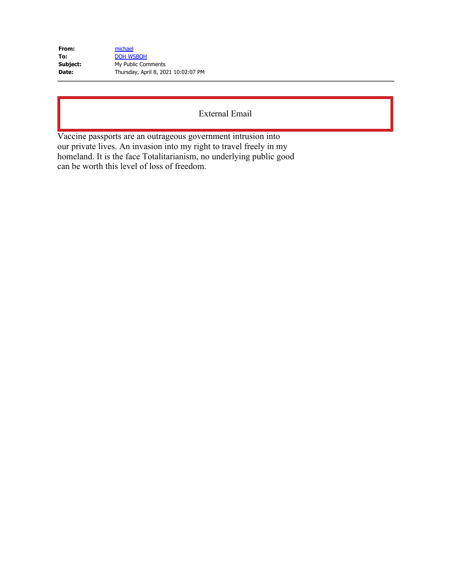| From:    | michael                             |
|----------|-------------------------------------|
| To:      | <b>DOH WSBOH</b>                    |
| Subject: | My Public Comments                  |
| Date:    | Thursday, April 8, 2021 10:02:07 PM |

Vaccine passports are an outrageous government intrusion into our private lives. An invasion into my right to travel freely in my homeland. It is the face Totalitarianism, no underlying public good can be worth this level of loss of freedom.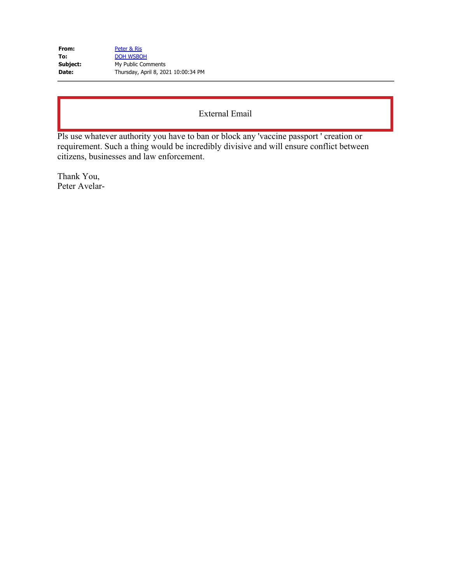| From:    | Peter & Ris                         |
|----------|-------------------------------------|
| To:      | <b>DOH WSBOH</b>                    |
| Subject: | My Public Comments                  |
| Date:    | Thursday, April 8, 2021 10:00:34 PM |

Pls use whatever authority you have to ban or block any 'vaccine passport ' creation or requirement. Such a thing would be incredibly divisive and will ensure conflict between citizens, businesses and law enforcement.

Thank You, Peter Avelar-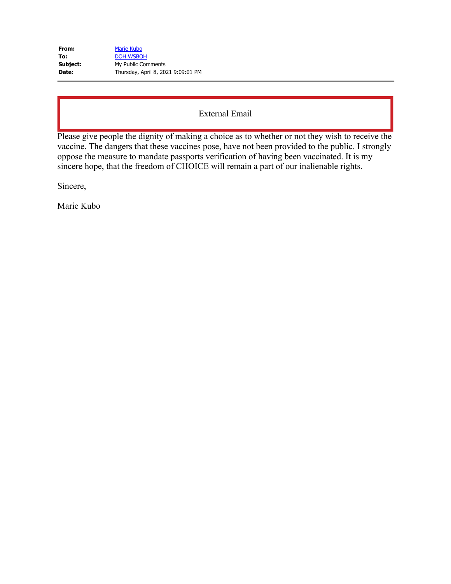| From:    | <b>Marie Kubo</b>                  |
|----------|------------------------------------|
| To:      | <b>DOH WSBOH</b>                   |
| Subject: | My Public Comments                 |
| Date:    | Thursday, April 8, 2021 9:09:01 PM |

Please give people the dignity of making a choice as to whether or not they wish to receive the vaccine. The dangers that these vaccines pose, have not been provided to the public. I strongly oppose the measure to mandate passports verification of having been vaccinated. It is my sincere hope, that the freedom of CHOICE will remain a part of our inalienable rights.

Sincere,

Marie Kubo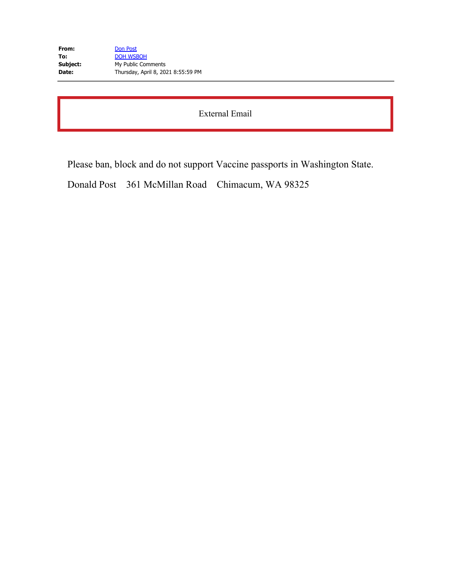| From:    | Don Post                           |
|----------|------------------------------------|
| To:      | <b>DOH WSBOH</b>                   |
| Subject: | My Public Comments                 |
| Date:    | Thursday, April 8, 2021 8:55:59 PM |

Please ban, block and do not support Vaccine passports in Washington State.

Donald Post 361 McMillan Road Chimacum, WA 98325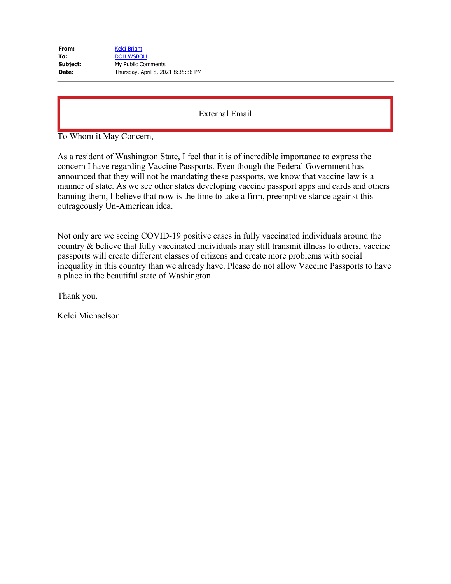| From:    | <b>Kelci Bright</b>                |
|----------|------------------------------------|
| To:      | <b>DOH WSBOH</b>                   |
| Subject: | My Public Comments                 |
| Date:    | Thursday, April 8, 2021 8:35:36 PM |

To Whom it May Concern,

As a resident of Washington State, I feel that it is of incredible importance to express the concern I have regarding Vaccine Passports. Even though the Federal Government has announced that they will not be mandating these passports, we know that vaccine law is a manner of state. As we see other states developing vaccine passport apps and cards and others banning them, I believe that now is the time to take a firm, preemptive stance against this outrageously Un-American idea.

Not only are we seeing COVID-19 positive cases in fully vaccinated individuals around the country & believe that fully vaccinated individuals may still transmit illness to others, vaccine passports will create different classes of citizens and create more problems with social inequality in this country than we already have. Please do not allow Vaccine Passports to have a place in the beautiful state of Washington.

Thank you.

Kelci Michaelson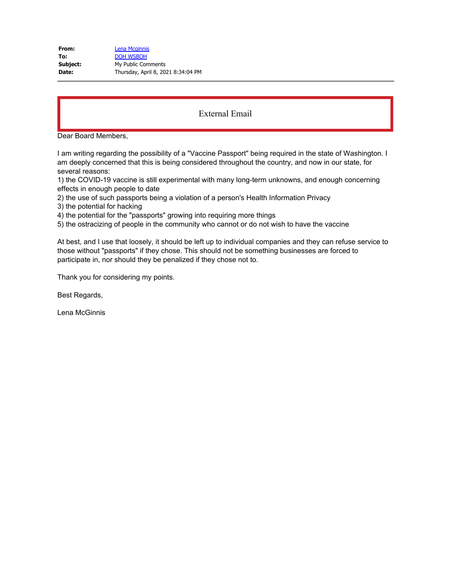| Lena Mcginnis                      |
|------------------------------------|
| <b>DOH WSBOH</b>                   |
| My Public Comments                 |
| Thursday, April 8, 2021 8:34:04 PM |
|                                    |

Dear Board Members,

I am writing regarding the possibility of a "Vaccine Passport" being required in the state of Washington. I am deeply concerned that this is being considered throughout the country, and now in our state, for several reasons:

1) the COVID-19 vaccine is still experimental with many long-term unknowns, and enough concerning effects in enough people to date

2) the use of such passports being a violation of a person's Health Information Privacy

3) the potential for hacking

4) the potential for the "passports" growing into requiring more things

5) the ostracizing of people in the community who cannot or do not wish to have the vaccine

At best, and I use that loosely, it should be left up to individual companies and they can refuse service to those without "passports" if they chose. This should not be something businesses are forced to participate in, nor should they be penalized if they chose not to.

Thank you for considering my points.

Best Regards,

Lena McGinnis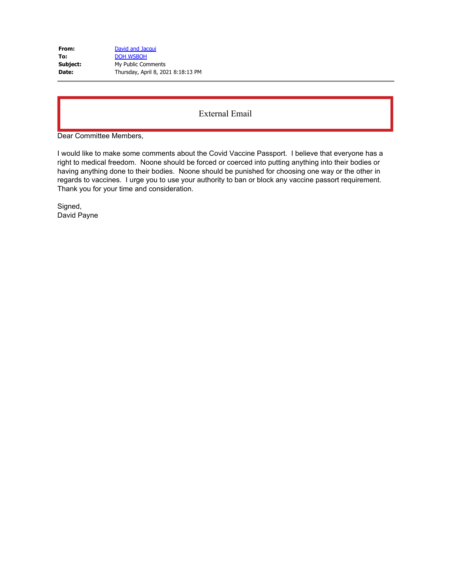| From:    | David and Jacqui                   |
|----------|------------------------------------|
| To:      | <b>DOH WSBOH</b>                   |
| Subject: | My Public Comments                 |
| Date:    | Thursday, April 8, 2021 8:18:13 PM |

Dear Committee Members,

I would like to make some comments about the Covid Vaccine Passport. I believe that everyone has a right to medical freedom. Noone should be forced or coerced into putting anything into their bodies or having anything done to their bodies. Noone should be punished for choosing one way or the other in regards to vaccines. I urge you to use your authority to ban or block any vaccine passort requirement. Thank you for your time and consideration.

Signed, David Payne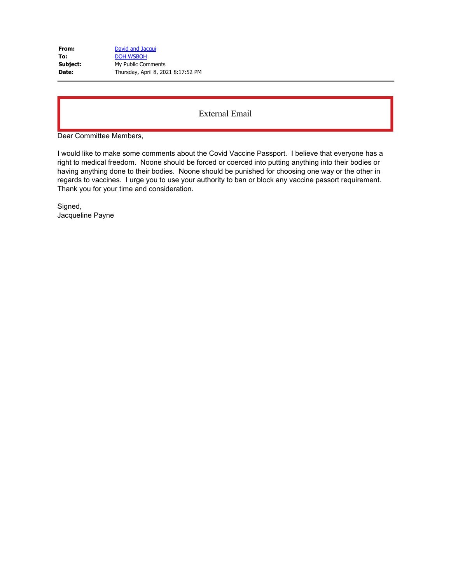| From:    | David and Jacqui                   |
|----------|------------------------------------|
| To:      | <b>DOH WSBOH</b>                   |
| Subject: | My Public Comments                 |
| Date:    | Thursday, April 8, 2021 8:17:52 PM |

Dear Committee Members,

I would like to make some comments about the Covid Vaccine Passport. I believe that everyone has a right to medical freedom. Noone should be forced or coerced into putting anything into their bodies or having anything done to their bodies. Noone should be punished for choosing one way or the other in regards to vaccines. I urge you to use your authority to ban or block any vaccine passort requirement. Thank you for your time and consideration.

Signed, Jacqueline Payne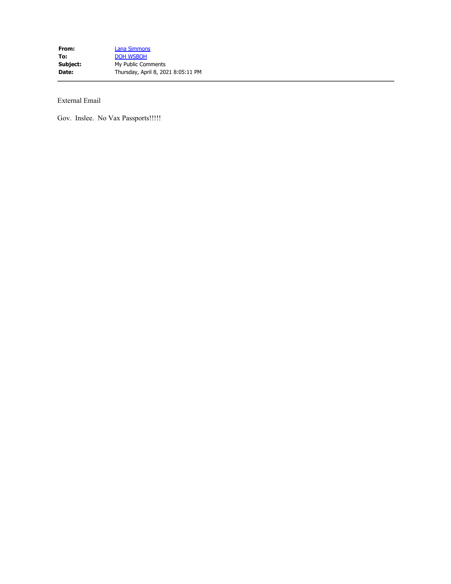Gov. Inslee. No Vax Passports!!!!!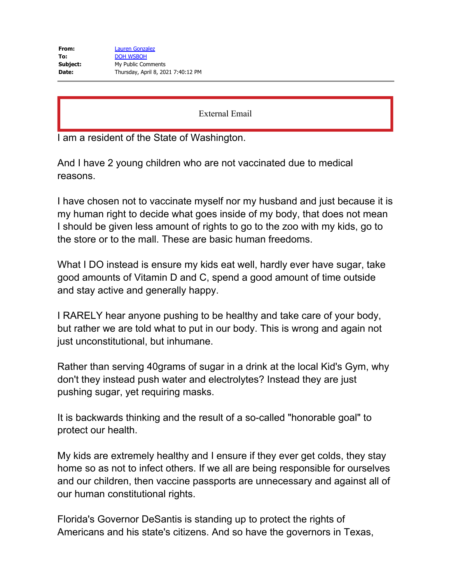I am a resident of the State of Washington.

And I have 2 young children who are not vaccinated due to medical reasons.

I have chosen not to vaccinate myself nor my husband and just because it is my human right to decide what goes inside of my body, that does not mean I should be given less amount of rights to go to the zoo with my kids, go to the store or to the mall. These are basic human freedoms.

What I DO instead is ensure my kids eat well, hardly ever have sugar, take good amounts of Vitamin D and C, spend a good amount of time outside and stay active and generally happy.

I RARELY hear anyone pushing to be healthy and take care of your body, but rather we are told what to put in our body. This is wrong and again not just unconstitutional, but inhumane.

Rather than serving 40grams of sugar in a drink at the local Kid's Gym, why don't they instead push water and electrolytes? Instead they are just pushing sugar, yet requiring masks.

It is backwards thinking and the result of a so-called "honorable goal" to protect our health.

My kids are extremely healthy and I ensure if they ever get colds, they stay home so as not to infect others. If we all are being responsible for ourselves and our children, then vaccine passports are unnecessary and against all of our human constitutional rights.

Florida's Governor DeSantis is standing up to protect the rights of Americans and his state's citizens. And so have the governors in Texas,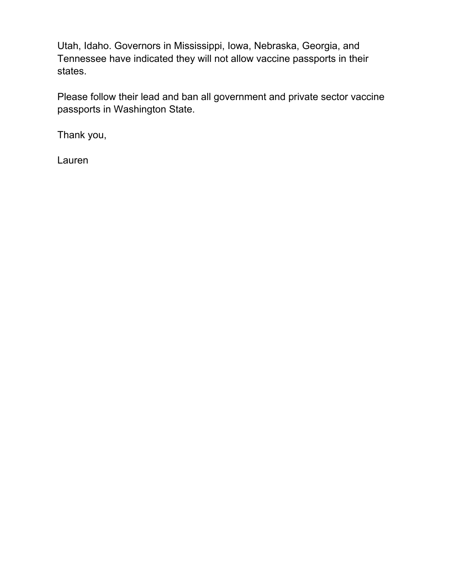Utah, Idaho. Governors in Mississippi, Iowa, Nebraska, Georgia, and Tennessee have indicated they will not allow vaccine passports in their states.

Please follow their lead and ban all government and private sector vaccine passports in Washington State.

Thank you,

Lauren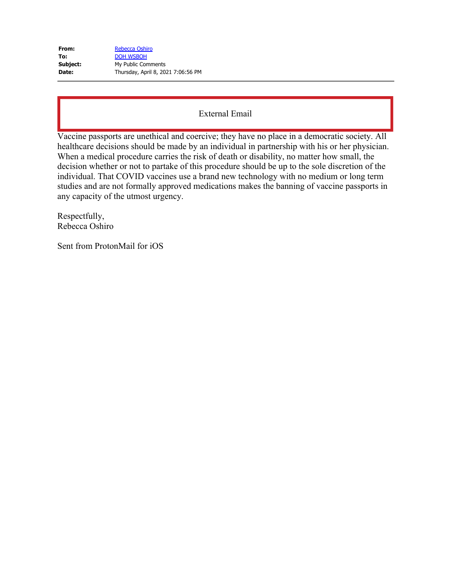| From:    | Rebecca Oshiro                     |
|----------|------------------------------------|
| To:      | <b>DOH WSBOH</b>                   |
| Subject: | My Public Comments                 |
| Date:    | Thursday, April 8, 2021 7:06:56 PM |

Vaccine passports are unethical and coercive; they have no place in a democratic society. All healthcare decisions should be made by an individual in partnership with his or her physician. When a medical procedure carries the risk of death or disability, no matter how small, the decision whether or not to partake of this procedure should be up to the sole discretion of the individual. That COVID vaccines use a brand new technology with no medium or long term studies and are not formally approved medications makes the banning of vaccine passports in any capacity of the utmost urgency.

Respectfully, Rebecca Oshiro

Sent from ProtonMail for iOS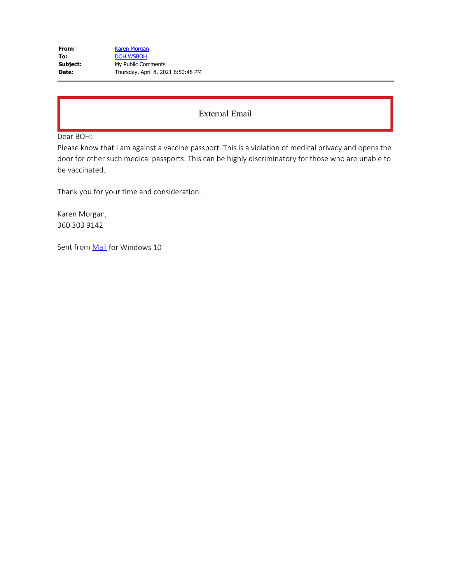| From:    | Karen Morgan                       |
|----------|------------------------------------|
| To:      | <b>DOH WSBOH</b>                   |
| Subject: | My Public Comments                 |
| Date:    | Thursday, April 8, 2021 6:50:48 PM |

Dear BOH:

Please know that I am against a vaccine passport. This is a violation of medical privacy and opens the door for other such medical passports. This can be highly discriminatory for those who are unable to be vaccinated.

Thank you for your time and consideration.

Karen Morgan, 360 303 9142

Sent from **Mail** for Windows 10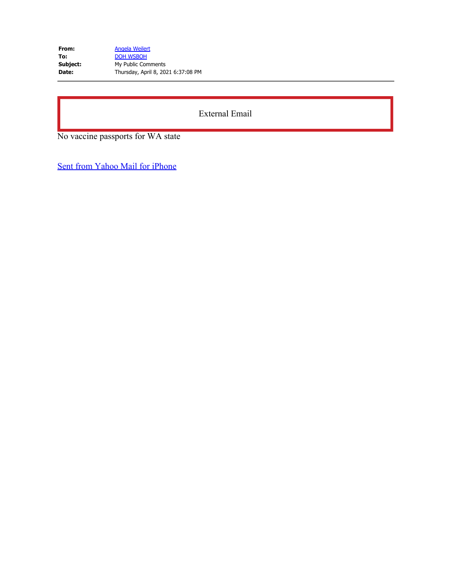| From:    | Angela Weilert                     |
|----------|------------------------------------|
| To:      | <b>DOH WSBOH</b>                   |
| Subject: | My Public Comments                 |
| Date:    | Thursday, April 8, 2021 6:37:08 PM |

No vaccine passports for WA state

[Sent from Yahoo Mail for iPhone](https://gcc02.safelinks.protection.outlook.com/?url=https%3A%2F%2Foverview.mail.yahoo.com%2F%3F.src%3DiOS&data=04%7C01%7Cwsboh%40sboh.wa.gov%7C3ea0a094dedd45647d0608d8faf7fa67%7C11d0e217264e400a8ba057dcc127d72d%7C0%7C0%7C637535290283590033%7CUnknown%7CTWFpbGZsb3d8eyJWIjoiMC4wLjAwMDAiLCJQIjoiV2luMzIiLCJBTiI6Ik1haWwiLCJXVCI6Mn0%3D%7C3000&sdata=%2Bhp404mO01ZgdPwU9unJ40CAfhM5AwvzlP0JI1WHKuA%3D&reserved=0)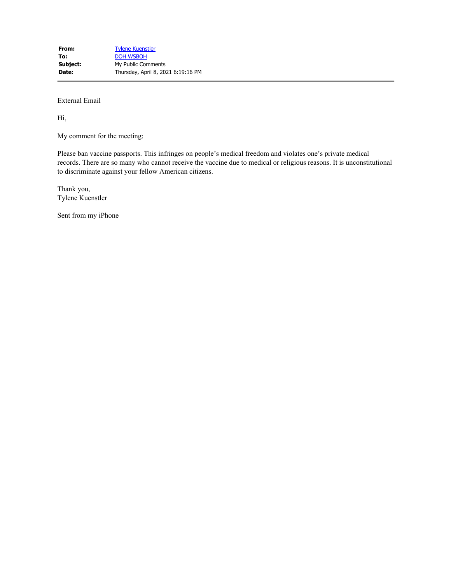Hi,

My comment for the meeting:

Please ban vaccine passports. This infringes on people's medical freedom and violates one's private medical records. There are so many who cannot receive the vaccine due to medical or religious reasons. It is unconstitutional to discriminate against your fellow American citizens.

Thank you, Tylene Kuenstler

Sent from my iPhone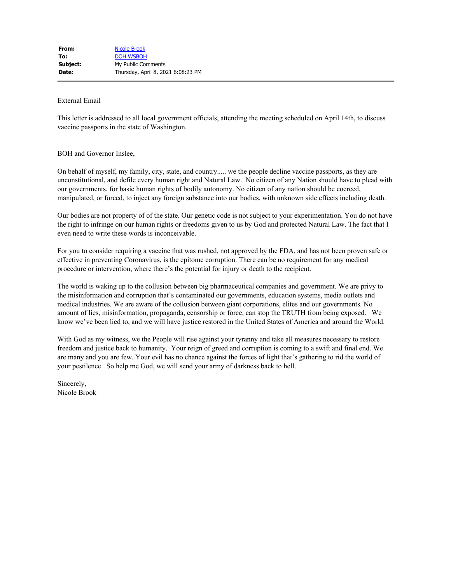This letter is addressed to all local government officials, attending the meeting scheduled on April 14th, to discuss vaccine passports in the state of Washington.

#### BOH and Governor Inslee,

On behalf of myself, my family, city, state, and country..... we the people decline vaccine passports, as they are unconstitutional, and defile every human right and Natural Law. No citizen of any Nation should have to plead with our governments, for basic human rights of bodily autonomy. No citizen of any nation should be coerced, manipulated, or forced, to inject any foreign substance into our bodies, with unknown side effects including death.

Our bodies are not property of of the state. Our genetic code is not subject to your experimentation. You do not have the right to infringe on our human rights or freedoms given to us by God and protected Natural Law. The fact that I even need to write these words is inconceivable.

For you to consider requiring a vaccine that was rushed, not approved by the FDA, and has not been proven safe or effective in preventing Coronavirus, is the epitome corruption. There can be no requirement for any medical procedure or intervention, where there's the potential for injury or death to the recipient.

The world is waking up to the collusion between big pharmaceutical companies and government. We are privy to the misinformation and corruption that's contaminated our governments, education systems, media outlets and medical industries. We are aware of the collusion between giant corporations, elites and our governments. No amount of lies, misinformation, propaganda, censorship or force, can stop the TRUTH from being exposed. We know we've been lied to, and we will have justice restored in the United States of America and around the World.

With God as my witness, we the People will rise against your tyranny and take all measures necessary to restore freedom and justice back to humanity. Your reign of greed and corruption is coming to a swift and final end. We are many and you are few. Your evil has no chance against the forces of light that's gathering to rid the world of your pestilence. So help me God, we will send your army of darkness back to hell.

Sincerely, Nicole Brook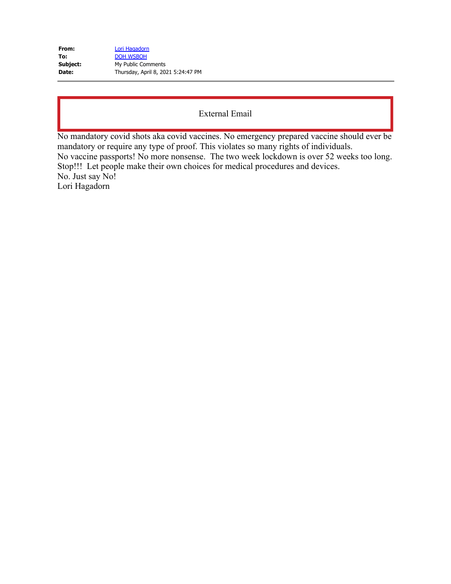| From:    | Lori Hagadorn                      |
|----------|------------------------------------|
| To:      | <b>DOH WSBOH</b>                   |
| Subject: | My Public Comments                 |
| Date:    | Thursday, April 8, 2021 5:24:47 PM |

No mandatory covid shots aka covid vaccines. No emergency prepared vaccine should ever be mandatory or require any type of proof. This violates so many rights of individuals. No vaccine passports! No more nonsense. The two week lockdown is over 52 weeks too long. Stop!!! Let people make their own choices for medical procedures and devices. No. Just say No! Lori Hagadorn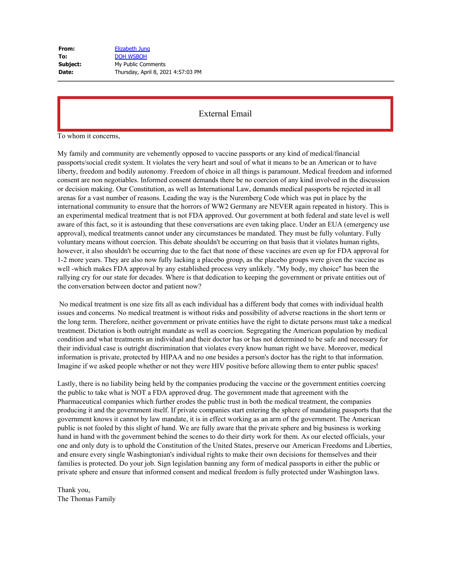| Elizabeth Jung                     |
|------------------------------------|
| <b>DOH WSBOH</b>                   |
| My Public Comments                 |
| Thursday, April 8, 2021 4:57:03 PM |
|                                    |

To whom it concerns,

My family and community are vehemently opposed to vaccine passports or any kind of medical/financial passports/social credit system. It violates the very heart and soul of what it means to be an American or to have liberty, freedom and bodily autonomy. Freedom of choice in all things is paramount. Medical freedom and informed consent are non negotiables. Informed consent demands there be no coercion of any kind involved in the discussion or decision making. Our Constitution, as well as International Law, demands medical passports be rejected in all arenas for a vast number of reasons. Leading the way is the Nuremberg Code which was put in place by the international community to ensure that the horrors of WW2 Germany are NEVER again repeated in history. This is an experimental medical treatment that is not FDA approved. Our government at both federal and state level is well aware of this fact, so it is astounding that these conversations are even taking place. Under an EUA (emergency use approval), medical treatments cannot under any circumstances be mandated. They must be fully voluntary. Fully voluntary means without coercion. This debate shouldn't be occurring on that basis that it violates human rights, however, it also shouldn't be occurring due to the fact that none of these vaccines are even up for FDA approval for 1-2 more years. They are also now fully lacking a placebo group, as the placebo groups were given the vaccine as well -which makes FDA approval by any established process very unlikely. "My body, my choice" has been the rallying cry for our state for decades. Where is that dedication to keeping the government or private entities out of the conversation between doctor and patient now?

No medical treatment is one size fits all as each individual has a different body that comes with individual health issues and concerns. No medical treatment is without risks and possibility of adverse reactions in the short term or the long term. Therefore, neither government or private entities have the right to dictate persons must take a medical treatment. Dictation is both outright mandate as well as coercion. Segregating the American population by medical condition and what treatments an individual and their doctor has or has not determined to be safe and necessary for their individual case is outright discrimination that violates every know human right we have. Moreover, medical information is private, protected by HIPAA and no one besides a person's doctor has the right to that information. Imagine if we asked people whether or not they were HIV positive before allowing them to enter public spaces!

Lastly, there is no liability being held by the companies producing the vaccine or the government entities coercing the public to take what is NOT a FDA approved drug. The government made that agreement with the Pharmaceutical companies which further erodes the public trust in both the medical treatment, the companies producing it and the government itself. If private companies start entering the sphere of mandating passports that the government knows it cannot by law mandate, it is in effect working as an arm of the government. The American public is not fooled by this slight of hand. We are fully aware that the private sphere and big business is working hand in hand with the government behind the scenes to do their dirty work for them. As our elected officials, your one and only duty is to uphold the Constitution of the United States, preserve our American Freedoms and Liberties, and ensure every single Washingtonian's individual rights to make their own decisions for themselves and their families is protected. Do your job. Sign legislation banning any form of medical passports in either the public or private sphere and ensure that informed consent and medical freedom is fully protected under Washington laws.

Thank you, The Thomas Family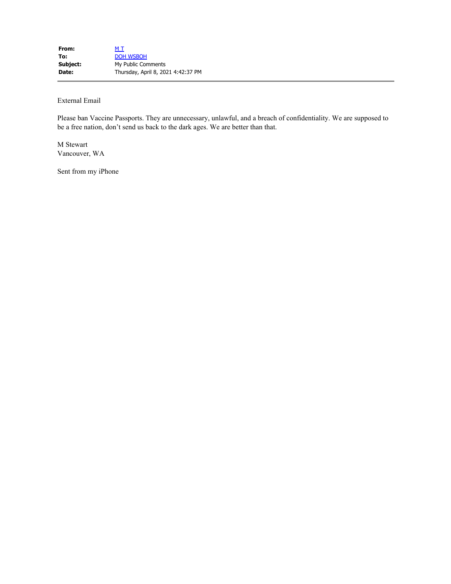Please ban Vaccine Passports. They are unnecessary, unlawful, and a breach of confidentiality. We are supposed to be a free nation, don't send us back to the dark ages. We are better than that.

M Stewart Vancouver, WA

Sent from my iPhone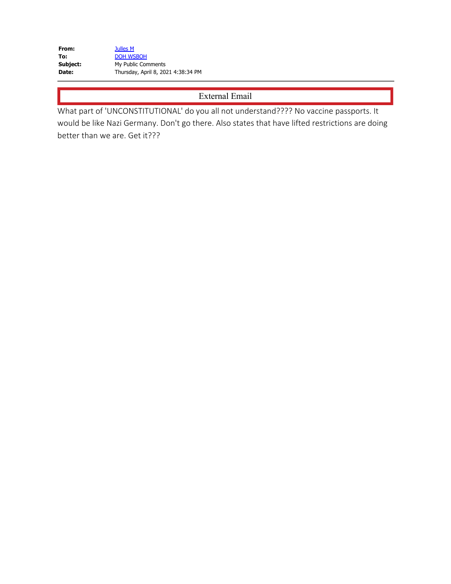**From:** [Julles M](mailto:JullesM@hotmail.com) To: [DOH WSBOH](mailto:WSBOH@SBOH.WA.GOV) **Subject:** My Public Comments **Date:** Thursday, April 8, 2021 4:38:34 PM

External Email

What part of 'UNCONSTITUTIONAL' do you all not understand???? No vaccine passports. It would be like Nazi Germany. Don't go there. Also states that have lifted restrictions are doing better than we are. Get it???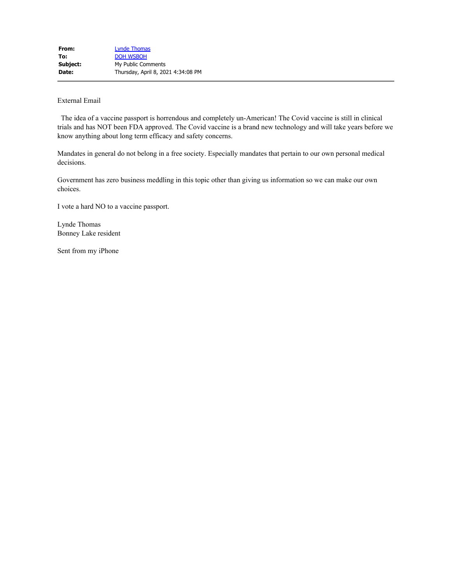The idea of a vaccine passport is horrendous and completely un-American! The Covid vaccine is still in clinical trials and has NOT been FDA approved. The Covid vaccine is a brand new technology and will take years before we know anything about long term efficacy and safety concerns.

Mandates in general do not belong in a free society. Especially mandates that pertain to our own personal medical decisions.

Government has zero business meddling in this topic other than giving us information so we can make our own choices.

I vote a hard NO to a vaccine passport.

Lynde Thomas Bonney Lake resident

Sent from my iPhone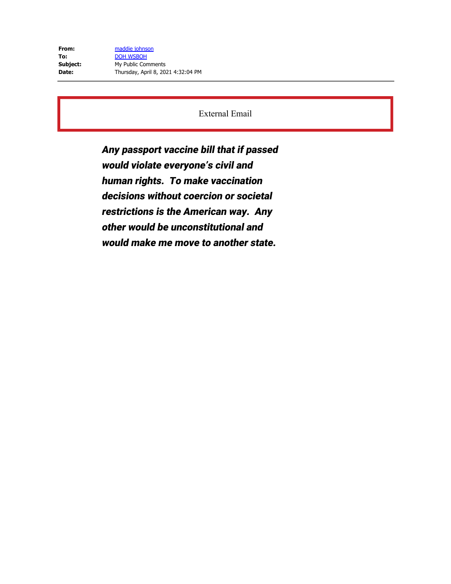**From:** [maddie johnson](mailto:udubpnw1997bhome@yahoo.com) To: [DOH WSBOH](mailto:WSBOH@SBOH.WA.GOV) **Subject:** My Public Comments **Date:** Thursday, April 8, 2021 4:32:04 PM

External Email

Any passport vaccine bill that if passed would violate everyone's civil and human rights. To make vaccination decisions without coercion or societal restrictions is the American way. Any other would be unconstitutional and would make me move to another state.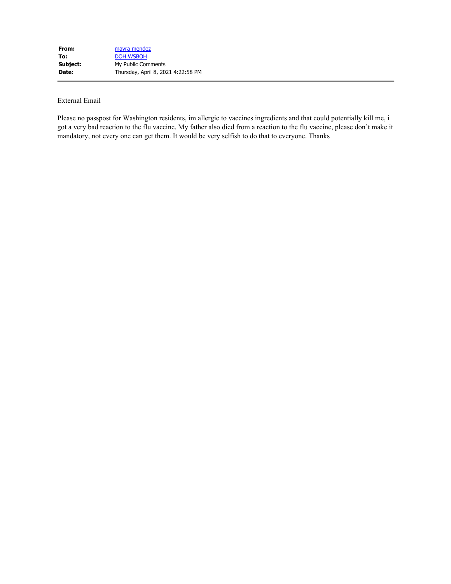Please no passpost for Washington residents, im allergic to vaccines ingredients and that could potentially kill me, i got a very bad reaction to the flu vaccine. My father also died from a reaction to the flu vaccine, please don't make it mandatory, not every one can get them. It would be very selfish to do that to everyone. Thanks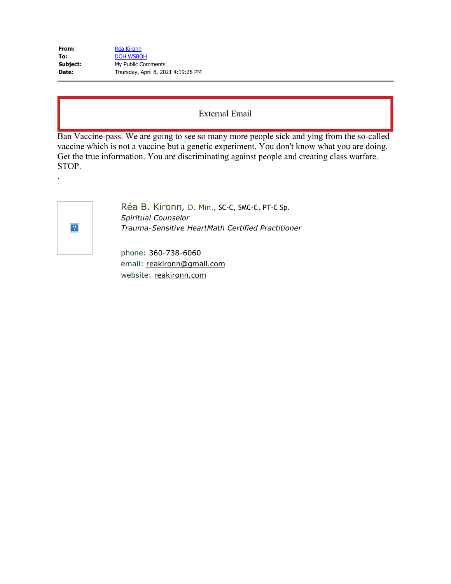| From:    | Réa Kironn                         |
|----------|------------------------------------|
| To:      | <b>DOH WSBOH</b>                   |
| Subject: | My Public Comments                 |
| Date:    | Thursday, April 8, 2021 4:19:28 PM |

Ban Vaccine-pass. We are going to see so many more people sick and ying from the so-called vaccine which is not a vaccine but a genetic experiment. You don't know what you are doing. Get the true information. You are discriminating against people and creating class warfare. STOP.

.

Réa B. Kironn*,* D. Min., SC-C, SMC-C, PT-C Sp. *Spiritual Counselor Trauma-Sensitive HeartMath Certified Practitioner*

phone: [360-738-6060](tel:360-738-6060) email: [reakironn@gmail.com](mailto:reakironn@gmail.com) website: [reakironn.com](https://gcc02.safelinks.protection.outlook.com/?url=http%3A%2F%2Freakironn.com%2F&data=04%7C01%7Cwsboh%40sboh.wa.gov%7C020303c183794b978fe508d8fae49ca0%7C11d0e217264e400a8ba057dcc127d72d%7C0%7C0%7C637535207673846675%7CUnknown%7CTWFpbGZsb3d8eyJWIjoiMC4wLjAwMDAiLCJQIjoiV2luMzIiLCJBTiI6Ik1haWwiLCJXVCI6Mn0%3D%7C2000&sdata=Hmp3Mvkewt9KeexFSaUQbYZMOIMxcOs9jJgWDpq3Z3Y%3D&reserved=0)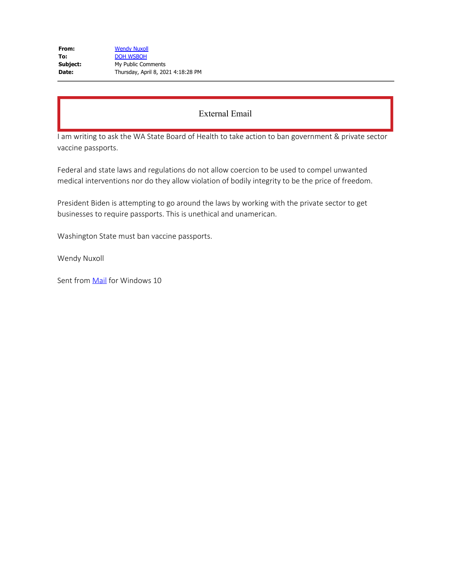I am writing to ask the WA State Board of Health to take action to ban government & private sector vaccine passports.

Federal and state laws and regulations do not allow coercion to be used to compel unwanted medical interventions nor do they allow violation of bodily integrity to be the price of freedom.

President Biden is attempting to go around the laws by working with the private sector to get businesses to require passports. This is unethical and unamerican.

Washington State must ban vaccine passports.

Wendy Nuxoll

Sent from [Mail](https://gcc02.safelinks.protection.outlook.com/?url=https%3A%2F%2Fgo.microsoft.com%2Ffwlink%2F%3FLinkId%3D550986&data=04%7C01%7Cwsboh%40sboh.wa.gov%7C6dd8211d364f4634f0d508d8fae49cd7%7C11d0e217264e400a8ba057dcc127d72d%7C0%7C0%7C637535207079936827%7CUnknown%7CTWFpbGZsb3d8eyJWIjoiMC4wLjAwMDAiLCJQIjoiV2luMzIiLCJBTiI6Ik1haWwiLCJXVCI6Mn0%3D%7C1000&sdata=AqYyojSZzg18zeAMoGP1rPqv0YI8fjwpYfkUd3EEmiI%3D&reserved=0) for Windows 10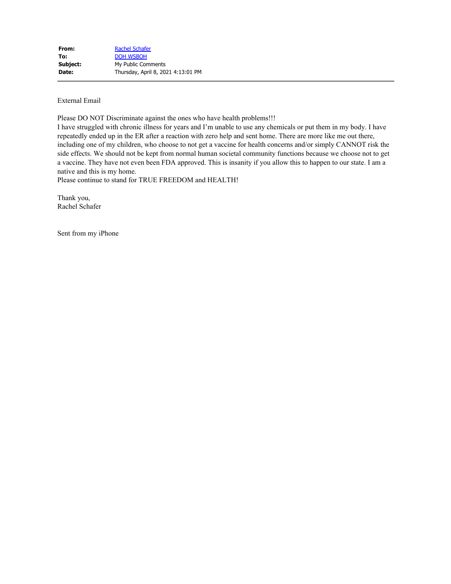Please DO NOT Discriminate against the ones who have health problems!!!

I have struggled with chronic illness for years and I'm unable to use any chemicals or put them in my body. I have repeatedly ended up in the ER after a reaction with zero help and sent home. There are more like me out there, including one of my children, who choose to not get a vaccine for health concerns and/or simply CANNOT risk the side effects. We should not be kept from normal human societal community functions because we choose not to get a vaccine. They have not even been FDA approved. This is insanity if you allow this to happen to our state. I am a native and this is my home.

Please continue to stand for TRUE FREEDOM and HEALTH!

Thank you, Rachel Schafer

Sent from my iPhone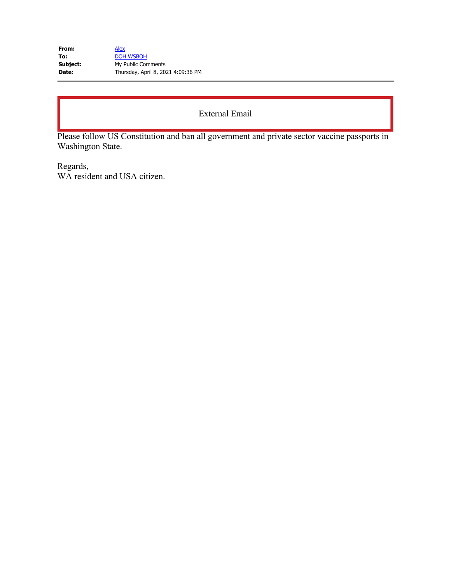| <b>Alex</b>                        |
|------------------------------------|
| <b>DOH WSBOH</b>                   |
| My Public Comments                 |
| Thursday, April 8, 2021 4:09:36 PM |
|                                    |

# External Email

Please follow US Constitution and ban all government and private sector vaccine passports in Washington State.

Regards, WA resident and USA citizen.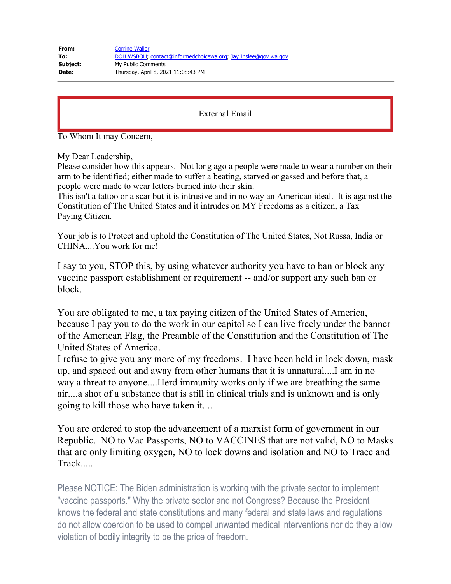| From:    | <b>Corrine Waller</b>                                          |
|----------|----------------------------------------------------------------|
| To:      | DOH WSBOH, contact@informedchoicewa.org, Jay.Inslee@gov.wa.gov |
| Subject: | My Public Comments                                             |
| Date:    | Thursday, April 8, 2021 11:08:43 PM                            |

## External Email

To Whom It may Concern,

My Dear Leadership,

Please consider how this appears. Not long ago a people were made to wear a number on their arm to be identified; either made to suffer a beating, starved or gassed and before that, a people were made to wear letters burned into their skin.

This isn't a tattoo or a scar but it is intrusive and in no way an American ideal. It is against the Constitution of The United States and it intrudes on MY Freedoms as a citizen, a Tax Paying Citizen.

Your job is to Protect and uphold the Constitution of The United States, Not Russa, India or CHINA....You work for me!

I say to you, STOP this, by using whatever authority you have to ban or block any vaccine passport establishment or requirement -- and/or support any such ban or block.

You are obligated to me, a tax paying citizen of the United States of America, because I pay you to do the work in our capitol so I can live freely under the banner of the American Flag, the Preamble of the Constitution and the Constitution of The United States of America.

I refuse to give you any more of my freedoms. I have been held in lock down, mask up, and spaced out and away from other humans that it is unnatural....I am in no way a threat to anyone....Herd immunity works only if we are breathing the same air....a shot of a substance that is still in clinical trials and is unknown and is only going to kill those who have taken it....

You are ordered to stop the advancement of a marxist form of government in our Republic. NO to Vac Passports, NO to VACCINES that are not valid, NO to Masks that are only limiting oxygen, NO to lock downs and isolation and NO to Trace and Track.....

Please NOTICE: The Biden administration is working with the private sector to implement "vaccine passports." Why the private sector and not Congress? Because the President knows the federal and state constitutions and many federal and state laws and regulations do not allow coercion to be used to compel unwanted medical interventions nor do they allow violation of bodily integrity to be the price of freedom.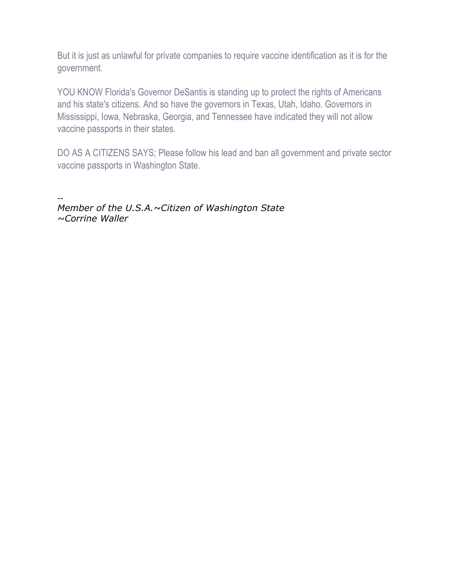But it is just as unlawful for private companies to require vaccine identification as it is for the government.

YOU KNOW Florida's Governor DeSantis is standing up to protect the rights of Americans and his state's citizens. And so have the governors in Texas, Utah, Idaho. Governors in Mississippi, Iowa, Nebraska, Georgia, and Tennessee have indicated they will not allow vaccine passports in their states.

DO AS A CITIZENS SAYS; Please follow his lead and ban all government and private sector vaccine passports in Washington State.

-- *Member of the U.S.A.~Citizen of Washington State ~Corrine Waller*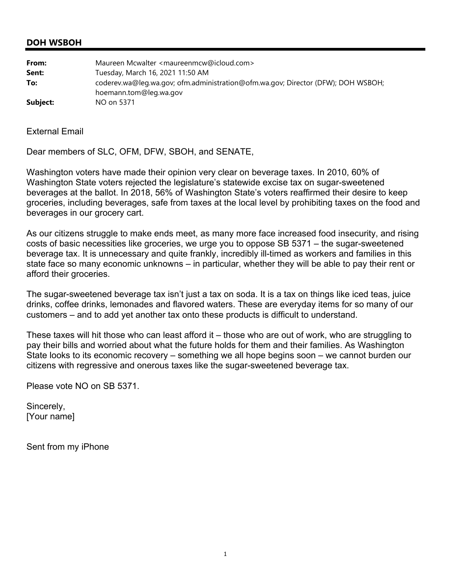#### **DOH WSBOH**

| From:    | Maureen Mcwalter <maureenmcw@icloud.com></maureenmcw@icloud.com>                                           |
|----------|------------------------------------------------------------------------------------------------------------|
| Sent:    | Tuesday, March 16, 2021 11:50 AM                                                                           |
| To:      | coderev.wa@leg.wa.gov; ofm.administration@ofm.wa.gov; Director (DFW); DOH WSBOH;<br>hoemann.tom@leg.wa.gov |
| Subject: | NO on 5371                                                                                                 |

External Email

Dear members of SLC, OFM, DFW, SBOH, and SENATE,

Washington voters have made their opinion very clear on beverage taxes. In 2010, 60% of Washington State voters rejected the legislature's statewide excise tax on sugar-sweetened beverages at the ballot. In 2018, 56% of Washington State's voters reaffirmed their desire to keep groceries, including beverages, safe from taxes at the local level by prohibiting taxes on the food and beverages in our grocery cart.

As our citizens struggle to make ends meet, as many more face increased food insecurity, and rising costs of basic necessities like groceries, we urge you to oppose SB 5371 – the sugar-sweetened beverage tax. It is unnecessary and quite frankly, incredibly ill-timed as workers and families in this state face so many economic unknowns – in particular, whether they will be able to pay their rent or afford their groceries.

The sugar-sweetened beverage tax isn't just a tax on soda. It is a tax on things like iced teas, juice drinks, coffee drinks, lemonades and flavored waters. These are everyday items for so many of our customers – and to add yet another tax onto these products is difficult to understand.

These taxes will hit those who can least afford it – those who are out of work, who are struggling to pay their bills and worried about what the future holds for them and their families. As Washington State looks to its economic recovery – something we all hope begins soon – we cannot burden our citizens with regressive and onerous taxes like the sugar-sweetened beverage tax.

Please vote NO on SB 5371.

Sincerely, [Your name]

Sent from my iPhone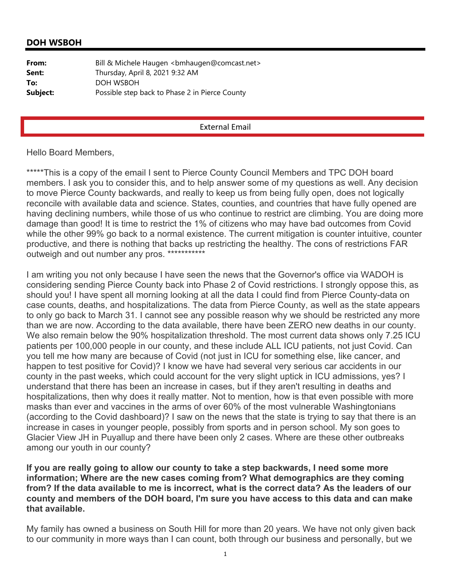## **DOH WSBOH**

| From:    | Bill & Michele Haugen<br><br>bmhaugen@comcast.net> |
|----------|----------------------------------------------------|
| Sent:    | Thursday, April 8, 2021 9:32 AM                    |
| To:      | DOH WSBOH                                          |
| Subject: | Possible step back to Phase 2 in Pierce County     |

#### External Email

#### Hello Board Members,

\*\*\*\*\*This is a copy of the email I sent to Pierce County Council Members and TPC DOH board members. I ask you to consider this, and to help answer some of my questions as well. Any decision to move Pierce County backwards, and really to keep us from being fully open, does not logically reconcile with available data and science. States, counties, and countries that have fully opened are having declining numbers, while those of us who continue to restrict are climbing. You are doing more damage than good! It is time to restrict the 1% of citizens who may have bad outcomes from Covid while the other 99% go back to a normal existence. The current mitigation is counter intuitive, counter productive, and there is nothing that backs up restricting the healthy. The cons of restrictions FAR outweigh and out number any pros. \*\*\*\*\*\*\*\*\*\*\*

I am writing you not only because I have seen the news that the Governor's office via WADOH is considering sending Pierce County back into Phase 2 of Covid restrictions. I strongly oppose this, as should you! I have spent all morning looking at all the data I could find from Pierce County-data on case counts, deaths, and hospitalizations. The data from Pierce County, as well as the state appears to only go back to March 31. I cannot see any possible reason why we should be restricted any more than we are now. According to the data available, there have been ZERO new deaths in our county. We also remain below the 90% hospitalization threshold. The most current data shows only 7.25 ICU patients per 100,000 people in our county, and these include ALL ICU patients, not just Covid. Can you tell me how many are because of Covid (not just in ICU for something else, like cancer, and happen to test positive for Covid)? I know we have had several very serious car accidents in our county in the past weeks, which could account for the very slight uptick in ICU admissions, yes? I understand that there has been an increase in cases, but if they aren't resulting in deaths and hospitalizations, then why does it really matter. Not to mention, how is that even possible with more masks than ever and vaccines in the arms of over 60% of the most vulnerable Washingtonians (according to the Covid dashboard)? I saw on the news that the state is trying to say that there is an increase in cases in younger people, possibly from sports and in person school. My son goes to Glacier View JH in Puyallup and there have been only 2 cases. Where are these other outbreaks among our youth in our county?

# **If you are really going to allow our county to take a step backwards, I need some more information; Where are the new cases coming from? What demographics are they coming from? If the data available to me is incorrect, what is the correct data? As the leaders of our county and members of the DOH board, I'm sure you have access to this data and can make that available.**

My family has owned a business on South Hill for more than 20 years. We have not only given back to our community in more ways than I can count, both through our business and personally, but we